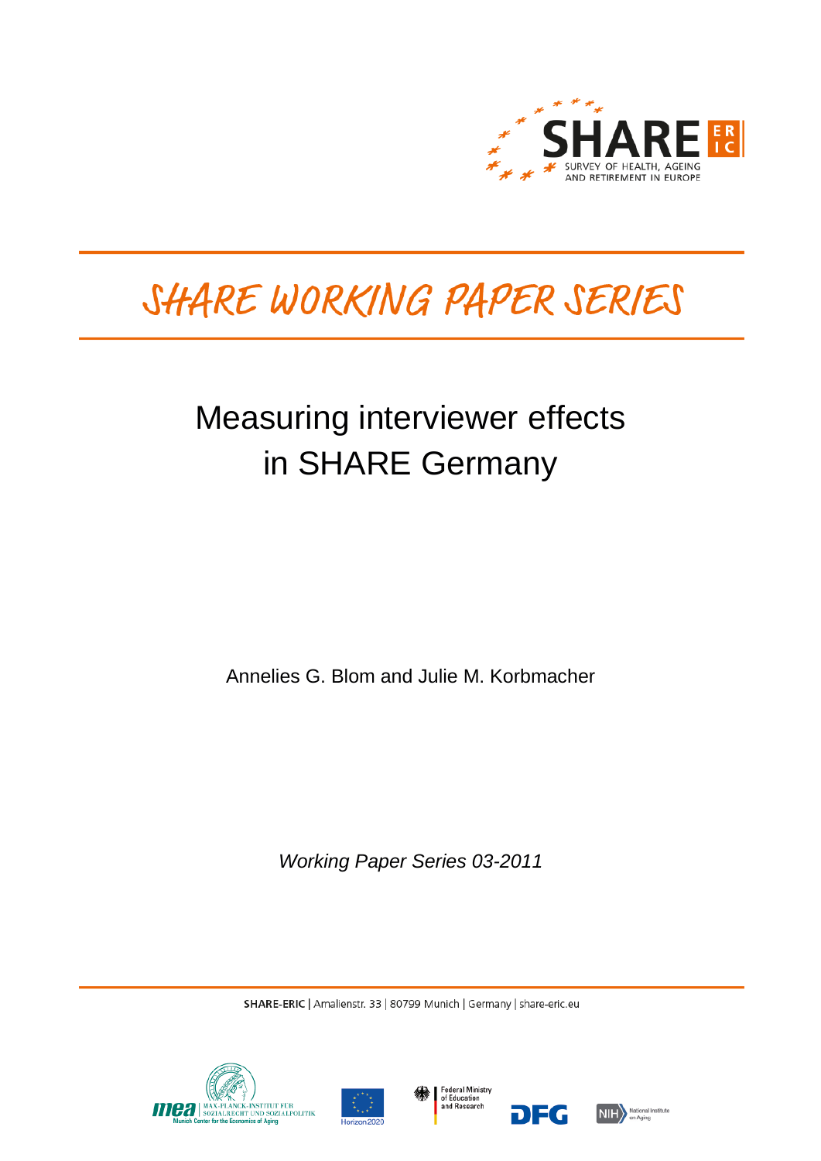

# SHARE WORKING PAPER SERIES

# Measuring interviewer effects in SHARE Germany

Annelies G. Blom and Julie M. Korbmacher

*Working Paper Series 03-2011*

SHARE-ERIC | Amalienstr. 33 | 80799 Munich | Germany | share-eric.eu







DEG

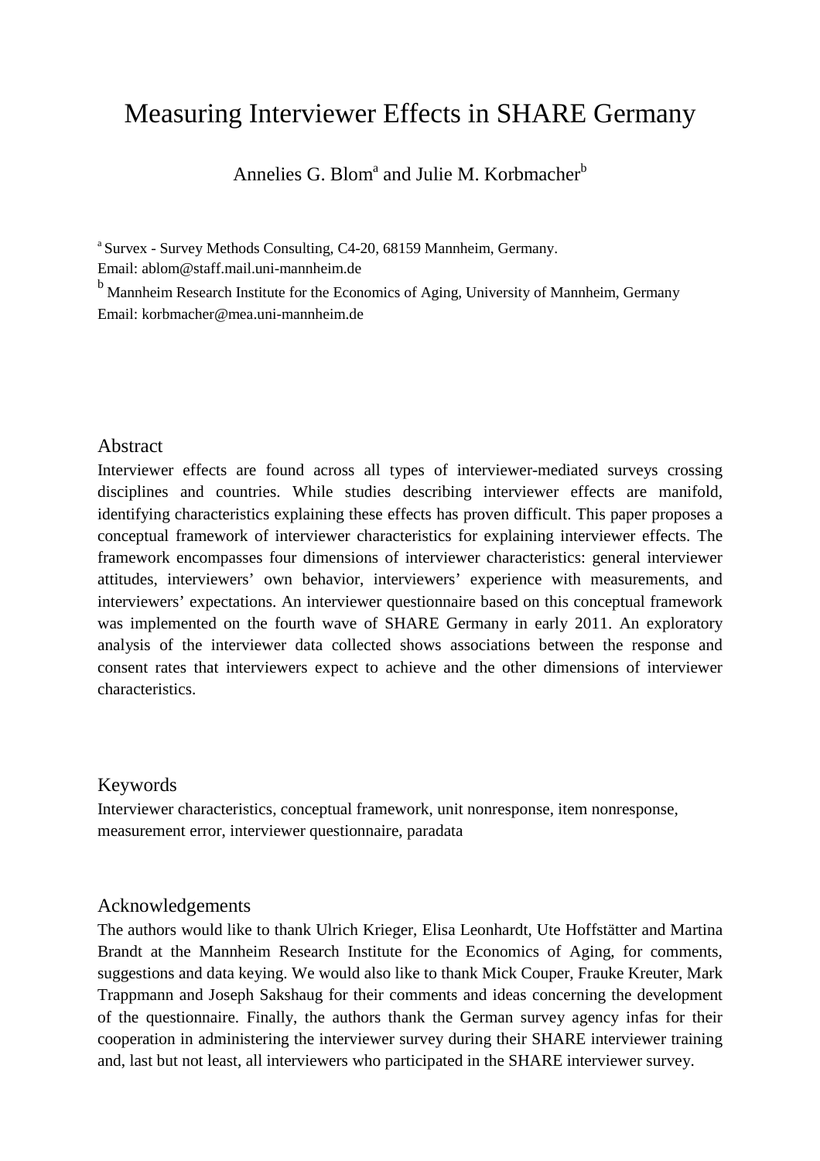## Measuring Interviewer Effects in SHARE Germany

Annelies G. Blom<sup>a</sup> and Julie M. Korbmacher<sup>b</sup>

<sup>a</sup> Survex - Survey Methods Consulting, C4-20, 68159 Mannheim, Germany.

Email: ablom@staff.mail.uni-mannheim.de

<sup>b</sup> Mannheim Research Institute for the Economics of Aging, University of Mannheim, Germany Email: korbmacher@mea.uni-mannheim.de

#### Abstract

Interviewer effects are found across all types of interviewer-mediated surveys crossing disciplines and countries. While studies describing interviewer effects are manifold, identifying characteristics explaining these effects has proven difficult. This paper proposes a conceptual framework of interviewer characteristics for explaining interviewer effects. The framework encompasses four dimensions of interviewer characteristics: general interviewer attitudes, interviewers' own behavior, interviewers' experience with measurements, and interviewers' expectations. An interviewer questionnaire based on this conceptual framework was implemented on the fourth wave of SHARE Germany in early 2011. An exploratory analysis of the interviewer data collected shows associations between the response and consent rates that interviewers expect to achieve and the other dimensions of interviewer characteristics.

## Keywords

Interviewer characteristics, conceptual framework, unit nonresponse, item nonresponse, measurement error, interviewer questionnaire, paradata

## Acknowledgements

The authors would like to thank Ulrich Krieger, Elisa Leonhardt, Ute Hoffstätter and Martina Brandt at the Mannheim Research Institute for the Economics of Aging, for comments, suggestions and data keying. We would also like to thank Mick Couper, Frauke Kreuter, Mark Trappmann and Joseph Sakshaug for their comments and ideas concerning the development of the questionnaire. Finally, the authors thank the German survey agency infas for their cooperation in administering the interviewer survey during their SHARE interviewer training and, last but not least, all interviewers who participated in the SHARE interviewer survey.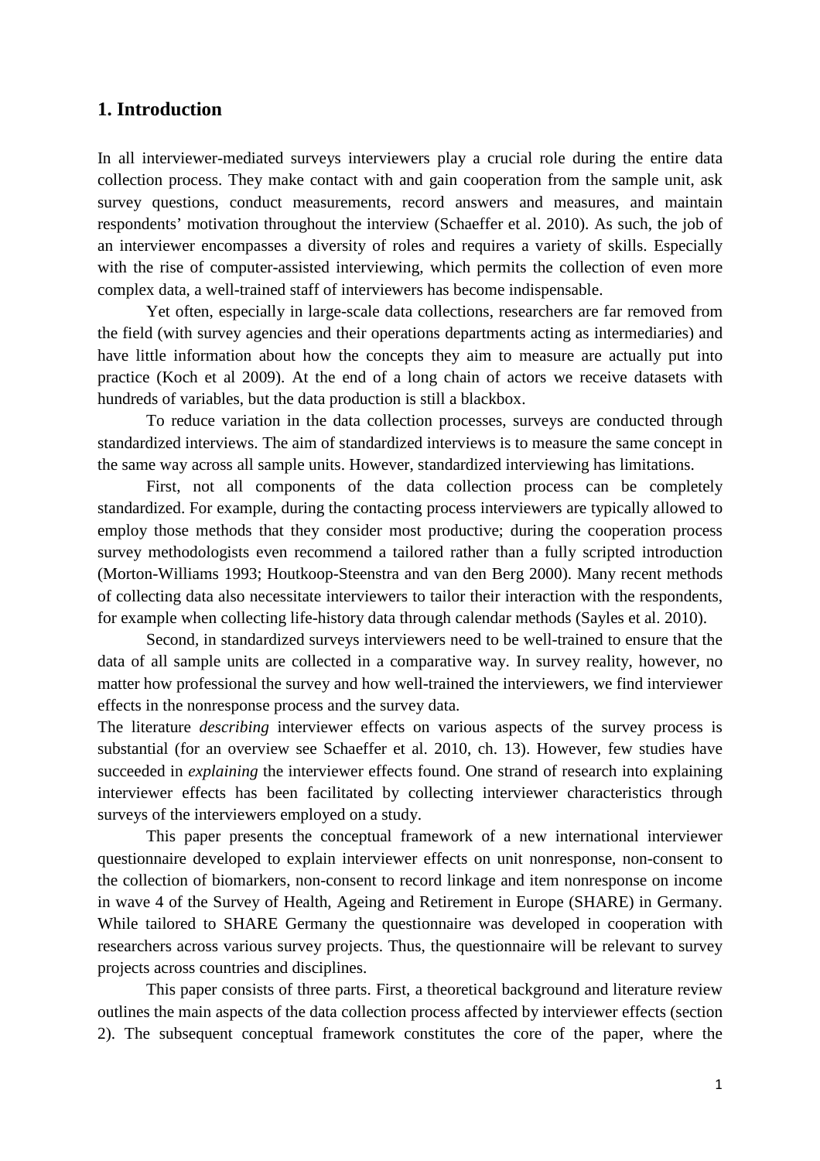### **1. Introduction**

In all interviewer-mediated surveys interviewers play a crucial role during the entire data collection process. They make contact with and gain cooperation from the sample unit, ask survey questions, conduct measurements, record answers and measures, and maintain respondents' motivation throughout the interview (Schaeffer et al. 2010). As such, the job of an interviewer encompasses a diversity of roles and requires a variety of skills. Especially with the rise of computer-assisted interviewing, which permits the collection of even more complex data, a well-trained staff of interviewers has become indispensable.

Yet often, especially in large-scale data collections, researchers are far removed from the field (with survey agencies and their operations departments acting as intermediaries) and have little information about how the concepts they aim to measure are actually put into practice (Koch et al 2009). At the end of a long chain of actors we receive datasets with hundreds of variables, but the data production is still a blackbox.

To reduce variation in the data collection processes, surveys are conducted through standardized interviews. The aim of standardized interviews is to measure the same concept in the same way across all sample units. However, standardized interviewing has limitations.

First, not all components of the data collection process can be completely standardized. For example, during the contacting process interviewers are typically allowed to employ those methods that they consider most productive; during the cooperation process survey methodologists even recommend a tailored rather than a fully scripted introduction (Morton-Williams 1993; Houtkoop-Steenstra and van den Berg 2000). Many recent methods of collecting data also necessitate interviewers to tailor their interaction with the respondents, for example when collecting life-history data through calendar methods (Sayles et al. 2010).

Second, in standardized surveys interviewers need to be well-trained to ensure that the data of all sample units are collected in a comparative way. In survey reality, however, no matter how professional the survey and how well-trained the interviewers, we find interviewer effects in the nonresponse process and the survey data.

The literature *describing* interviewer effects on various aspects of the survey process is substantial (for an overview see Schaeffer et al. 2010, ch. 13). However, few studies have succeeded in *explaining* the interviewer effects found. One strand of research into explaining interviewer effects has been facilitated by collecting interviewer characteristics through surveys of the interviewers employed on a study.

This paper presents the conceptual framework of a new international interviewer questionnaire developed to explain interviewer effects on unit nonresponse, non-consent to the collection of biomarkers, non-consent to record linkage and item nonresponse on income in wave 4 of the Survey of Health, Ageing and Retirement in Europe (SHARE) in Germany. While tailored to SHARE Germany the questionnaire was developed in cooperation with researchers across various survey projects. Thus, the questionnaire will be relevant to survey projects across countries and disciplines.

 This paper consists of three parts. First, a theoretical background and literature review outlines the main aspects of the data collection process affected by interviewer effects (section 2). The subsequent conceptual framework constitutes the core of the paper, where the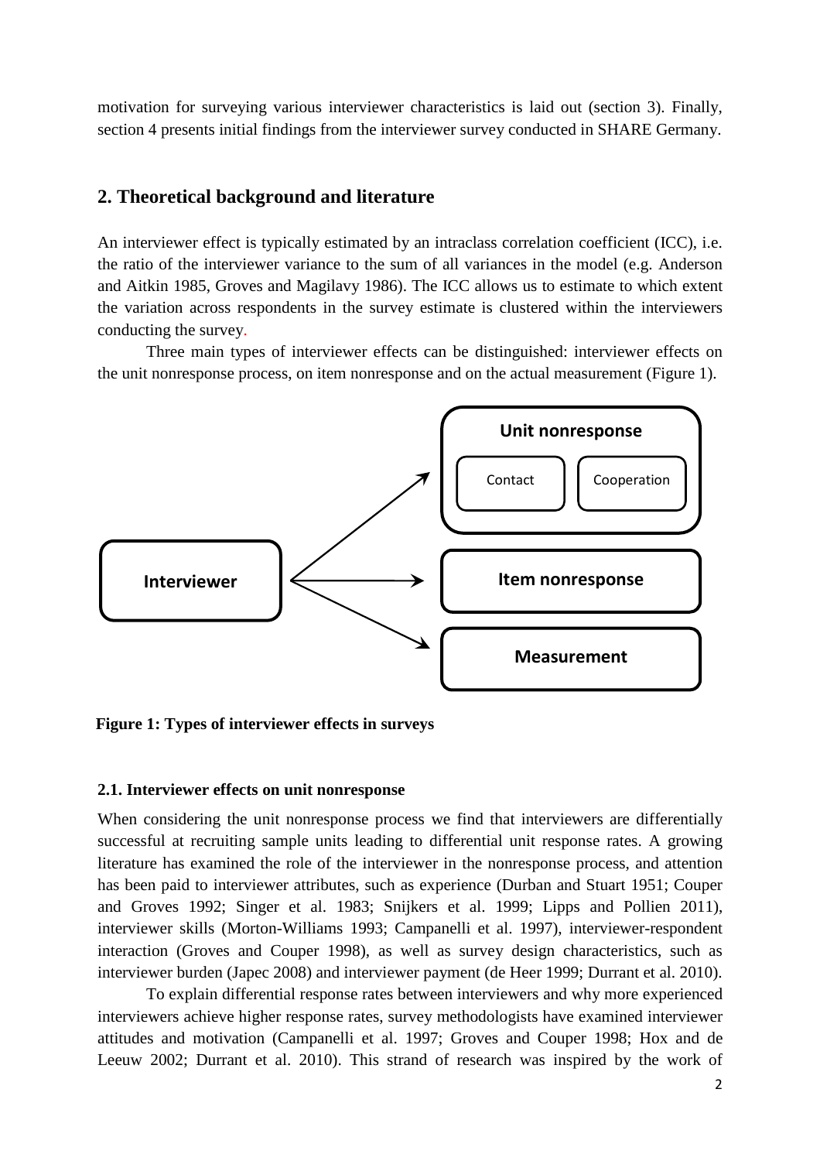motivation for surveying various interviewer characteristics is laid out (section 3). Finally, section 4 presents initial findings from the interviewer survey conducted in SHARE Germany.

## **2. Theoretical background and literature**

An interviewer effect is typically estimated by an intraclass correlation coefficient (ICC), i.e. the ratio of the interviewer variance to the sum of all variances in the model (e.g. Anderson and Aitkin 1985, Groves and Magilavy 1986). The ICC allows us to estimate to which extent the variation across respondents in the survey estimate is clustered within the interviewers conducting the survey.

Three main types of interviewer effects can be distinguished: interviewer effects on the unit nonresponse process, on item nonresponse and on the actual measurement (Figure 1).



**Figure 1: Types of interviewer effects in surveys** 

#### **2.1. Interviewer effects on unit nonresponse**

When considering the unit nonresponse process we find that interviewers are differentially successful at recruiting sample units leading to differential unit response rates. A growing literature has examined the role of the interviewer in the nonresponse process, and attention has been paid to interviewer attributes, such as experience (Durban and Stuart 1951; Couper and Groves 1992; Singer et al. 1983; Snijkers et al. 1999; Lipps and Pollien 2011), interviewer skills (Morton-Williams 1993; Campanelli et al. 1997), interviewer-respondent interaction (Groves and Couper 1998), as well as survey design characteristics, such as interviewer burden (Japec 2008) and interviewer payment (de Heer 1999; Durrant et al. 2010).

To explain differential response rates between interviewers and why more experienced interviewers achieve higher response rates, survey methodologists have examined interviewer attitudes and motivation (Campanelli et al. 1997; Groves and Couper 1998; Hox and de Leeuw 2002; Durrant et al. 2010). This strand of research was inspired by the work of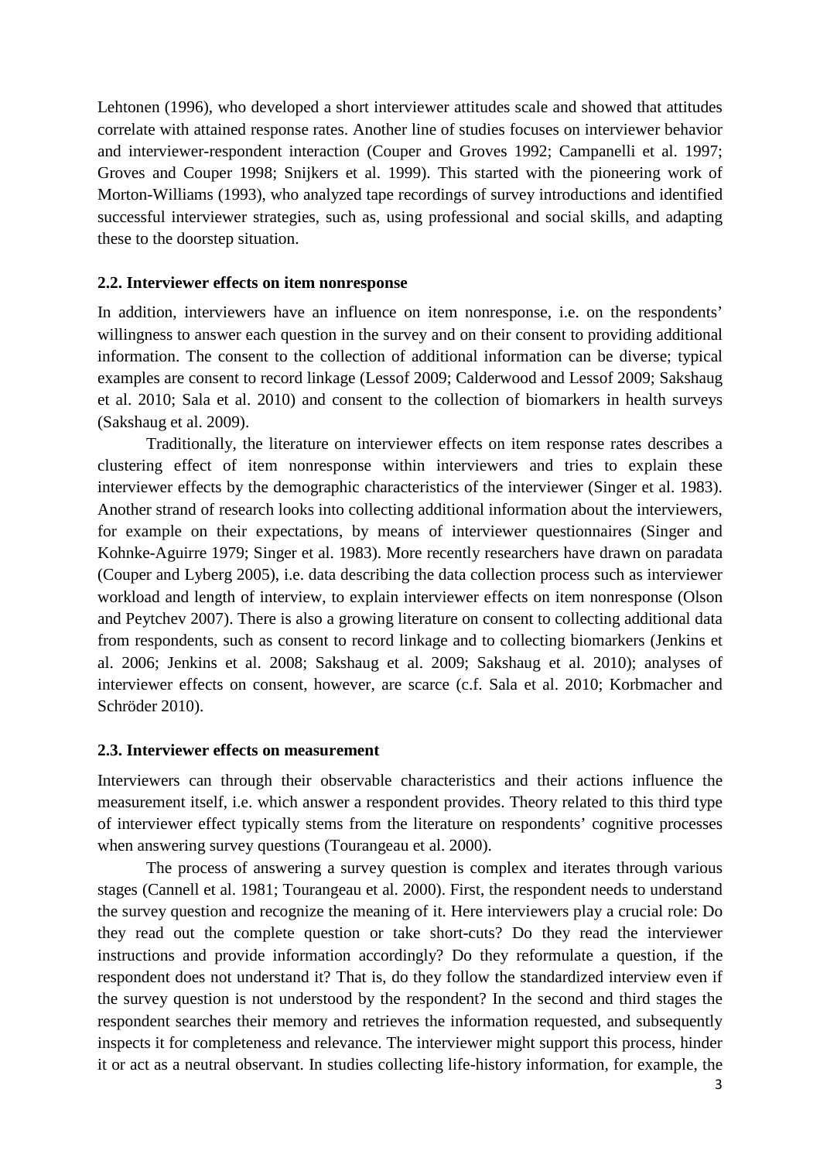Lehtonen (1996), who developed a short interviewer attitudes scale and showed that attitudes correlate with attained response rates. Another line of studies focuses on interviewer behavior and interviewer-respondent interaction (Couper and Groves 1992; Campanelli et al. 1997; Groves and Couper 1998; Snijkers et al. 1999). This started with the pioneering work of Morton-Williams (1993), who analyzed tape recordings of survey introductions and identified successful interviewer strategies, such as, using professional and social skills, and adapting these to the doorstep situation.

#### **2.2. Interviewer effects on item nonresponse**

In addition, interviewers have an influence on item nonresponse, i.e. on the respondents' willingness to answer each question in the survey and on their consent to providing additional information. The consent to the collection of additional information can be diverse; typical examples are consent to record linkage (Lessof 2009; Calderwood and Lessof 2009; Sakshaug et al. 2010; Sala et al. 2010) and consent to the collection of biomarkers in health surveys (Sakshaug et al. 2009).

Traditionally, the literature on interviewer effects on item response rates describes a clustering effect of item nonresponse within interviewers and tries to explain these interviewer effects by the demographic characteristics of the interviewer (Singer et al. 1983). Another strand of research looks into collecting additional information about the interviewers, for example on their expectations, by means of interviewer questionnaires (Singer and Kohnke-Aguirre 1979; Singer et al. 1983). More recently researchers have drawn on paradata (Couper and Lyberg 2005), i.e. data describing the data collection process such as interviewer workload and length of interview, to explain interviewer effects on item nonresponse (Olson and Peytchev 2007). There is also a growing literature on consent to collecting additional data from respondents, such as consent to record linkage and to collecting biomarkers (Jenkins et al. 2006; Jenkins et al. 2008; Sakshaug et al. 2009; Sakshaug et al. 2010); analyses of interviewer effects on consent, however, are scarce (c.f. Sala et al. 2010; Korbmacher and Schröder 2010).

#### **2.3. Interviewer effects on measurement**

Interviewers can through their observable characteristics and their actions influence the measurement itself, i.e. which answer a respondent provides. Theory related to this third type of interviewer effect typically stems from the literature on respondents' cognitive processes when answering survey questions (Tourangeau et al. 2000).

The process of answering a survey question is complex and iterates through various stages (Cannell et al. 1981; Tourangeau et al. 2000). First, the respondent needs to understand the survey question and recognize the meaning of it. Here interviewers play a crucial role: Do they read out the complete question or take short-cuts? Do they read the interviewer instructions and provide information accordingly? Do they reformulate a question, if the respondent does not understand it? That is, do they follow the standardized interview even if the survey question is not understood by the respondent? In the second and third stages the respondent searches their memory and retrieves the information requested, and subsequently inspects it for completeness and relevance. The interviewer might support this process, hinder it or act as a neutral observant. In studies collecting life-history information, for example, the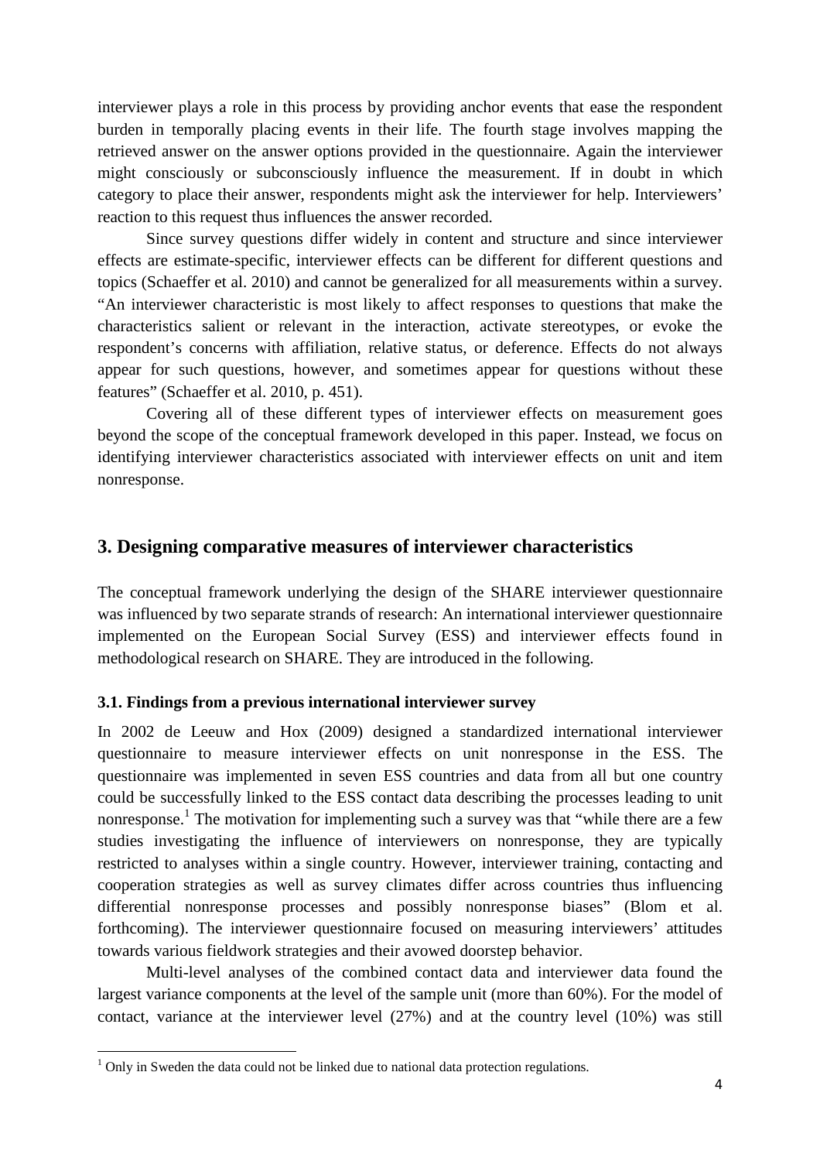interviewer plays a role in this process by providing anchor events that ease the respondent burden in temporally placing events in their life. The fourth stage involves mapping the retrieved answer on the answer options provided in the questionnaire. Again the interviewer might consciously or subconsciously influence the measurement. If in doubt in which category to place their answer, respondents might ask the interviewer for help. Interviewers' reaction to this request thus influences the answer recorded.

Since survey questions differ widely in content and structure and since interviewer effects are estimate-specific, interviewer effects can be different for different questions and topics (Schaeffer et al. 2010) and cannot be generalized for all measurements within a survey. "An interviewer characteristic is most likely to affect responses to questions that make the characteristics salient or relevant in the interaction, activate stereotypes, or evoke the respondent's concerns with affiliation, relative status, or deference. Effects do not always appear for such questions, however, and sometimes appear for questions without these features" (Schaeffer et al. 2010, p. 451).

Covering all of these different types of interviewer effects on measurement goes beyond the scope of the conceptual framework developed in this paper. Instead, we focus on identifying interviewer characteristics associated with interviewer effects on unit and item nonresponse.

#### **3. Designing comparative measures of interviewer characteristics**

The conceptual framework underlying the design of the SHARE interviewer questionnaire was influenced by two separate strands of research: An international interviewer questionnaire implemented on the European Social Survey (ESS) and interviewer effects found in methodological research on SHARE. They are introduced in the following.

#### **3.1. Findings from a previous international interviewer survey**

In 2002 de Leeuw and Hox (2009) designed a standardized international interviewer questionnaire to measure interviewer effects on unit nonresponse in the ESS. The questionnaire was implemented in seven ESS countries and data from all but one country could be successfully linked to the ESS contact data describing the processes leading to unit nonresponse.<sup>1</sup> The motivation for implementing such a survey was that "while there are a few studies investigating the influence of interviewers on nonresponse, they are typically restricted to analyses within a single country. However, interviewer training, contacting and cooperation strategies as well as survey climates differ across countries thus influencing differential nonresponse processes and possibly nonresponse biases" (Blom et al. forthcoming). The interviewer questionnaire focused on measuring interviewers' attitudes towards various fieldwork strategies and their avowed doorstep behavior.

Multi-level analyses of the combined contact data and interviewer data found the largest variance components at the level of the sample unit (more than 60%). For the model of contact, variance at the interviewer level (27%) and at the country level (10%) was still

l

 $1$  Only in Sweden the data could not be linked due to national data protection regulations.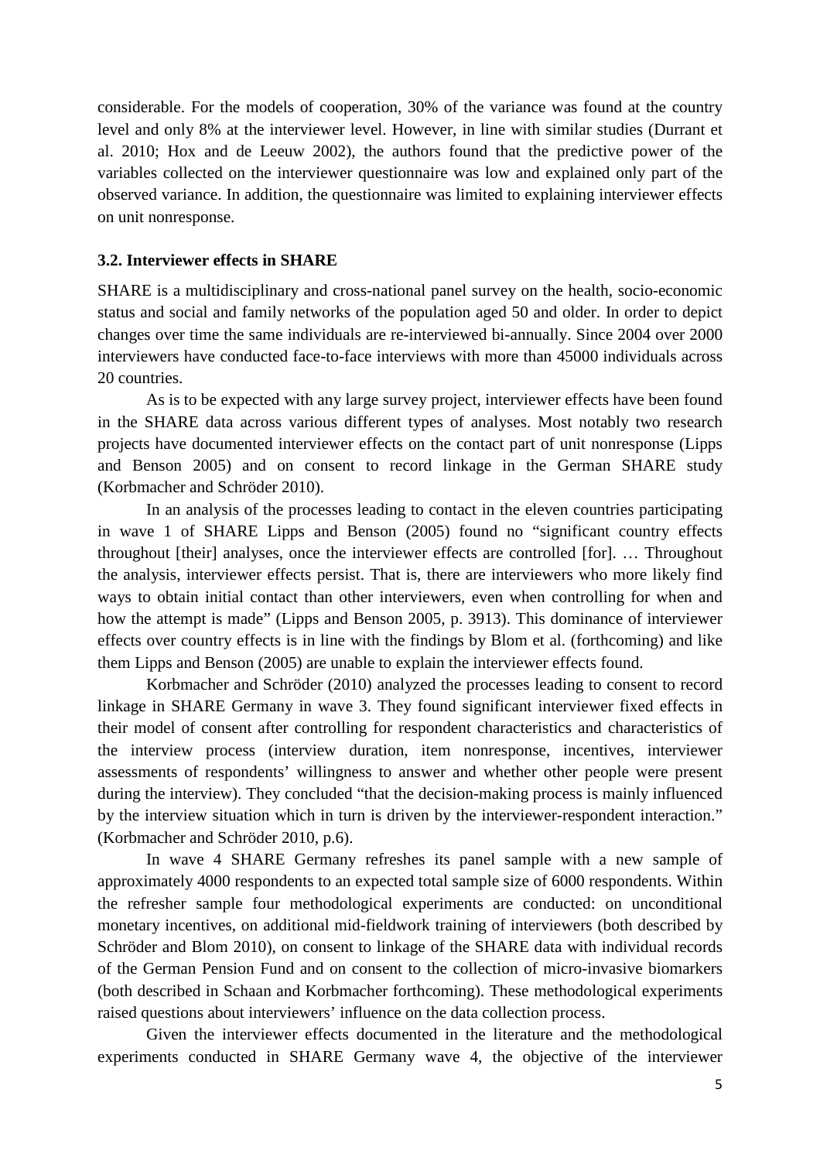considerable. For the models of cooperation, 30% of the variance was found at the country level and only 8% at the interviewer level. However, in line with similar studies (Durrant et al. 2010; Hox and de Leeuw 2002), the authors found that the predictive power of the variables collected on the interviewer questionnaire was low and explained only part of the observed variance. In addition, the questionnaire was limited to explaining interviewer effects on unit nonresponse.

#### **3.2. Interviewer effects in SHARE**

SHARE is a multidisciplinary and cross-national panel survey on the health, socio-economic status and social and family networks of the population aged 50 and older. In order to depict changes over time the same individuals are re-interviewed bi-annually. Since 2004 over 2000 interviewers have conducted face-to-face interviews with more than 45000 individuals across 20 countries.

As is to be expected with any large survey project, interviewer effects have been found in the SHARE data across various different types of analyses. Most notably two research projects have documented interviewer effects on the contact part of unit nonresponse (Lipps and Benson 2005) and on consent to record linkage in the German SHARE study (Korbmacher and Schröder 2010).

In an analysis of the processes leading to contact in the eleven countries participating in wave 1 of SHARE Lipps and Benson (2005) found no "significant country effects throughout [their] analyses, once the interviewer effects are controlled [for]. … Throughout the analysis, interviewer effects persist. That is, there are interviewers who more likely find ways to obtain initial contact than other interviewers, even when controlling for when and how the attempt is made" (Lipps and Benson 2005, p. 3913). This dominance of interviewer effects over country effects is in line with the findings by Blom et al. (forthcoming) and like them Lipps and Benson (2005) are unable to explain the interviewer effects found.

Korbmacher and Schröder (2010) analyzed the processes leading to consent to record linkage in SHARE Germany in wave 3. They found significant interviewer fixed effects in their model of consent after controlling for respondent characteristics and characteristics of the interview process (interview duration, item nonresponse, incentives, interviewer assessments of respondents' willingness to answer and whether other people were present during the interview). They concluded "that the decision-making process is mainly influenced by the interview situation which in turn is driven by the interviewer-respondent interaction." (Korbmacher and Schröder 2010, p.6).

In wave 4 SHARE Germany refreshes its panel sample with a new sample of approximately 4000 respondents to an expected total sample size of 6000 respondents. Within the refresher sample four methodological experiments are conducted: on unconditional monetary incentives, on additional mid-fieldwork training of interviewers (both described by Schröder and Blom 2010), on consent to linkage of the SHARE data with individual records of the German Pension Fund and on consent to the collection of micro-invasive biomarkers (both described in Schaan and Korbmacher forthcoming). These methodological experiments raised questions about interviewers' influence on the data collection process.

Given the interviewer effects documented in the literature and the methodological experiments conducted in SHARE Germany wave 4, the objective of the interviewer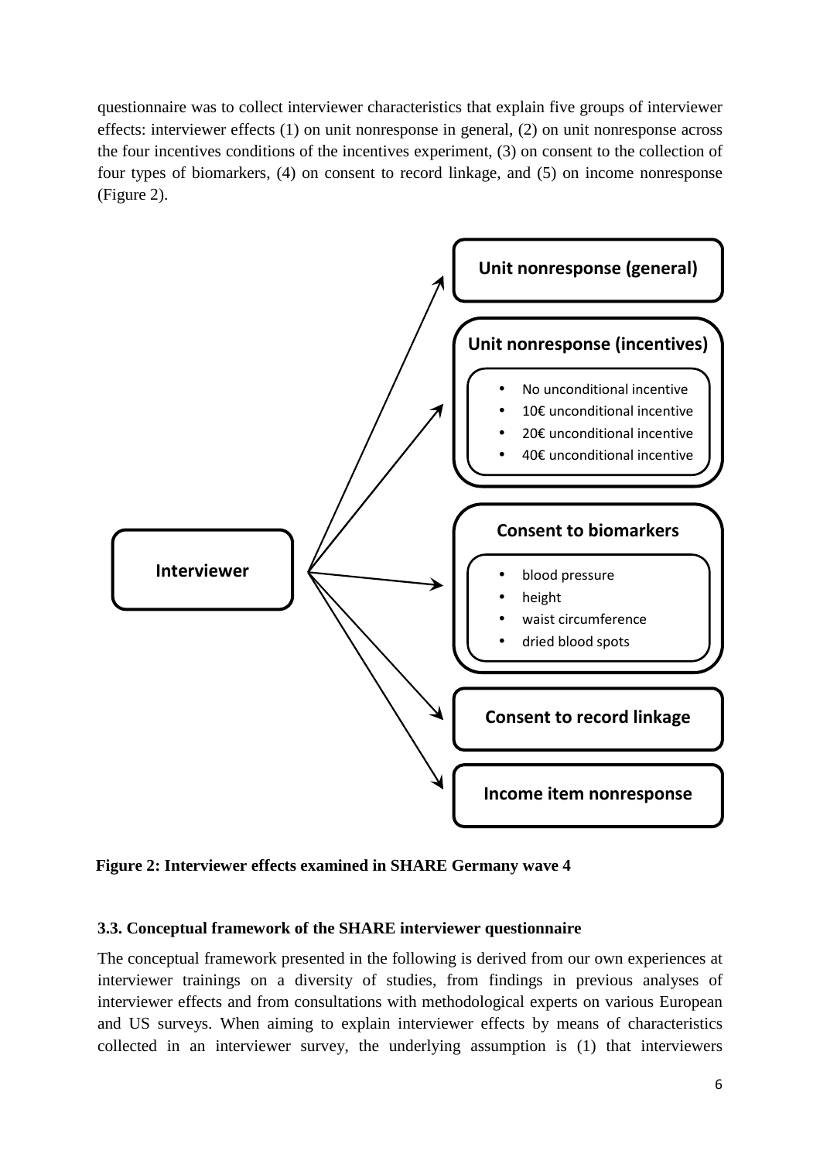questionnaire was to collect interviewer characteristics that explain five groups of interviewer effects: interviewer effects (1) on unit nonresponse in general, (2) on unit nonresponse across the four incentives conditions of the incentives experiment, (3) on consent to the collection of four types of biomarkers, (4) on consent to record linkage, and (5) on income nonresponse (Figure 2).



**Figure 2: Interviewer effects examined in SHARE Germany wave 4** 

#### **3.3. Conceptual framework of the SHARE interviewer questionnaire**

The conceptual framework presented in the following is derived from our own experiences at interviewer trainings on a diversity of studies, from findings in previous analyses of interviewer effects and from consultations with methodological experts on various European and US surveys. When aiming to explain interviewer effects by means of characteristics collected in an interviewer survey, the underlying assumption is (1) that interviewers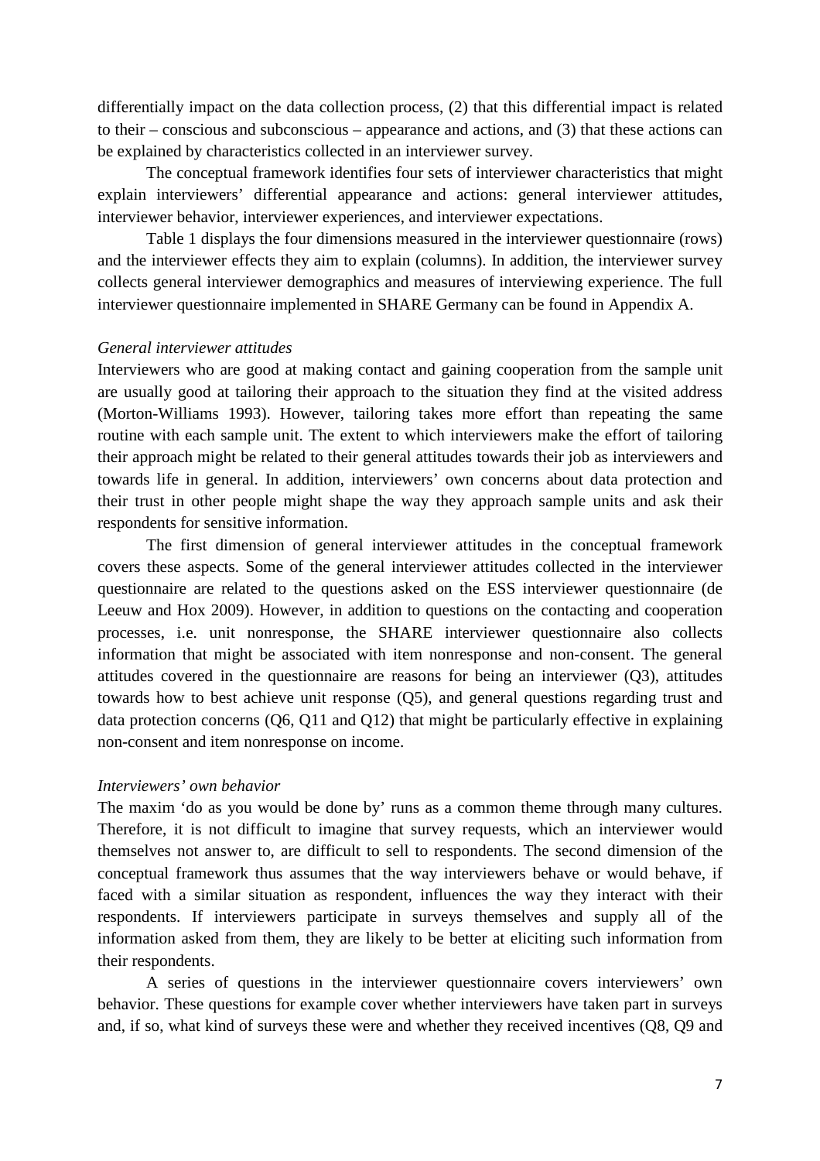differentially impact on the data collection process, (2) that this differential impact is related to their – conscious and subconscious – appearance and actions, and (3) that these actions can be explained by characteristics collected in an interviewer survey.

 The conceptual framework identifies four sets of interviewer characteristics that might explain interviewers' differential appearance and actions: general interviewer attitudes, interviewer behavior, interviewer experiences, and interviewer expectations.

 Table 1 displays the four dimensions measured in the interviewer questionnaire (rows) and the interviewer effects they aim to explain (columns). In addition, the interviewer survey collects general interviewer demographics and measures of interviewing experience. The full interviewer questionnaire implemented in SHARE Germany can be found in Appendix A.

#### *General interviewer attitudes*

Interviewers who are good at making contact and gaining cooperation from the sample unit are usually good at tailoring their approach to the situation they find at the visited address (Morton-Williams 1993). However, tailoring takes more effort than repeating the same routine with each sample unit. The extent to which interviewers make the effort of tailoring their approach might be related to their general attitudes towards their job as interviewers and towards life in general. In addition, interviewers' own concerns about data protection and their trust in other people might shape the way they approach sample units and ask their respondents for sensitive information.

 The first dimension of general interviewer attitudes in the conceptual framework covers these aspects. Some of the general interviewer attitudes collected in the interviewer questionnaire are related to the questions asked on the ESS interviewer questionnaire (de Leeuw and Hox 2009). However, in addition to questions on the contacting and cooperation processes, i.e. unit nonresponse, the SHARE interviewer questionnaire also collects information that might be associated with item nonresponse and non-consent. The general attitudes covered in the questionnaire are reasons for being an interviewer (Q3), attitudes towards how to best achieve unit response (Q5), and general questions regarding trust and data protection concerns (Q6, Q11 and Q12) that might be particularly effective in explaining non-consent and item nonresponse on income.

#### *Interviewers' own behavior*

The maxim 'do as you would be done by' runs as a common theme through many cultures. Therefore, it is not difficult to imagine that survey requests, which an interviewer would themselves not answer to, are difficult to sell to respondents. The second dimension of the conceptual framework thus assumes that the way interviewers behave or would behave, if faced with a similar situation as respondent, influences the way they interact with their respondents. If interviewers participate in surveys themselves and supply all of the information asked from them, they are likely to be better at eliciting such information from their respondents.

 A series of questions in the interviewer questionnaire covers interviewers' own behavior. These questions for example cover whether interviewers have taken part in surveys and, if so, what kind of surveys these were and whether they received incentives (Q8, Q9 and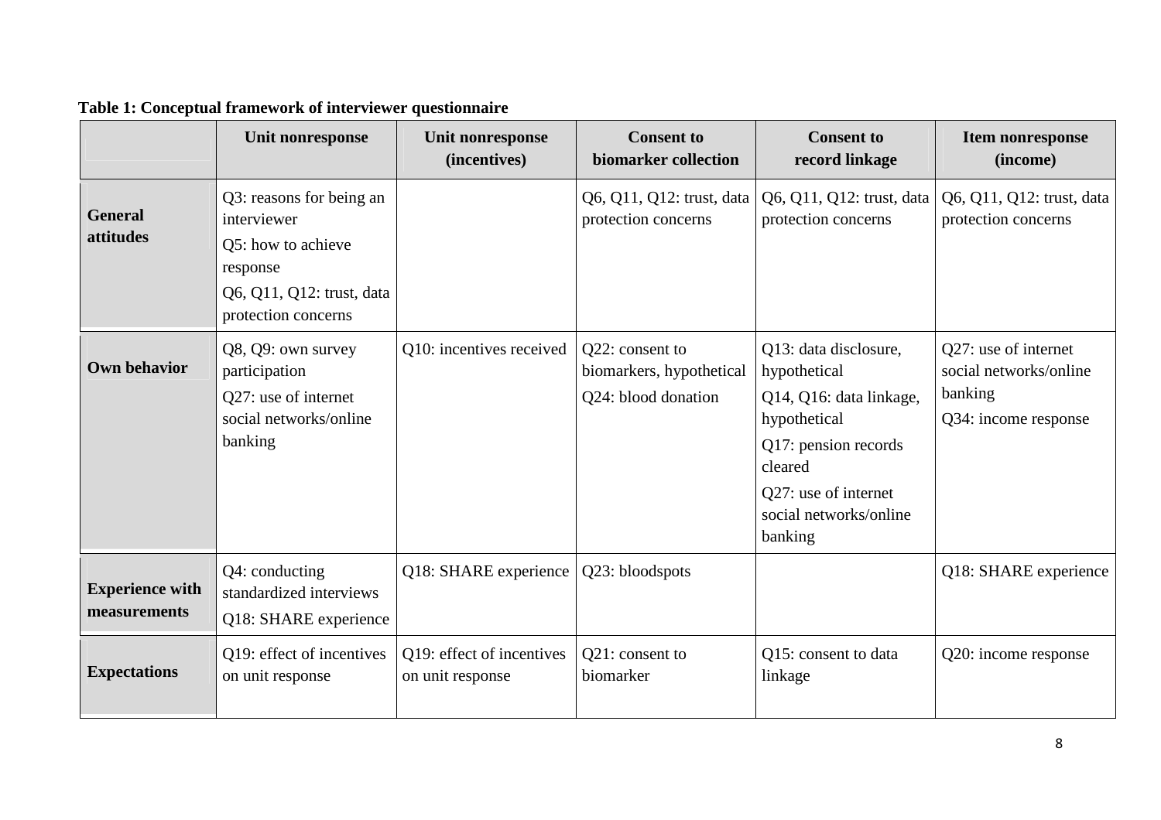|                                        | Unit nonresponse                                                                                                              | Unit nonresponse<br>(incentives)              | <b>Consent to</b><br>biomarker collection                          | <b>Consent to</b><br>record linkage                                                                                                                                              | <b>Item nonresponse</b><br>(income)                                               |
|----------------------------------------|-------------------------------------------------------------------------------------------------------------------------------|-----------------------------------------------|--------------------------------------------------------------------|----------------------------------------------------------------------------------------------------------------------------------------------------------------------------------|-----------------------------------------------------------------------------------|
| <b>General</b><br>attitudes            | Q3: reasons for being an<br>interviewer<br>Q5: how to achieve<br>response<br>Q6, Q11, Q12: trust, data<br>protection concerns |                                               | Q6, Q11, Q12: trust, data<br>protection concerns                   | Q6, Q11, Q12: trust, data<br>protection concerns                                                                                                                                 | Q6, Q11, Q12: trust, data<br>protection concerns                                  |
| <b>Own behavior</b>                    | Q8, Q9: own survey<br>participation<br>Q27: use of internet<br>social networks/online<br>banking                              | Q10: incentives received                      | Q22: consent to<br>biomarkers, hypothetical<br>Q24: blood donation | Q13: data disclosure,<br>hypothetical<br>Q14, Q16: data linkage,<br>hypothetical<br>Q17: pension records<br>cleared<br>Q27: use of internet<br>social networks/online<br>banking | Q27: use of internet<br>social networks/online<br>banking<br>Q34: income response |
| <b>Experience with</b><br>measurements | Q4: conducting<br>standardized interviews<br>Q18: SHARE experience                                                            | Q18: SHARE experience                         | Q23: bloodspots                                                    |                                                                                                                                                                                  | Q18: SHARE experience                                                             |
| <b>Expectations</b>                    | Q19: effect of incentives<br>on unit response                                                                                 | Q19: effect of incentives<br>on unit response | Q21: consent to<br>biomarker                                       | Q15: consent to data<br>linkage                                                                                                                                                  | Q20: income response                                                              |

#### **Table 1: Conceptual framework of interviewer questionnaire**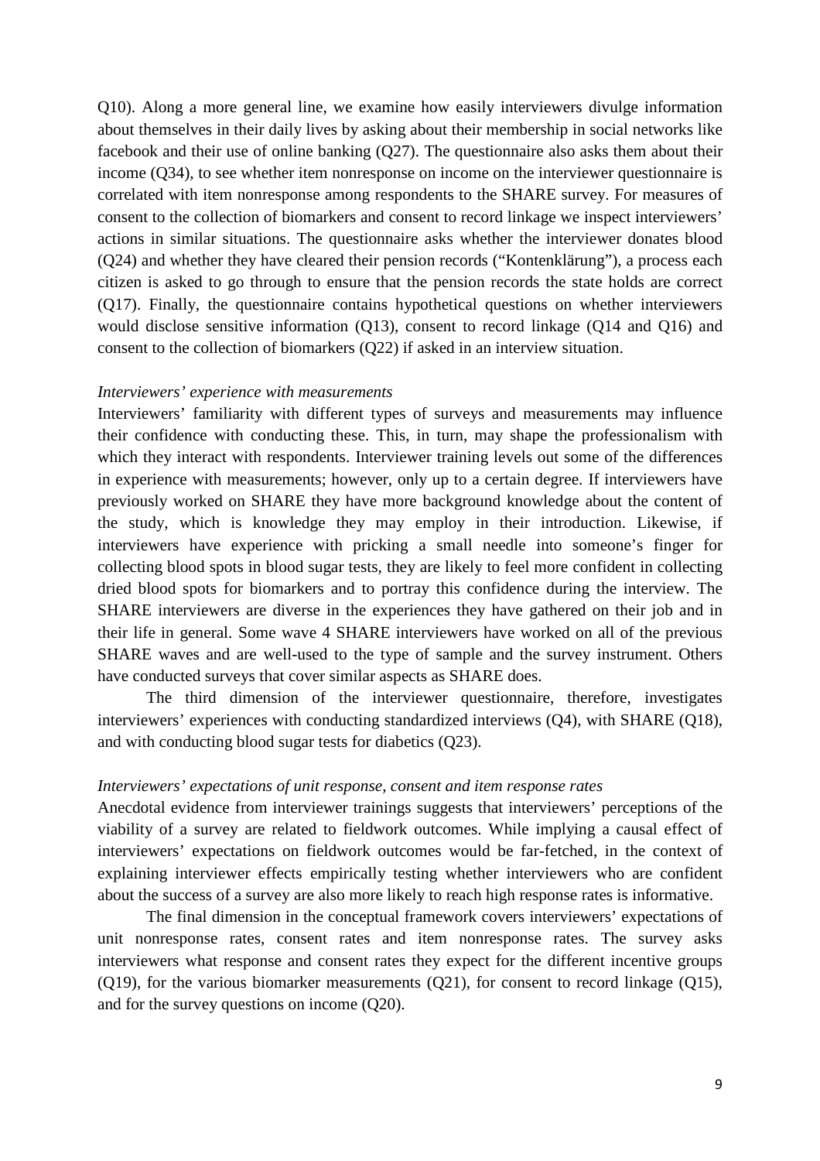Q10). Along a more general line, we examine how easily interviewers divulge information about themselves in their daily lives by asking about their membership in social networks like facebook and their use of online banking (Q27). The questionnaire also asks them about their income (Q34), to see whether item nonresponse on income on the interviewer questionnaire is correlated with item nonresponse among respondents to the SHARE survey. For measures of consent to the collection of biomarkers and consent to record linkage we inspect interviewers' actions in similar situations. The questionnaire asks whether the interviewer donates blood (Q24) and whether they have cleared their pension records ("Kontenklärung"), a process each citizen is asked to go through to ensure that the pension records the state holds are correct (Q17). Finally, the questionnaire contains hypothetical questions on whether interviewers would disclose sensitive information (Q13), consent to record linkage (Q14 and Q16) and consent to the collection of biomarkers (Q22) if asked in an interview situation.

#### *Interviewers' experience with measurements*

Interviewers' familiarity with different types of surveys and measurements may influence their confidence with conducting these. This, in turn, may shape the professionalism with which they interact with respondents. Interviewer training levels out some of the differences in experience with measurements; however, only up to a certain degree. If interviewers have previously worked on SHARE they have more background knowledge about the content of the study, which is knowledge they may employ in their introduction. Likewise, if interviewers have experience with pricking a small needle into someone's finger for collecting blood spots in blood sugar tests, they are likely to feel more confident in collecting dried blood spots for biomarkers and to portray this confidence during the interview. The SHARE interviewers are diverse in the experiences they have gathered on their job and in their life in general. Some wave 4 SHARE interviewers have worked on all of the previous SHARE waves and are well-used to the type of sample and the survey instrument. Others have conducted surveys that cover similar aspects as SHARE does.

 The third dimension of the interviewer questionnaire, therefore, investigates interviewers' experiences with conducting standardized interviews (Q4), with SHARE (Q18), and with conducting blood sugar tests for diabetics (Q23).

#### *Interviewers' expectations of unit response, consent and item response rates*

Anecdotal evidence from interviewer trainings suggests that interviewers' perceptions of the viability of a survey are related to fieldwork outcomes. While implying a causal effect of interviewers' expectations on fieldwork outcomes would be far-fetched, in the context of explaining interviewer effects empirically testing whether interviewers who are confident about the success of a survey are also more likely to reach high response rates is informative.

 The final dimension in the conceptual framework covers interviewers' expectations of unit nonresponse rates, consent rates and item nonresponse rates. The survey asks interviewers what response and consent rates they expect for the different incentive groups (Q19), for the various biomarker measurements (Q21), for consent to record linkage (Q15), and for the survey questions on income (Q20).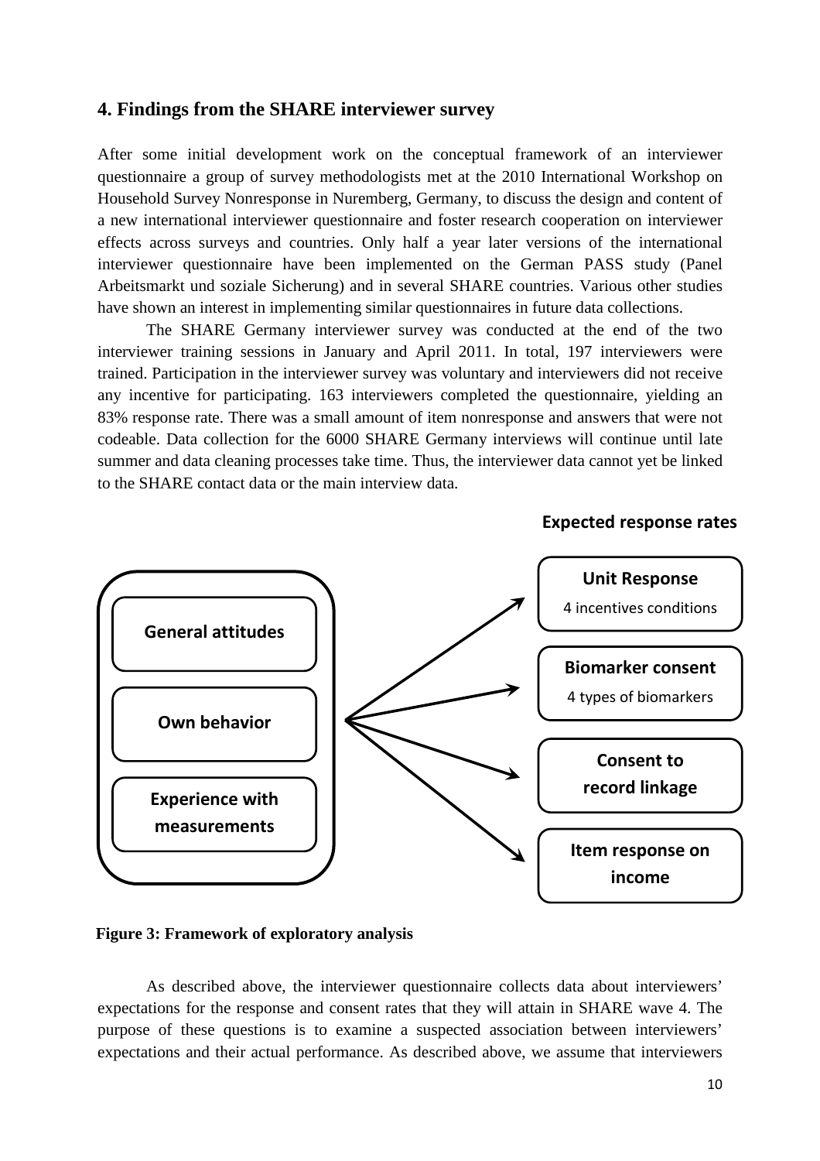#### **4. Findings from the SHARE interviewer survey**

After some initial development work on the conceptual framework of an interviewer questionnaire a group of survey methodologists met at the 2010 International Workshop on Household Survey Nonresponse in Nuremberg, Germany, to discuss the design and content of a new international interviewer questionnaire and foster research cooperation on interviewer effects across surveys and countries. Only half a year later versions of the international interviewer questionnaire have been implemented on the German PASS study (Panel Arbeitsmarkt und soziale Sicherung) and in several SHARE countries. Various other studies have shown an interest in implementing similar questionnaires in future data collections.

 The SHARE Germany interviewer survey was conducted at the end of the two interviewer training sessions in January and April 2011. In total, 197 interviewers were trained. Participation in the interviewer survey was voluntary and interviewers did not receive any incentive for participating. 163 interviewers completed the questionnaire, yielding an 83% response rate. There was a small amount of item nonresponse and answers that were not codeable. Data collection for the 6000 SHARE Germany interviews will continue until late summer and data cleaning processes take time. Thus, the interviewer data cannot yet be linked to the SHARE contact data or the main interview data.



**Expected response rates**

#### **Figure 3: Framework of exploratory analysis**

 As described above, the interviewer questionnaire collects data about interviewers' expectations for the response and consent rates that they will attain in SHARE wave 4. The purpose of these questions is to examine a suspected association between interviewers' expectations and their actual performance. As described above, we assume that interviewers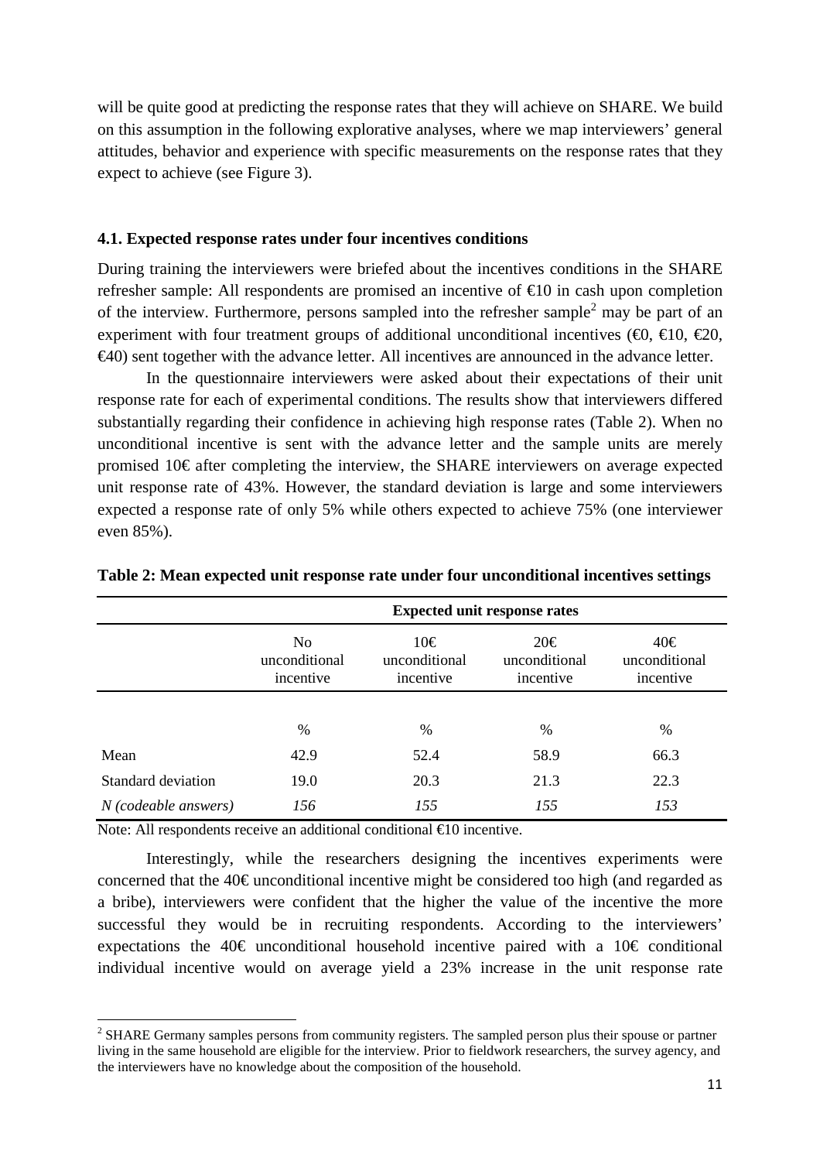will be quite good at predicting the response rates that they will achieve on SHARE. We build on this assumption in the following explorative analyses, where we map interviewers' general attitudes, behavior and experience with specific measurements on the response rates that they expect to achieve (see Figure 3).

#### **4.1. Expected response rates under four incentives conditions**

During training the interviewers were briefed about the incentives conditions in the SHARE refresher sample: All respondents are promised an incentive of €10 in cash upon completion of the interview. Furthermore, persons sampled into the refresher sample<sup>2</sup> may be part of an experiment with four treatment groups of additional unconditional incentives ( $\epsilon$ 0,  $\epsilon$ 10,  $\epsilon$ 20,  $\epsilon$ 40) sent together with the advance letter. All incentives are announced in the advance letter.

 In the questionnaire interviewers were asked about their expectations of their unit response rate for each of experimental conditions. The results show that interviewers differed substantially regarding their confidence in achieving high response rates (Table 2). When no unconditional incentive is sent with the advance letter and the sample units are merely promised 10€ after completing the interview, the SHARE interviewers on average expected unit response rate of 43%. However, the standard deviation is large and some interviewers expected a response rate of only 5% while others expected to achieve 75% (one interviewer even 85%).

|                        | <b>Expected unit response rates</b>          |                                   |                                   |                                   |  |  |  |  |  |
|------------------------|----------------------------------------------|-----------------------------------|-----------------------------------|-----------------------------------|--|--|--|--|--|
|                        | N <sub>0</sub><br>unconditional<br>incentive | 10€<br>unconditional<br>incentive | 20€<br>unconditional<br>incentive | 40€<br>unconditional<br>incentive |  |  |  |  |  |
|                        |                                              |                                   |                                   |                                   |  |  |  |  |  |
|                        | %                                            | $\frac{0}{0}$                     | %                                 | $\frac{0}{0}$                     |  |  |  |  |  |
| Mean                   | 42.9                                         | 52.4                              | 58.9                              | 66.3                              |  |  |  |  |  |
| Standard deviation     | 19.0                                         | 20.3                              | 21.3                              | 22.3                              |  |  |  |  |  |
| $N$ (codeable answers) | 156                                          | 155                               | 155                               | 153                               |  |  |  |  |  |

**Table 2: Mean expected unit response rate under four unconditional incentives settings** 

Note: All respondents receive an additional conditional €10 incentive.

l

 Interestingly, while the researchers designing the incentives experiments were concerned that the 40€ unconditional incentive might be considered too high (and regarded as a bribe), interviewers were confident that the higher the value of the incentive the more successful they would be in recruiting respondents. According to the interviewers' expectations the 40€ unconditional household incentive paired with a 10€ conditional individual incentive would on average yield a 23% increase in the unit response rate

 $2$  SHARE Germany samples persons from community registers. The sampled person plus their spouse or partner living in the same household are eligible for the interview. Prior to fieldwork researchers, the survey agency, and the interviewers have no knowledge about the composition of the household.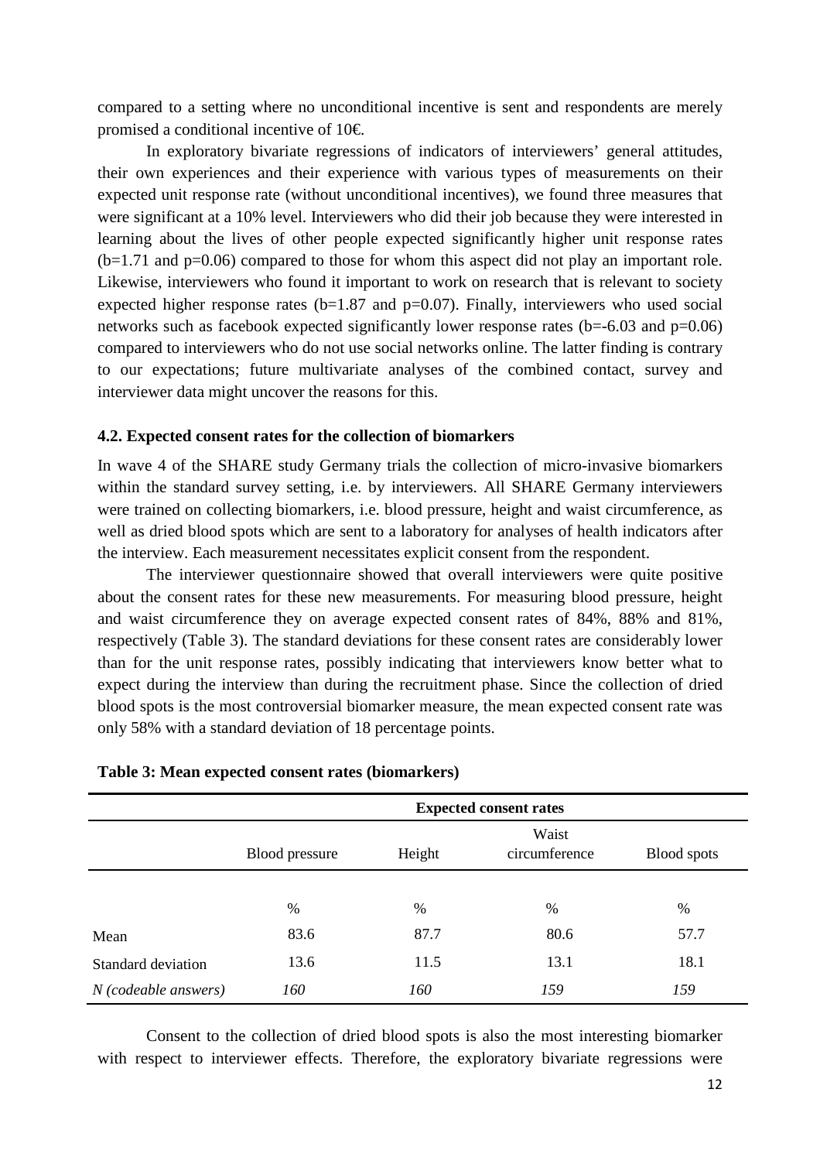compared to a setting where no unconditional incentive is sent and respondents are merely promised a conditional incentive of 10€.

 In exploratory bivariate regressions of indicators of interviewers' general attitudes, their own experiences and their experience with various types of measurements on their expected unit response rate (without unconditional incentives), we found three measures that were significant at a 10% level. Interviewers who did their job because they were interested in learning about the lives of other people expected significantly higher unit response rates (b=1.71 and p=0.06) compared to those for whom this aspect did not play an important role. Likewise, interviewers who found it important to work on research that is relevant to society expected higher response rates  $(b=1.87 \text{ and } p=0.07)$ . Finally, interviewers who used social networks such as facebook expected significantly lower response rates  $(b=6.03$  and  $p=0.06$ ) compared to interviewers who do not use social networks online. The latter finding is contrary to our expectations; future multivariate analyses of the combined contact, survey and interviewer data might uncover the reasons for this.

#### **4.2. Expected consent rates for the collection of biomarkers**

In wave 4 of the SHARE study Germany trials the collection of micro-invasive biomarkers within the standard survey setting, i.e. by interviewers. All SHARE Germany interviewers were trained on collecting biomarkers, i.e. blood pressure, height and waist circumference, as well as dried blood spots which are sent to a laboratory for analyses of health indicators after the interview. Each measurement necessitates explicit consent from the respondent.

 The interviewer questionnaire showed that overall interviewers were quite positive about the consent rates for these new measurements. For measuring blood pressure, height and waist circumference they on average expected consent rates of 84%, 88% and 81%, respectively (Table 3). The standard deviations for these consent rates are considerably lower than for the unit response rates, possibly indicating that interviewers know better what to expect during the interview than during the recruitment phase. Since the collection of dried blood spots is the most controversial biomarker measure, the mean expected consent rate was only 58% with a standard deviation of 18 percentage points.

|                        | <b>Expected consent rates</b> |                                                        |      |      |  |  |  |  |
|------------------------|-------------------------------|--------------------------------------------------------|------|------|--|--|--|--|
|                        | Blood pressure                | Waist<br>circumference<br>Height<br><b>Blood</b> spots |      |      |  |  |  |  |
|                        |                               |                                                        |      |      |  |  |  |  |
|                        | $\%$                          | $\%$                                                   | %    | %    |  |  |  |  |
| Mean                   | 83.6                          | 87.7                                                   | 80.6 | 57.7 |  |  |  |  |
| Standard deviation     | 13.6                          | 11.5                                                   | 13.1 | 18.1 |  |  |  |  |
| $N$ (codeable answers) | 160                           | 160                                                    | 159  | 159  |  |  |  |  |

#### **Table 3: Mean expected consent rates (biomarkers)**

 Consent to the collection of dried blood spots is also the most interesting biomarker with respect to interviewer effects. Therefore, the exploratory bivariate regressions were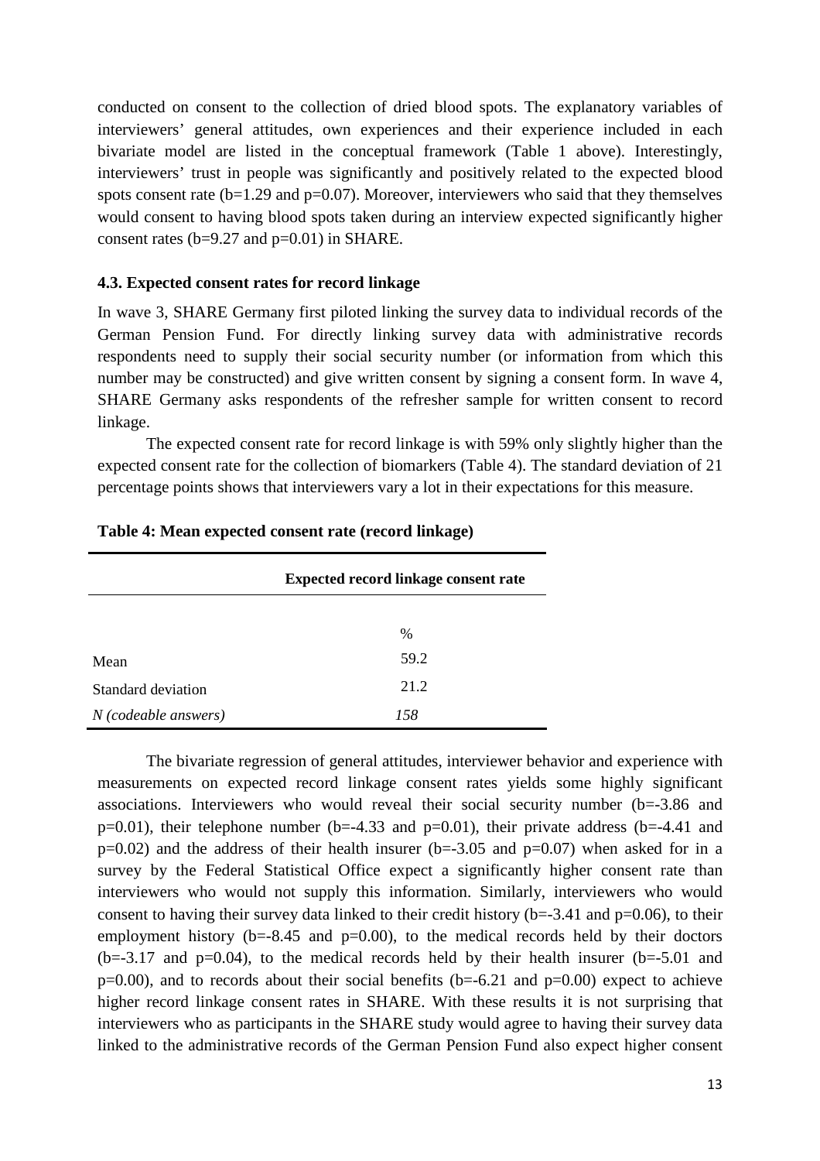conducted on consent to the collection of dried blood spots. The explanatory variables of interviewers' general attitudes, own experiences and their experience included in each bivariate model are listed in the conceptual framework (Table 1 above). Interestingly, interviewers' trust in people was significantly and positively related to the expected blood spots consent rate  $(b=1.29$  and  $p=0.07)$ . Moreover, interviewers who said that they themselves would consent to having blood spots taken during an interview expected significantly higher consent rates (b=9.27 and p=0.01) in SHARE.

#### **4.3. Expected consent rates for record linkage**

In wave 3, SHARE Germany first piloted linking the survey data to individual records of the German Pension Fund. For directly linking survey data with administrative records respondents need to supply their social security number (or information from which this number may be constructed) and give written consent by signing a consent form. In wave 4, SHARE Germany asks respondents of the refresher sample for written consent to record linkage.

 The expected consent rate for record linkage is with 59% only slightly higher than the expected consent rate for the collection of biomarkers (Table 4). The standard deviation of 21 percentage points shows that interviewers vary a lot in their expectations for this measure.

|                        | <b>Expected record linkage consent rate</b> |
|------------------------|---------------------------------------------|
|                        |                                             |
|                        | $\frac{0}{0}$                               |
| Mean                   | 59.2                                        |
| Standard deviation     | 21.2                                        |
| $N$ (codeable answers) | 158                                         |

#### **Table 4: Mean expected consent rate (record linkage)**

 The bivariate regression of general attitudes, interviewer behavior and experience with measurements on expected record linkage consent rates yields some highly significant associations. Interviewers who would reveal their social security number (b=-3.86 and  $p=0.01$ ), their telephone number (b=-4.33 and  $p=0.01$ ), their private address (b=-4.41 and  $p=0.02$ ) and the address of their health insurer (b=-3.05 and  $p=0.07$ ) when asked for in a survey by the Federal Statistical Office expect a significantly higher consent rate than interviewers who would not supply this information. Similarly, interviewers who would consent to having their survey data linked to their credit history ( $b = -3.41$  and  $p = 0.06$ ), to their employment history  $(b=8.45$  and  $p=0.00)$ , to the medical records held by their doctors  $(b=3.17$  and  $p=0.04$ ), to the medical records held by their health insurer  $(b=5.01$  and  $p=0.00$ ), and to records about their social benefits (b=-6.21 and  $p=0.00$ ) expect to achieve higher record linkage consent rates in SHARE. With these results it is not surprising that interviewers who as participants in the SHARE study would agree to having their survey data linked to the administrative records of the German Pension Fund also expect higher consent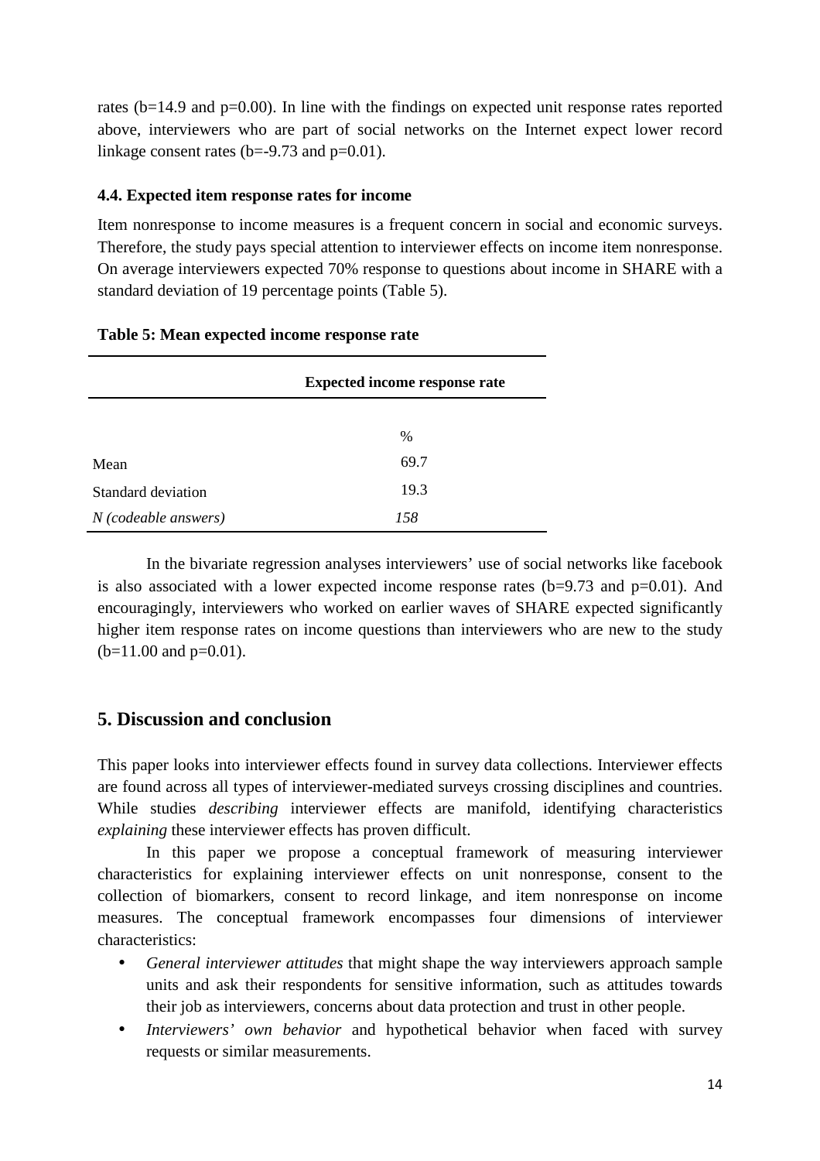rates (b=14.9 and p=0.00). In line with the findings on expected unit response rates reported above, interviewers who are part of social networks on the Internet expect lower record linkage consent rates ( $b=-9.73$  and  $p=0.01$ ).

#### **4.4. Expected item response rates for income**

Item nonresponse to income measures is a frequent concern in social and economic surveys. Therefore, the study pays special attention to interviewer effects on income item nonresponse. On average interviewers expected 70% response to questions about income in SHARE with a standard deviation of 19 percentage points (Table 5).

| Table 5: Mean expected income response rate |  |
|---------------------------------------------|--|
|---------------------------------------------|--|

|                        | <b>Expected income response rate</b> |  |  |  |  |  |
|------------------------|--------------------------------------|--|--|--|--|--|
|                        |                                      |  |  |  |  |  |
|                        | $\%$                                 |  |  |  |  |  |
| Mean                   | 69.7                                 |  |  |  |  |  |
| Standard deviation     | 19.3                                 |  |  |  |  |  |
| $N$ (codeable answers) | 158                                  |  |  |  |  |  |

 In the bivariate regression analyses interviewers' use of social networks like facebook is also associated with a lower expected income response rates  $(b=9.73$  and  $p=0.01$ ). And encouragingly, interviewers who worked on earlier waves of SHARE expected significantly higher item response rates on income questions than interviewers who are new to the study  $(b=11.00$  and  $p=0.01$ ).

## **5. Discussion and conclusion**

This paper looks into interviewer effects found in survey data collections. Interviewer effects are found across all types of interviewer-mediated surveys crossing disciplines and countries. While studies *describing* interviewer effects are manifold, identifying characteristics *explaining* these interviewer effects has proven difficult.

 In this paper we propose a conceptual framework of measuring interviewer characteristics for explaining interviewer effects on unit nonresponse, consent to the collection of biomarkers, consent to record linkage, and item nonresponse on income measures. The conceptual framework encompasses four dimensions of interviewer characteristics:

- *General interviewer attitudes* that might shape the way interviewers approach sample units and ask their respondents for sensitive information, such as attitudes towards their job as interviewers, concerns about data protection and trust in other people.
- *Interviewers' own behavior* and hypothetical behavior when faced with survey requests or similar measurements.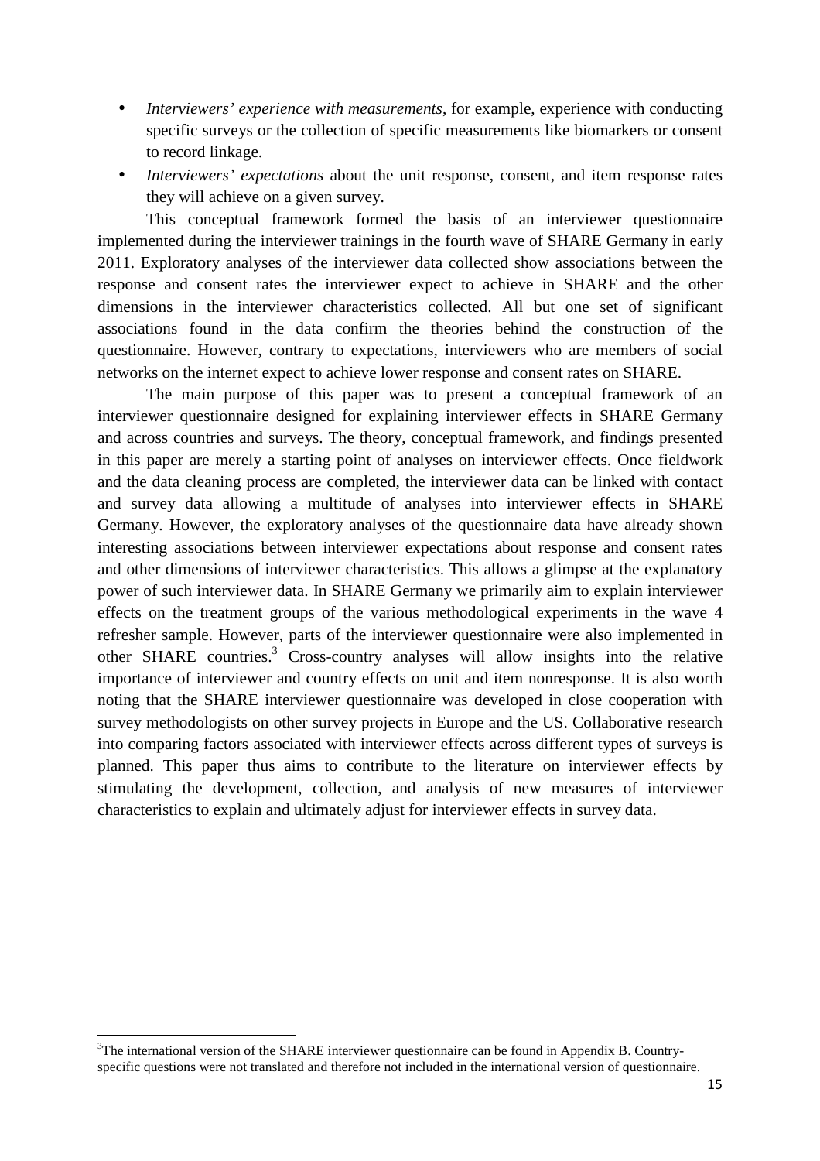- *Interviewers' experience with measurements*, for example, experience with conducting specific surveys or the collection of specific measurements like biomarkers or consent to record linkage.
- *Interviewers' expectations* about the unit response, consent, and item response rates they will achieve on a given survey.

 This conceptual framework formed the basis of an interviewer questionnaire implemented during the interviewer trainings in the fourth wave of SHARE Germany in early 2011. Exploratory analyses of the interviewer data collected show associations between the response and consent rates the interviewer expect to achieve in SHARE and the other dimensions in the interviewer characteristics collected. All but one set of significant associations found in the data confirm the theories behind the construction of the questionnaire. However, contrary to expectations, interviewers who are members of social networks on the internet expect to achieve lower response and consent rates on SHARE.

 The main purpose of this paper was to present a conceptual framework of an interviewer questionnaire designed for explaining interviewer effects in SHARE Germany and across countries and surveys. The theory, conceptual framework, and findings presented in this paper are merely a starting point of analyses on interviewer effects. Once fieldwork and the data cleaning process are completed, the interviewer data can be linked with contact and survey data allowing a multitude of analyses into interviewer effects in SHARE Germany. However, the exploratory analyses of the questionnaire data have already shown interesting associations between interviewer expectations about response and consent rates and other dimensions of interviewer characteristics. This allows a glimpse at the explanatory power of such interviewer data. In SHARE Germany we primarily aim to explain interviewer effects on the treatment groups of the various methodological experiments in the wave 4 refresher sample. However, parts of the interviewer questionnaire were also implemented in other SHARE countries.<sup>3</sup> Cross-country analyses will allow insights into the relative importance of interviewer and country effects on unit and item nonresponse. It is also worth noting that the SHARE interviewer questionnaire was developed in close cooperation with survey methodologists on other survey projects in Europe and the US. Collaborative research into comparing factors associated with interviewer effects across different types of surveys is planned. This paper thus aims to contribute to the literature on interviewer effects by stimulating the development, collection, and analysis of new measures of interviewer characteristics to explain and ultimately adjust for interviewer effects in survey data.

l

 $3$ The international version of the SHARE interviewer questionnaire can be found in Appendix B. Countryspecific questions were not translated and therefore not included in the international version of questionnaire.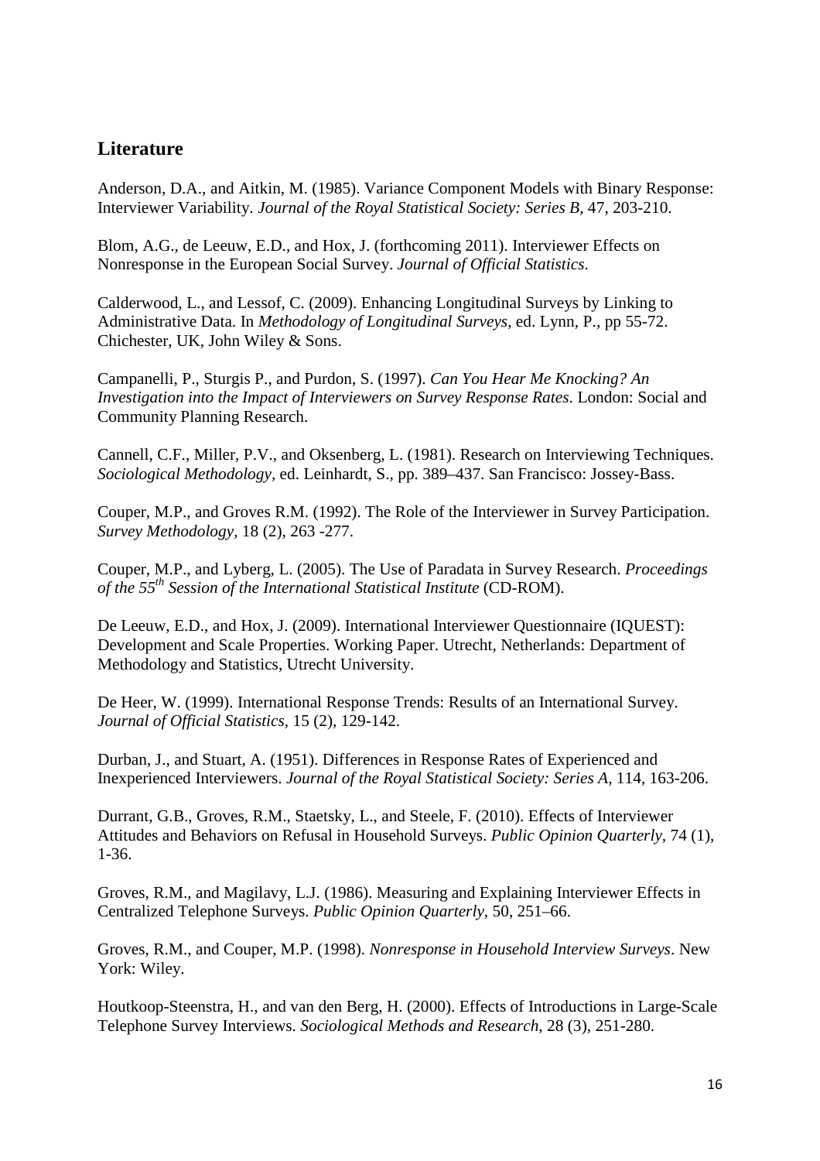## **Literature**

Anderson, D.A., and Aitkin, M. (1985). Variance Component Models with Binary Response: Interviewer Variability. *Journal of the Royal Statistical Society: Series B*, 47, 203-210.

Blom, A.G., de Leeuw, E.D., and Hox, J. (forthcoming 2011). Interviewer Effects on Nonresponse in the European Social Survey. *Journal of Official Statistics*.

Calderwood, L., and Lessof, C. (2009). Enhancing Longitudinal Surveys by Linking to Administrative Data. In *Methodology of Longitudinal Surveys*, ed. Lynn, P., pp 55-72. Chichester, UK, John Wiley & Sons.

Campanelli, P., Sturgis P., and Purdon, S. (1997). *Can You Hear Me Knocking? An Investigation into the Impact of Interviewers on Survey Response Rates*. London: Social and Community Planning Research.

Cannell, C.F., Miller, P.V., and Oksenberg, L. (1981). Research on Interviewing Techniques. *Sociological Methodology,* ed. Leinhardt, S., pp. 389–437. San Francisco: Jossey-Bass.

Couper, M.P., and Groves R.M. (1992). The Role of the Interviewer in Survey Participation. *Survey Methodology,* 18 (2), 263 -277.

Couper, M.P., and Lyberg, L. (2005). The Use of Paradata in Survey Research. *Proceedings of the 55th Session of the International Statistical Institute* (CD-ROM).

De Leeuw, E.D., and Hox, J. (2009). International Interviewer Questionnaire (IQUEST): Development and Scale Properties. Working Paper. Utrecht, Netherlands: Department of Methodology and Statistics, Utrecht University.

De Heer, W. (1999). International Response Trends: Results of an International Survey. *Journal of Official Statistics,* 15 (2), 129-142.

Durban, J., and Stuart, A. (1951). Differences in Response Rates of Experienced and Inexperienced Interviewers. *Journal of the Royal Statistical Society: Series A,* 114, 163-206.

Durrant, G.B., Groves, R.M., Staetsky, L., and Steele, F. (2010). Effects of Interviewer Attitudes and Behaviors on Refusal in Household Surveys. *Public Opinion Quarterly,* 74 (1), 1-36.

Groves, R.M., and Magilavy, L.J. (1986). Measuring and Explaining Interviewer Effects in Centralized Telephone Surveys. *Public Opinion Quarterly*, 50, 251–66.

Groves, R.M., and Couper, M.P. (1998). *Nonresponse in Household Interview Surveys*. New York: Wiley.

Houtkoop-Steenstra, H., and van den Berg, H. (2000). Effects of Introductions in Large-Scale Telephone Survey Interviews. *Sociological Methods and Research*, 28 (3), 251-280.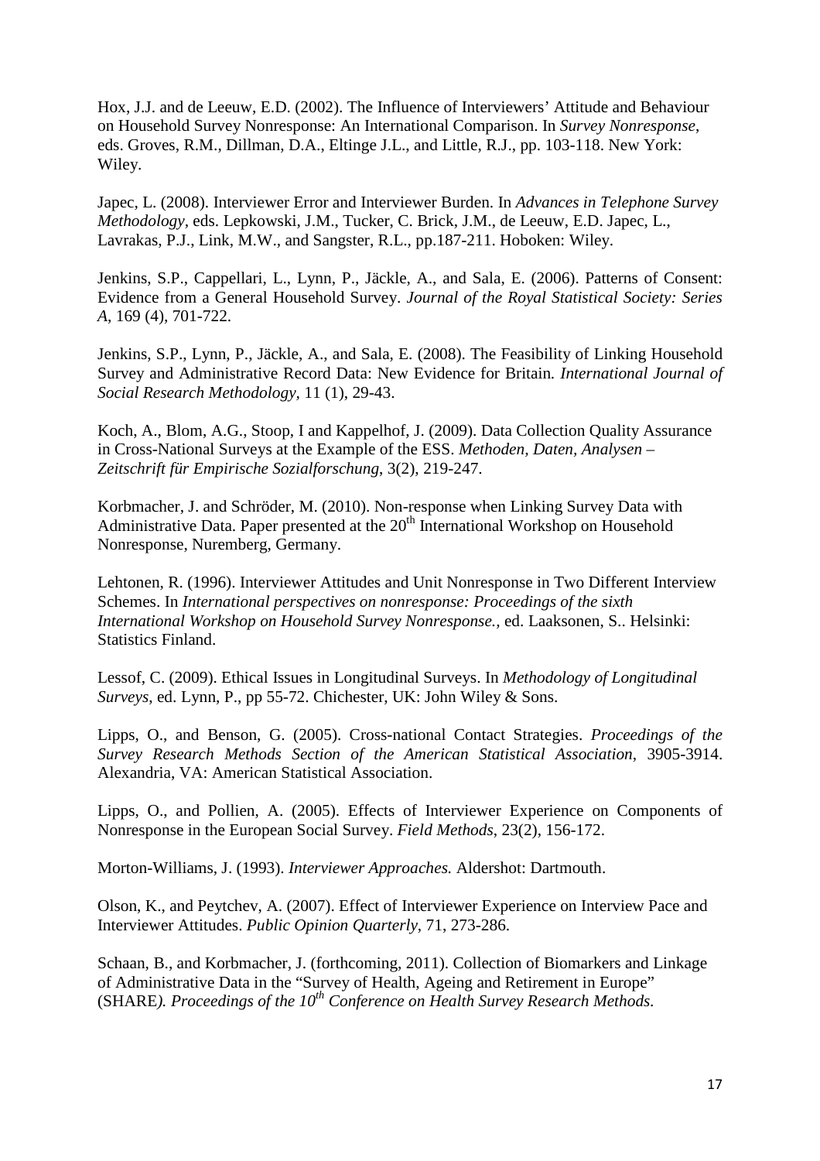Hox, J.J. and de Leeuw, E.D. (2002). The Influence of Interviewers' Attitude and Behaviour on Household Survey Nonresponse: An International Comparison. In *Survey Nonresponse*, eds. Groves, R.M., Dillman, D.A., Eltinge J.L., and Little, R.J., pp. 103-118. New York: Wiley.

Japec, L. (2008). Interviewer Error and Interviewer Burden. In *Advances in Telephone Survey Methodology,* eds. Lepkowski, J.M., Tucker, C. Brick, J.M., de Leeuw, E.D. Japec, L., Lavrakas, P.J., Link, M.W., and Sangster, R.L., pp.187-211. Hoboken: Wiley.

Jenkins, S.P., Cappellari, L., Lynn, P., Jäckle, A., and Sala, E. (2006). Patterns of Consent: Evidence from a General Household Survey. *Journal of the Royal Statistical Society: Series A*, 169 (4), 701-722.

Jenkins, S.P., Lynn, P., Jäckle, A., and Sala, E. (2008). The Feasibility of Linking Household Survey and Administrative Record Data: New Evidence for Britain*. International Journal of Social Research Methodology,* 11 (1), 29-43.

Koch, A., Blom, A.G., Stoop, I and Kappelhof, J. (2009). Data Collection Quality Assurance in Cross-National Surveys at the Example of the ESS. *Methoden, Daten, Analysen – Zeitschrift für Empirische Sozialforschung*, 3(2), 219-247.

Korbmacher, J. and Schröder, M. (2010). Non-response when Linking Survey Data with Administrative Data. Paper presented at the  $20<sup>th</sup>$  International Workshop on Household Nonresponse, Nuremberg, Germany.

Lehtonen, R. (1996). Interviewer Attitudes and Unit Nonresponse in Two Different Interview Schemes. In *International perspectives on nonresponse: Proceedings of the sixth International Workshop on Household Survey Nonresponse.,* ed. Laaksonen, S.. Helsinki: Statistics Finland.

Lessof, C. (2009). Ethical Issues in Longitudinal Surveys. In *Methodology of Longitudinal Surveys*, ed. Lynn, P., pp 55-72. Chichester, UK: John Wiley & Sons.

Lipps, O., and Benson, G. (2005). Cross-national Contact Strategies. *Proceedings of the Survey Research Methods Section of the American Statistical Association*, 3905-3914. Alexandria, VA: American Statistical Association.

Lipps, O., and Pollien, A. (2005). Effects of Interviewer Experience on Components of Nonresponse in the European Social Survey. *Field Methods*, 23(2), 156-172.

Morton-Williams, J. (1993). *Interviewer Approaches.* Aldershot: Dartmouth.

Olson, K., and Peytchev, A. (2007). Effect of Interviewer Experience on Interview Pace and Interviewer Attitudes. *Public Opinion Quarterly*, 71, 273-286.

Schaan, B., and Korbmacher, J. (forthcoming, 2011). Collection of Biomarkers and Linkage of Administrative Data in the "Survey of Health, Ageing and Retirement in Europe" (SHARE*). Proceedings of the 10th Conference on Health Survey Research Methods.*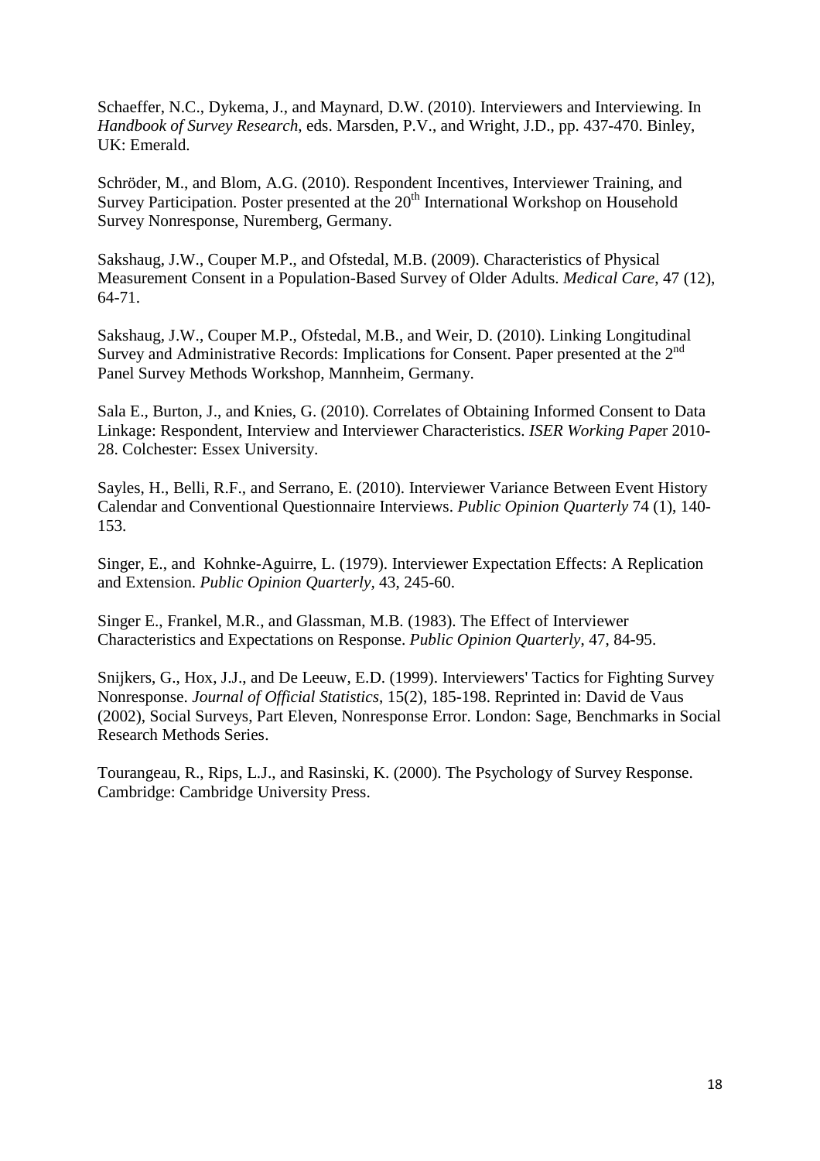Schaeffer, N.C., Dykema, J., and Maynard, D.W. (2010). Interviewers and Interviewing. In *Handbook of Survey Research*, eds. Marsden, P.V., and Wright, J.D., pp. 437-470. Binley, UK: Emerald.

Schröder, M., and Blom, A.G. (2010). Respondent Incentives, Interviewer Training, and Survey Participation. Poster presented at the 20<sup>th</sup> International Workshop on Household Survey Nonresponse, Nuremberg, Germany.

Sakshaug, J.W., Couper M.P., and Ofstedal, M.B. (2009). Characteristics of Physical Measurement Consent in a Population-Based Survey of Older Adults. *Medical Care*, 47 (12), 64-71.

Sakshaug, J.W., Couper M.P., Ofstedal, M.B., and Weir, D. (2010). Linking Longitudinal Survey and Administrative Records: Implications for Consent. Paper presented at the 2<sup>nd</sup> Panel Survey Methods Workshop, Mannheim, Germany.

Sala E., Burton, J., and Knies, G. (2010). Correlates of Obtaining Informed Consent to Data Linkage: Respondent, Interview and Interviewer Characteristics. *ISER Working Pape*r 2010- 28. Colchester: Essex University.

Sayles, H., Belli, R.F., and Serrano, E. (2010). Interviewer Variance Between Event History Calendar and Conventional Questionnaire Interviews. *Public Opinion Quarterly* 74 (1), 140- 153.

Singer, E., and Kohnke-Aguirre, L. (1979). Interviewer Expectation Effects: A Replication and Extension. *Public Opinion Quarterly,* 43, 245-60.

Singer E., Frankel, M.R., and Glassman, M.B. (1983). The Effect of Interviewer Characteristics and Expectations on Response. *Public Opinion Quarterly*, 47, 84-95.

Snijkers, G., Hox, J.J., and De Leeuw, E.D. (1999). Interviewers' Tactics for Fighting Survey Nonresponse. *Journal of Official Statistics*, 15(2), 185-198. Reprinted in: David de Vaus (2002), Social Surveys, Part Eleven, Nonresponse Error. London: Sage, Benchmarks in Social Research Methods Series.

Tourangeau, R., Rips, L.J., and Rasinski, K. (2000). The Psychology of Survey Response. Cambridge: Cambridge University Press.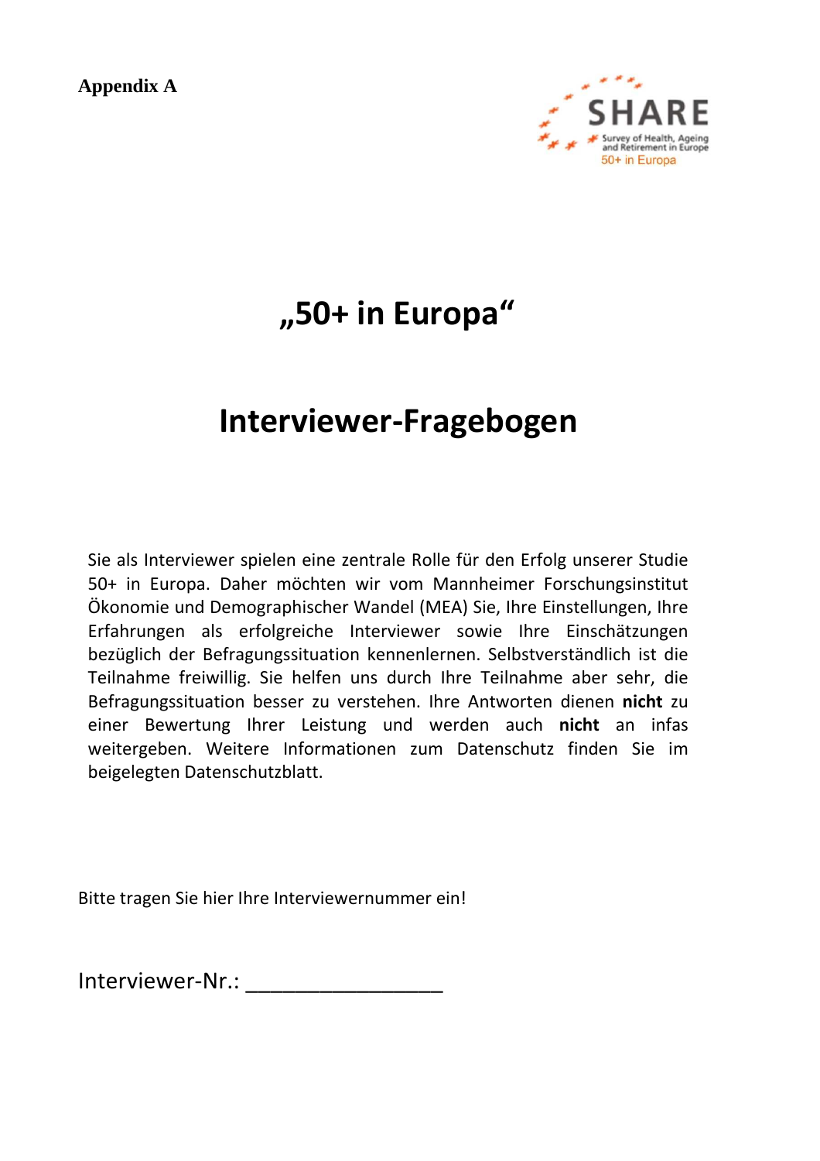**Appendix A** 



## **"50+ in Europa"**

## **Interviewer-Fragebogen**

Sie als Interviewer spielen eine zentrale Rolle für den Erfolg unserer Studie 50+ in Europa. Daher möchten wir vom Mannheimer Forschungsinstitut Ökonomie und Demographischer Wandel (MEA) Sie, Ihre Einstellungen, Ihre Erfahrungen als erfolgreiche Interviewer sowie Ihre Einschätzungen bezüglich der Befragungssituation kennenlernen. Selbstverständlich ist die Teilnahme freiwillig. Sie helfen uns durch Ihre Teilnahme aber sehr, die Befragungssituation besser zu verstehen. Ihre Antworten dienen **nicht** zu einer Bewertung Ihrer Leistung und werden auch **nicht** an infas weitergeben. Weitere Informationen zum Datenschutz finden Sie im beigelegten Datenschutzblatt.

Bitte tragen Sie hier Ihre Interviewernummer ein!

Interviewer-Nr.: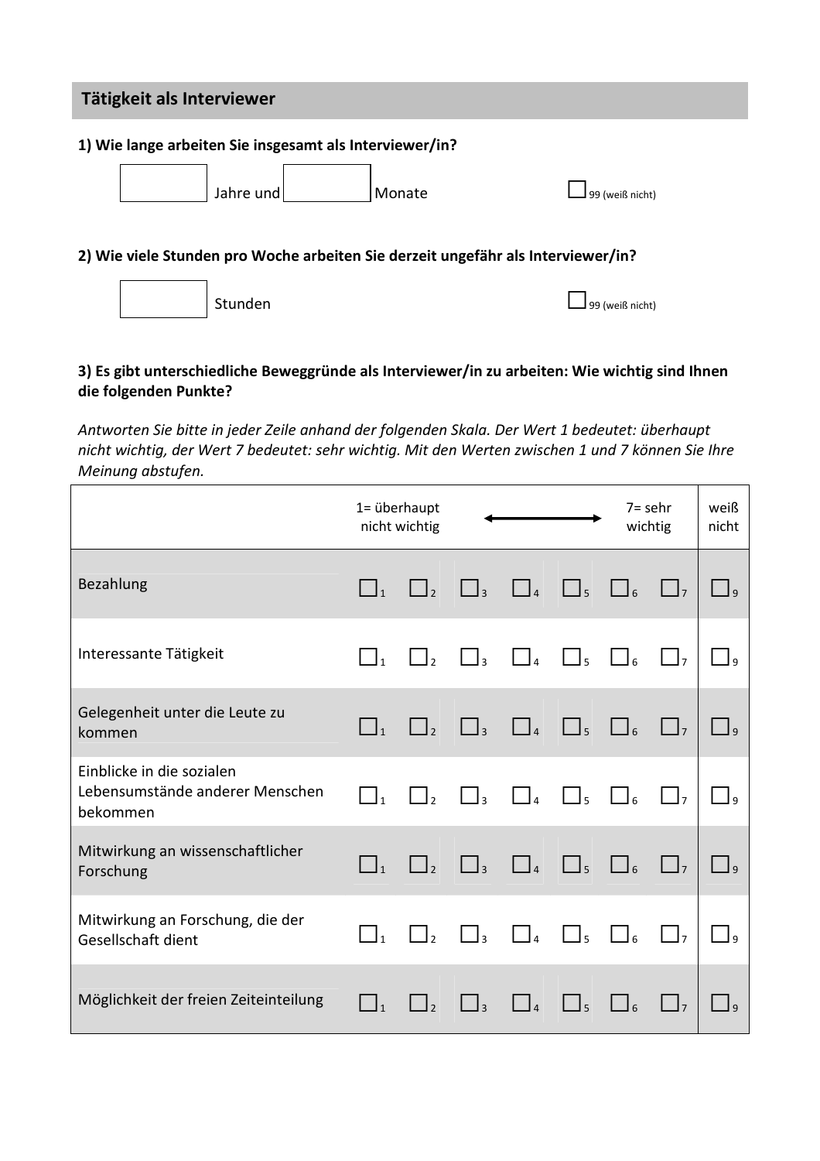## **Tätigkeit als Interviewer**

#### **1) Wie lange arbeiten Sie insgesamt als Interviewer/in?**

| Jahre und | Monate | $\Box$ 99 (weiß nicht) |
|-----------|--------|------------------------|
|           |        |                        |

#### **2) Wie viele Stunden pro Woche arbeiten Sie derzeit ungefähr als Interviewer/in?**

Stunden □99 (weiß nicht)

## **3) Es gibt unterschiedliche Beweggründe als Interviewer/in zu arbeiten: Wie wichtig sind Ihnen die folgenden Punkte?**

*Antworten Sie bitte in jeder Zeile anhand der folgenden Skala. Der Wert 1 bedeutet: überhaupt nicht wichtig, der Wert 7 bedeutet: sehr wichtig. Mit den Werten zwischen 1 und 7 können Sie Ihre Meinung abstufen.*

|                                                                          | 1= überhaupt                      | nicht wichtig       |                     |                                            |                     | $7 =$ sehr<br>wichtig |                     | weiß<br>nicht |
|--------------------------------------------------------------------------|-----------------------------------|---------------------|---------------------|--------------------------------------------|---------------------|-----------------------|---------------------|---------------|
| Bezahlung                                                                | $\Box_1$                          | $\Box$ <sub>2</sub> | $\Box$ <sub>3</sub> | $\Box$                                     | $\Box$ <sub>5</sub> | $\Box$                | $\Box$              |               |
| Interessante Tätigkeit                                                   | $\Box$ <sub>1</sub>               | $\Box$ <sub>2</sub> | $\Box$ 3            | $\vert$ $\vert$ <sub><i>A</i></sub>        | $\Box$              | $\Box$                | $\Box$ <sub>7</sub> |               |
| Gelegenheit unter die Leute zu<br>kommen                                 | $\Box_1$                          | $\Box$ <sub>2</sub> | $\Box$ <sub>3</sub> | $\Box$                                     | $\Box$ <sub>5</sub> | $\Box$                | $\Box$              |               |
| Einblicke in die sozialen<br>Lebensumstände anderer Menschen<br>bekommen | $\begin{bmatrix} 1 \end{bmatrix}$ | $\Box$              | $\Box$ <sub>3</sub> |                                            | $\Box_5$            | $\Box$                | $\Box$              |               |
| Mitwirkung an wissenschaftlicher<br>Forschung                            | $\Box_1$                          | $\Box$ <sub>2</sub> | $\Box$ <sub>3</sub> | $\Box$                                     | $\Box$ <sub>5</sub> | $\Box$                | $\vert \ \vert_7$   |               |
| Mitwirkung an Forschung, die der<br>Gesellschaft dient                   | $\Box$ <sub>1</sub>               | $\Box$ <sub>2</sub> | $\Box$ <sub>3</sub> | $\vert\ \vert_{\scriptscriptstyle\cal{A}}$ | $\Box$              | $\mathsf{l}_6$        | $\Box$              |               |
| Möglichkeit der freien Zeiteinteilung                                    |                                   |                     |                     |                                            |                     |                       | ر L                 |               |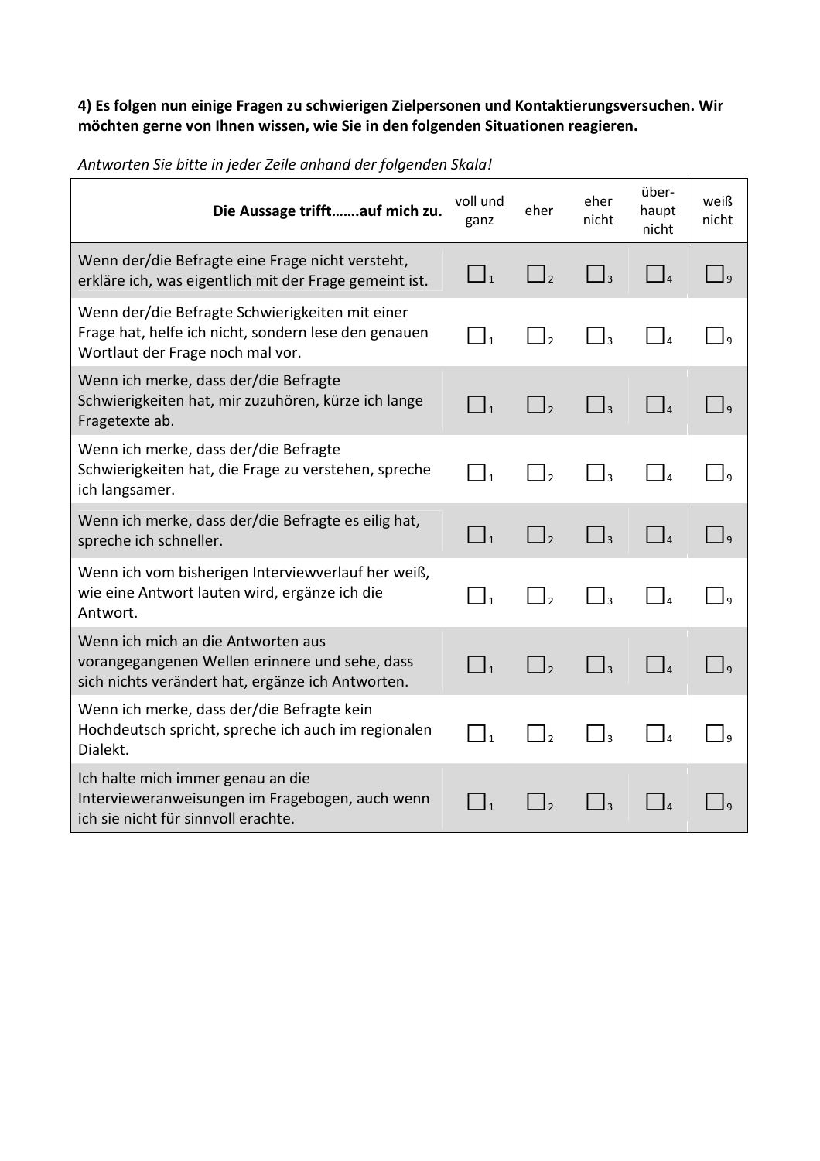## **4) Es folgen nun einige Fragen zu schwierigen Zielpersonen und Kontaktierungsversuchen. Wir möchten gerne von Ihnen wissen, wie Sie in den folgenden Situationen reagieren.**

| Die Aussage trifftauf mich zu.                                                                                                              | voll und<br>ganz             | eher          | eher<br>nicht           | über-<br>haupt<br>nicht                                     | weiß<br>nicht |
|---------------------------------------------------------------------------------------------------------------------------------------------|------------------------------|---------------|-------------------------|-------------------------------------------------------------|---------------|
| Wenn der/die Befragte eine Frage nicht versteht,<br>erkläre ich, was eigentlich mit der Frage gemeint ist.                                  | $\Box_1$                     | $\Box$        | $\Box$                  | $\Box$                                                      | $\Box$        |
| Wenn der/die Befragte Schwierigkeiten mit einer<br>Frage hat, helfe ich nicht, sondern lese den genauen<br>Wortlaut der Frage noch mal vor. | $\Box$ <sub>1</sub>          | $\Box$        | $\Box$ 3                | $\begin{array}{c} \end{array}$                              |               |
| Wenn ich merke, dass der/die Befragte<br>Schwierigkeiten hat, mir zuzuhören, kürze ich lange<br>Fragetexte ab.                              | $\Box_1$                     | $\Box$        | $\Box$                  |                                                             |               |
| Wenn ich merke, dass der/die Befragte<br>Schwierigkeiten hat, die Frage zu verstehen, spreche<br>ich langsamer.                             | $\Box$ <sub>1</sub>          | $\vert$ ,     | $\vert$ $\vert$ 3       |                                                             |               |
| Wenn ich merke, dass der/die Befragte es eilig hat,<br>spreche ich schneller.                                                               | $\prod_{1}$                  | $\vert$ ,     | $\Box$                  | $\Box$                                                      |               |
| Wenn ich vom bisherigen Interviewverlauf her weiß,<br>wie eine Antwort lauten wird, ergänze ich die<br>Antwort.                             | $\vert$ <sub>1</sub>         |               | $\vert$ 3               |                                                             |               |
| Wenn ich mich an die Antworten aus<br>vorangegangenen Wellen erinnere und sehe, dass<br>sich nichts verändert hat, ergänze ich Antworten.   | $\vert$ $\vert$ <sub>1</sub> | $\vert \vert$ | $\lfloor \cdot \rfloor$ | $\begin{array}{c} \begin{array}{c} \end{array} \end{array}$ | $\Box$        |
| Wenn ich merke, dass der/die Befragte kein<br>Hochdeutsch spricht, spreche ich auch im regionalen<br>Dialekt.                               | $\vert$ 1                    | $\vert$ ,     |                         | $\begin{bmatrix} 1 & 1 \end{bmatrix}$                       |               |
| Ich halte mich immer genau an die<br>Intervieweranweisungen im Fragebogen, auch wenn<br>ich sie nicht für sinnvoll erachte.                 | $\vert$ $\vert$ 1            |               |                         |                                                             |               |

*Antworten Sie bitte in jeder Zeile anhand der folgenden Skala!*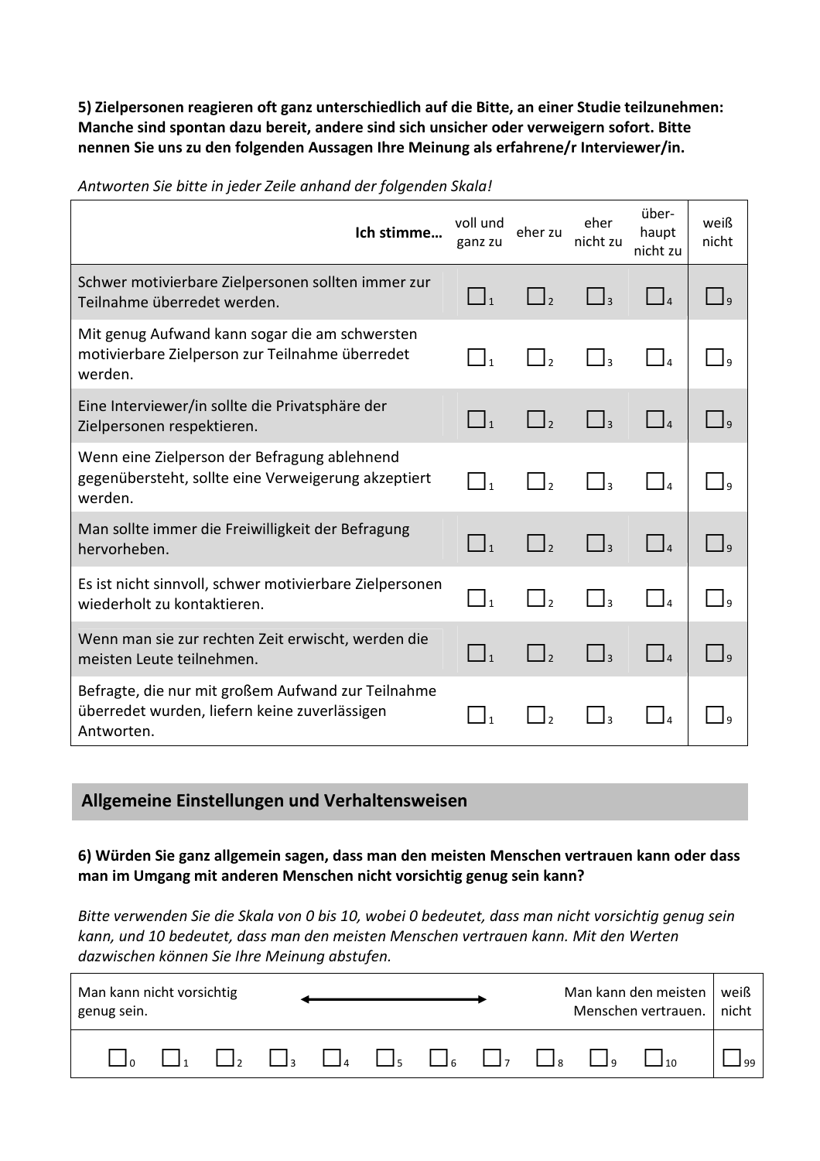**5) Zielpersonen reagieren oft ganz unterschiedlich auf die Bitte, an einer Studie teilzunehmen: Manche sind spontan dazu bereit, andere sind sich unsicher oder verweigern sofort. Bitte nennen Sie uns zu den folgenden Aussagen Ihre Meinung als erfahrene/r Interviewer/in.** 

| Ich stimme                                                                                                        | voll und<br>ganz zu | eher zu         | eher<br>nicht zu             | über-<br>haupt<br>nicht zu                                  | weiß<br>nicht |
|-------------------------------------------------------------------------------------------------------------------|---------------------|-----------------|------------------------------|-------------------------------------------------------------|---------------|
| Schwer motivierbare Zielpersonen sollten immer zur<br>Teilnahme überredet werden.                                 |                     | $\vert \vert$   |                              |                                                             |               |
| Mit genug Aufwand kann sogar die am schwersten<br>motivierbare Zielperson zur Teilnahme überredet<br>werden.      |                     | $\vert$ ,       | $\overline{z}$               |                                                             |               |
| Eine Interviewer/in sollte die Privatsphäre der<br>Zielpersonen respektieren.                                     | $\Box$              | $\vert \vert_2$ | $\vert \ \vert_{3}$          | $\begin{array}{c} \begin{array}{c} \end{array} \end{array}$ |               |
| Wenn eine Zielperson der Befragung ablehnend<br>gegenübersteht, sollte eine Verweigerung akzeptiert<br>werden.    | $\overline{1}$      | $\vert$ ,       | $\overline{\mathbf{a}}$      | $\vert$ $\vert$ $\vert$                                     |               |
| Man sollte immer die Freiwilligkeit der Befragung<br>hervorheben.                                                 |                     |                 | $\vert$ $\vert$ 3            |                                                             |               |
| Es ist nicht sinnvoll, schwer motivierbare Zielpersonen<br>wiederholt zu kontaktieren.                            |                     | $\vert$ ,       | $\overline{a}$               |                                                             |               |
| Wenn man sie zur rechten Zeit erwischt, werden die<br>meisten Leute teilnehmen.                                   |                     | $\vert \vert_2$ | $\vert$ $\vert$ <sub>3</sub> | $\begin{bmatrix} 1 & 1 \end{bmatrix}$                       |               |
| Befragte, die nur mit großem Aufwand zur Teilnahme<br>überredet wurden, liefern keine zuverlässigen<br>Antworten. |                     |                 |                              |                                                             |               |

*Antworten Sie bitte in jeder Zeile anhand der folgenden Skala!*

## **Allgemeine Einstellungen und Verhaltensweisen**

**6) Würden Sie ganz allgemein sagen, dass man den meisten Menschen vertrauen kann oder dass man im Umgang mit anderen Menschen nicht vorsichtig genug sein kann?** 

*Bitte verwenden Sie die Skala von 0 bis 10, wobei 0 bedeutet, dass man nicht vorsichtig genug sein kann, und 10 bedeutet, dass man den meisten Menschen vertrauen kann. Mit den Werten dazwischen können Sie Ihre Meinung abstufen.*

| Man kann den meisten<br>Man kann nicht vorsichtig<br>Menschen vertrauen.<br>genug sein. |  |  | weiß<br>nicht |  |  |  |  |                                                                                |  |  |
|-----------------------------------------------------------------------------------------|--|--|---------------|--|--|--|--|--------------------------------------------------------------------------------|--|--|
|                                                                                         |  |  |               |  |  |  |  | $\Box$ , $\Box$ , $\Box$ , $\Box$ , $\Box$ , $\Box$ , $\Box$ , $\Box$ , $\Box$ |  |  |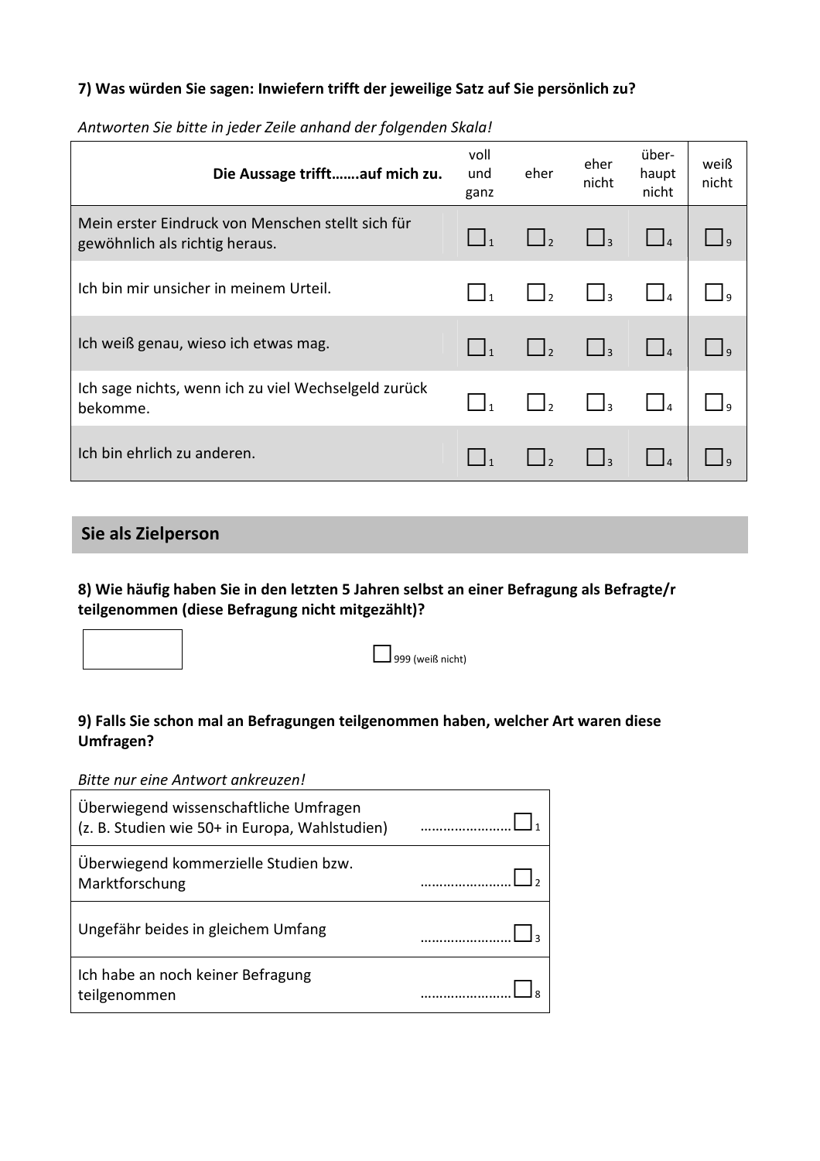#### **7) Was würden Sie sagen: Inwiefern trifft der jeweilige Satz auf Sie persönlich zu?**

| Die Aussage trifftauf mich zu.                                                      | voll<br>und<br>ganz | eher            | eher<br>nicht | über-<br>haupt<br>nicht | weiß<br>nicht  |
|-------------------------------------------------------------------------------------|---------------------|-----------------|---------------|-------------------------|----------------|
| Mein erster Eindruck von Menschen stellt sich für<br>gewöhnlich als richtig heraus. |                     | $\Box$          | $\Box$ 3      |                         | _l q           |
| Ich bin mir unsicher in meinem Urteil.                                              |                     | $\vert \vert_2$ | $\Box_3$      |                         |                |
| Ich weiß genau, wieso ich etwas mag.                                                |                     | $\Box$          | $\Box$ 3      | $\Box$                  | $\overline{a}$ |
| Ich sage nichts, wenn ich zu viel Wechselgeld zurück<br>bekomme.                    |                     | $\vert \vert$   | $\mathsf{I}$  |                         |                |
| Ich bin ehrlich zu anderen.                                                         |                     |                 |               |                         |                |

*Antworten Sie bitte in jeder Zeile anhand der folgenden Skala!*

## **Sie als Zielperson**

### **8) Wie häufig haben Sie in den letzten 5 Jahren selbst an einer Befragung als Befragte/r teilgenommen (diese Befragung nicht mitgezählt)?**



### **9) Falls Sie schon mal an Befragungen teilgenommen haben, welcher Art waren diese Umfragen?**

#### *Bitte nur eine Antwort ankreuzen!*

| Überwiegend wissenschaftliche Umfragen<br>(z. B. Studien wie 50+ in Europa, Wahlstudien) |  |
|------------------------------------------------------------------------------------------|--|
| Überwiegend kommerzielle Studien bzw.<br>Marktforschung                                  |  |
| Ungefähr beides in gleichem Umfang                                                       |  |
| Ich habe an noch keiner Befragung<br>teilgenommen                                        |  |
|                                                                                          |  |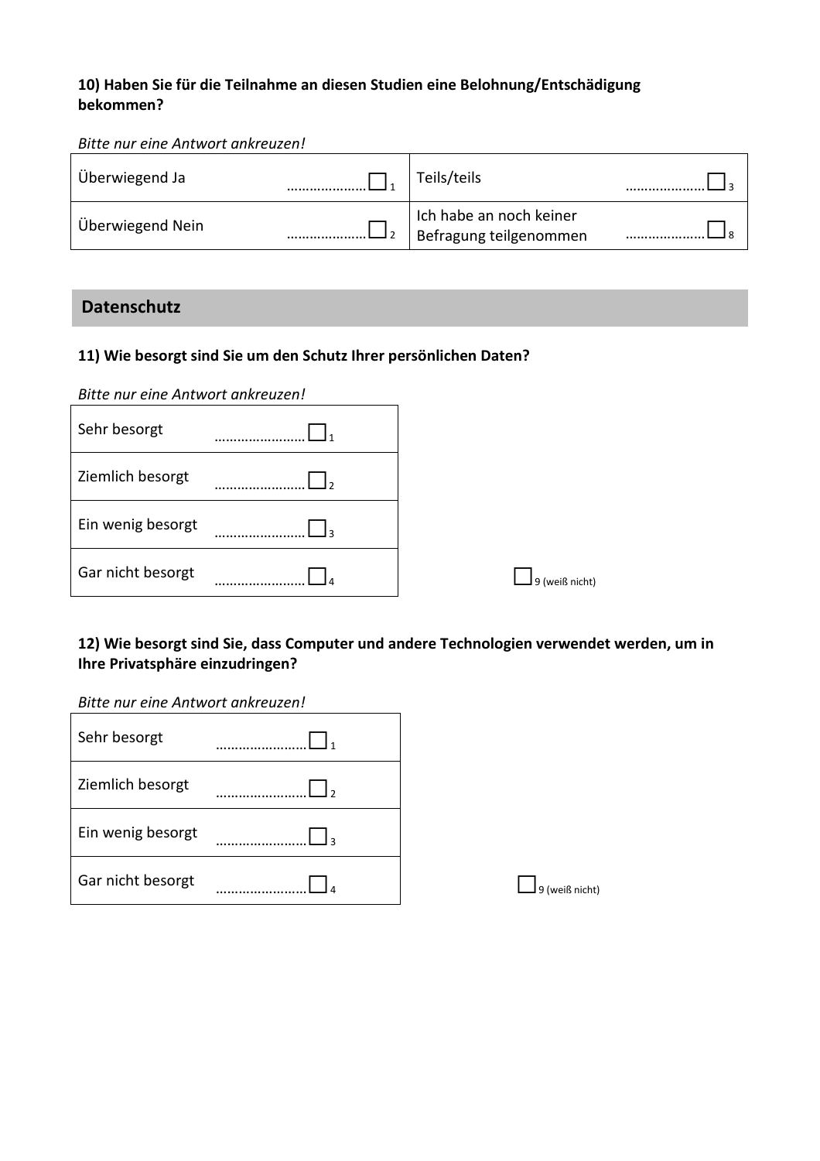### **10) Haben Sie für die Teilnahme an diesen Studien eine Belohnung/Entschädigung bekommen?**

#### *Bitte nur eine Antwort ankreuzen!*

| Überwiegend Ja   | Teils/teils                                       |  |
|------------------|---------------------------------------------------|--|
| Überwiegend Nein | Ich habe an noch keiner<br>Befragung teilgenommen |  |

## **Datenschutz**

## **11) Wie besorgt sind Sie um den Schutz Ihrer persönlichen Daten?**

*Bitte nur eine Antwort ankreuzen!* 

| Sehr besorgt      |                |
|-------------------|----------------|
| Ziemlich besorgt  |                |
| Ein wenig besorgt |                |
| Gar nicht besorgt | 9 (weiß nicht) |

### **12) Wie besorgt sind Sie, dass Computer und andere Technologien verwendet werden, um in Ihre Privatsphäre einzudringen?**

#### *Bitte nur eine Antwort ankreuzen!*

| Sehr besorgt      |                  |
|-------------------|------------------|
| Ziemlich besorgt  |                  |
| Ein wenig besorgt |                  |
| Gar nicht besorgt | l 9 (weiß nicht) |

|  | $\Box$ 9 (weiß nicht) |
|--|-----------------------|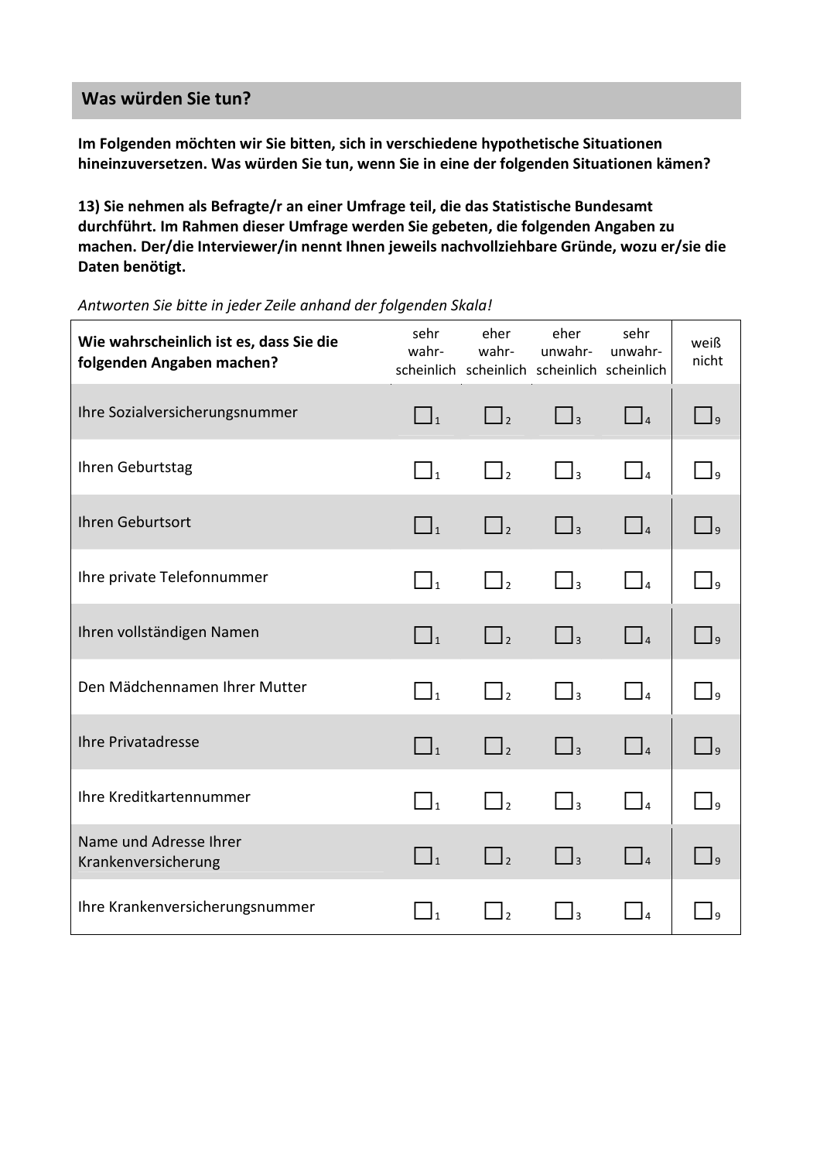## **Was würden Sie tun?**

**Im Folgenden möchten wir Sie bitten, sich in verschiedene hypothetische Situationen hineinzuversetzen. Was würden Sie tun, wenn Sie in eine der folgenden Situationen kämen?**

**13) Sie nehmen als Befragte/r an einer Umfrage teil, die das Statistische Bundesamt durchführt. Im Rahmen dieser Umfrage werden Sie gebeten, die folgenden Angaben zu machen. Der/die Interviewer/in nennt Ihnen jeweils nachvollziehbare Gründe, wozu er/sie die Daten benötigt.** 

| Wie wahrscheinlich ist es, dass Sie die<br>folgenden Angaben machen? | sehr<br>wahr-       | eher<br>wahr-<br>scheinlich scheinlich scheinlich scheinlich | eher<br>unwahr-                                           | sehr<br>unwahr-                           | weiß<br>nicht       |
|----------------------------------------------------------------------|---------------------|--------------------------------------------------------------|-----------------------------------------------------------|-------------------------------------------|---------------------|
| Ihre Sozialversicherungsnummer                                       | $\Box_1$            | $\Box$                                                       | $\Box$                                                    | $\Box$ 4                                  | $\Box$ <sub>9</sub> |
| Ihren Geburtstag                                                     | $\bigcap_{1}$       | $\Box_2$                                                     | $\Box$ <sub>3</sub>                                       | $\vert$ $\vert$ $\vert$                   | Ιa                  |
| Ihren Geburtsort                                                     | $\Box$ <sub>1</sub> | $\Box$                                                       | $\Box$ <sub>3</sub>                                       | $\Box$                                    | $\Box$              |
| Ihre private Telefonnummer                                           | $\Box$ <sub>1</sub> | $\Box$                                                       | $\begin{array}{ c c c c c }\n\hline\n\hline\n\end{array}$ | $\vert\ \vert_{\scriptscriptstyle\cal A}$ | $\vert$             |
| Ihren vollständigen Namen                                            | $\vert \ \vert_1$   | $\vert \vert$                                                | $\vert$ $\vert$ 3                                         | $\vert\ \vert_{4}$                        | $\vert$ $\vert$ 9   |
| Den Mädchennamen Ihrer Mutter                                        | $\Box_1$            | $\vert \vert$ ,                                              | $\Box$                                                    | $\begin{bmatrix} 1 & 1 \end{bmatrix}$     | $\vert$             |
| <b>Ihre Privatadresse</b>                                            | $\Box$              | $\Box$                                                       | $\Box$ <sub>3</sub>                                       | $\Box$ <sup>4</sup>                       | $\vert$ $\vert$ q   |
| Ihre Kreditkartennummer                                              | $\Box_1$            | $\Box$ ,                                                     | $\Box$ <sub>3</sub>                                       | $\vert$ $\vert$ <sub>4</sub>              | Ι۵                  |
| Name und Adresse Ihrer<br>Krankenversicherung                        | $\vert \ \vert_1$   | $\Box$                                                       | $\begin{array}{c} \hline \end{array}$                     | $\Box$                                    | $\vert$ $\vert$ q   |
| Ihre Krankenversicherungsnummer                                      | $\Box$ <sub>1</sub> | $\mathbf{I}_{2}$                                             | $\Box$                                                    | $\vert$ <sup>4</sup>                      |                     |

*Antworten Sie bitte in jeder Zeile anhand der folgenden Skala!*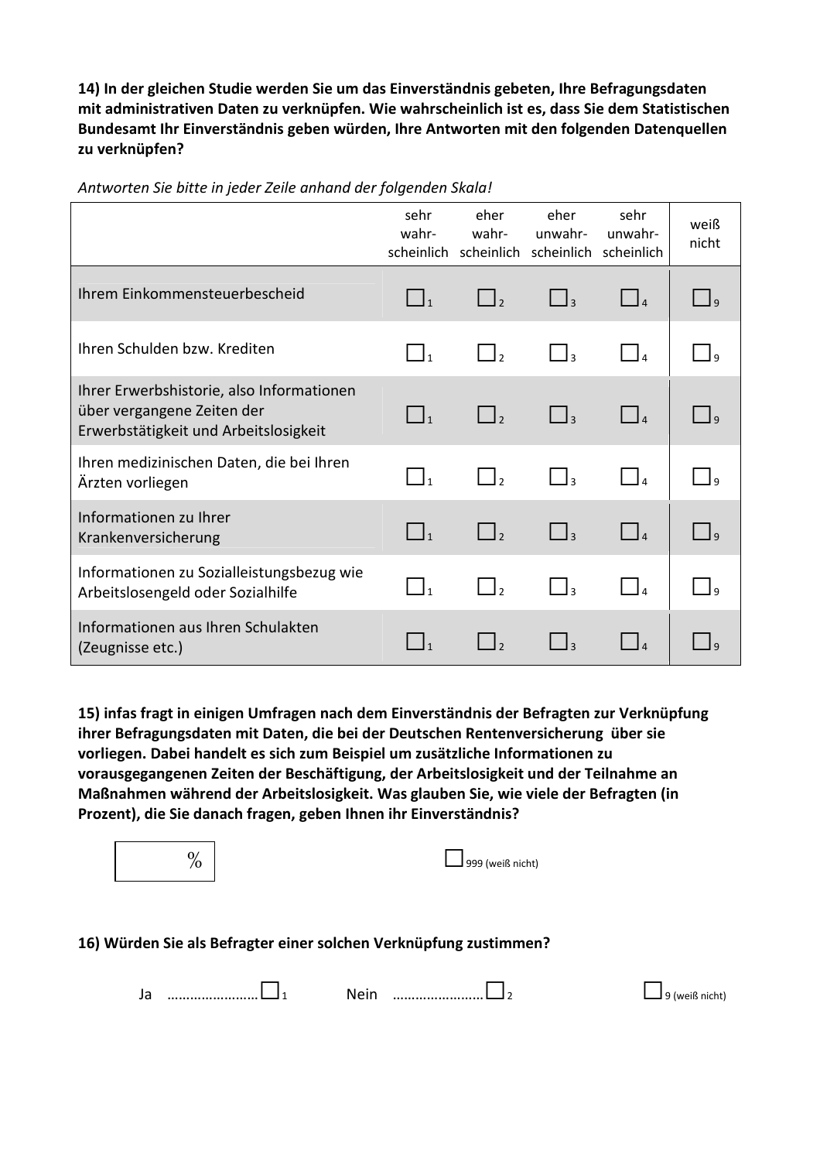**14) In der gleichen Studie werden Sie um das Einverständnis gebeten, Ihre Befragungsdaten mit administrativen Daten zu verknüpfen. Wie wahrscheinlich ist es, dass Sie dem Statistischen Bundesamt Ihr Einverständnis geben würden, Ihre Antworten mit den folgenden Datenquellen zu verknüpfen?** 

|                                                                                                                  | sehr<br>wahr-       | eher<br>wahr-<br>scheinlich scheinlich scheinlich scheinlich | eher<br>unwahr-              | sehr<br>unwahr-                  | weiß<br>nicht |
|------------------------------------------------------------------------------------------------------------------|---------------------|--------------------------------------------------------------|------------------------------|----------------------------------|---------------|
| Ihrem Einkommensteuerbescheid                                                                                    | $\Box_1$            | $\Box$ <sub>2</sub>                                          | $\Box$ <sub>3</sub>          | $\Box$                           | $\Box$        |
| Ihren Schulden bzw. Krediten                                                                                     |                     | $\vert$ $\vert_2$                                            | $\left\lceil \right\rceil_3$ |                                  | <b>q</b>      |
| Ihrer Erwerbshistorie, also Informationen<br>über vergangene Zeiten der<br>Erwerbstätigkeit und Arbeitslosigkeit | $\Box_1$            | $\Box_2$                                                     | $\Box$ <sub>3</sub>          | $\vert$ <sub>4</sub>             | l q           |
| Ihren medizinischen Daten, die bei Ihren<br>Ärzten vorliegen                                                     | $\Box$ <sub>1</sub> | $\begin{bmatrix} 1 \\ 2 \end{bmatrix}$                       | $\bigcap_{3}$                |                                  |               |
| Informationen zu Ihrer<br>Krankenversicherung                                                                    | $\Box_1$            | $\Box$ <sub>2</sub>                                          | $\Box$ <sub>3</sub>          | $\begin{array}{ccc} \end{array}$ | $\Box$        |
| Informationen zu Sozialleistungsbezug wie<br>Arbeitslosengeld oder Sozialhilfe                                   | $\Box$ <sub>1</sub> | $\Box$                                                       | J٤                           |                                  | I۹            |
| Informationen aus Ihren Schulakten<br>(Zeugnisse etc.)                                                           |                     |                                                              | $\mathbf{a}$                 |                                  |               |

*Antworten Sie bitte in jeder Zeile anhand der folgenden Skala!*

**15) infas fragt in einigen Umfragen nach dem Einverständnis der Befragten zur Verknüpfung ihrer Befragungsdaten mit Daten, die bei der Deutschen Rentenversicherung über sie vorliegen. Dabei handelt es sich zum Beispiel um zusätzliche Informationen zu vorausgegangenen Zeiten der Beschäftigung, der Arbeitslosigkeit und der Teilnahme an Maßnahmen während der Arbeitslosigkeit. Was glauben Sie, wie viele der Befragten (in Prozent), die Sie danach fragen, geben Ihnen ihr Einverständnis?** 

| $\%$ | 1999 (weiß nicht)                                                 |
|------|-------------------------------------------------------------------|
|      | 16) Würden Sie als Befragter einer solchen Verknüpfung zustimmen? |

| JU | <br>יי<br>$\sqrt{2}$ | <br>(weiß nicht) |
|----|----------------------|------------------|
|    |                      |                  |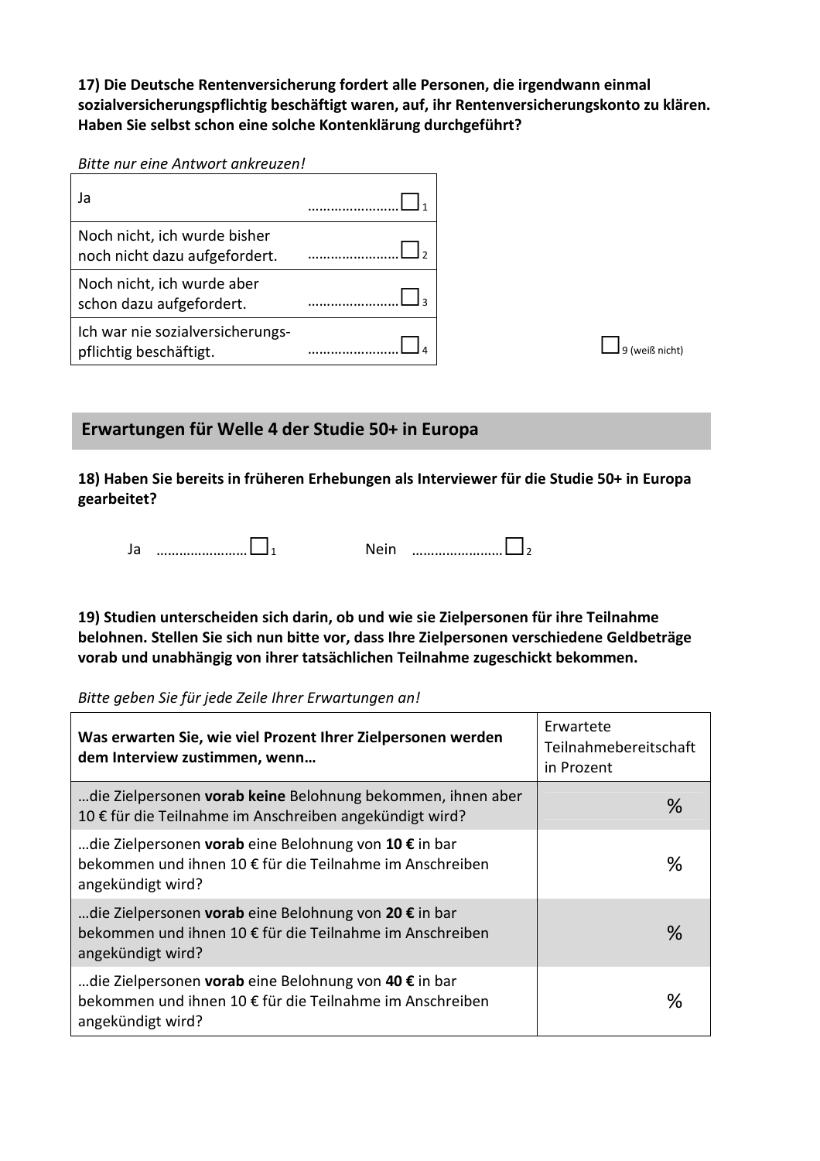**17) Die Deutsche Rentenversicherung fordert alle Personen, die irgendwann einmal sozialversicherungspflichtig beschäftigt waren, auf, ihr Rentenversicherungskonto zu klären. Haben Sie selbst schon eine solche Kontenklärung durchgeführt?**

*Bitte nur eine Antwort ankreuzen!* 

| Ja                                                            |  |
|---------------------------------------------------------------|--|
| Noch nicht, ich wurde bisher<br>noch nicht dazu aufgefordert. |  |
| Noch nicht, ich wurde aber<br>schon dazu aufgefordert.        |  |
| Ich war nie sozialversicherungs-<br>pflichtig beschäftigt.    |  |

**Erwartungen für Welle 4 der Studie 50+ in Europa**

**18) Haben Sie bereits in früheren Erhebungen als Interviewer für die Studie 50+ in Europa gearbeitet?** 

Ja ……………………□<sup>1</sup> Nein ……………………□<sup>2</sup>

**19) Studien unterscheiden sich darin, ob und wie sie Zielpersonen für ihre Teilnahme belohnen. Stellen Sie sich nun bitte vor, dass Ihre Zielpersonen verschiedene Geldbeträge vorab und unabhängig von ihrer tatsächlichen Teilnahme zugeschickt bekommen.** 

*Bitte geben Sie für jede Zeile Ihrer Erwartungen an!* 

| Was erwarten Sie, wie viel Prozent Ihrer Zielpersonen werden<br>dem Interview zustimmen, wenn                                           | Erwartete<br>Teilnahmebereitschaft<br>in Prozent |
|-----------------------------------------------------------------------------------------------------------------------------------------|--------------------------------------------------|
| die Zielpersonen vorab keine Belohnung bekommen, ihnen aber<br>10 € für die Teilnahme im Anschreiben angekündigt wird?                  | $\%$                                             |
| …die Zielpersonen vorab eine Belohnung von 10 € in bar<br>bekommen und ihnen 10 € für die Teilnahme im Anschreiben<br>angekündigt wird? | $\%$                                             |
| …die Zielpersonen vorab eine Belohnung von 20 € in bar<br>bekommen und ihnen 10 € für die Teilnahme im Anschreiben<br>angekündigt wird? | $\%$                                             |
| …die Zielpersonen vorab eine Belohnung von 40 € in bar<br>bekommen und ihnen 10 € für die Teilnahme im Anschreiben<br>angekündigt wird? | ℅                                                |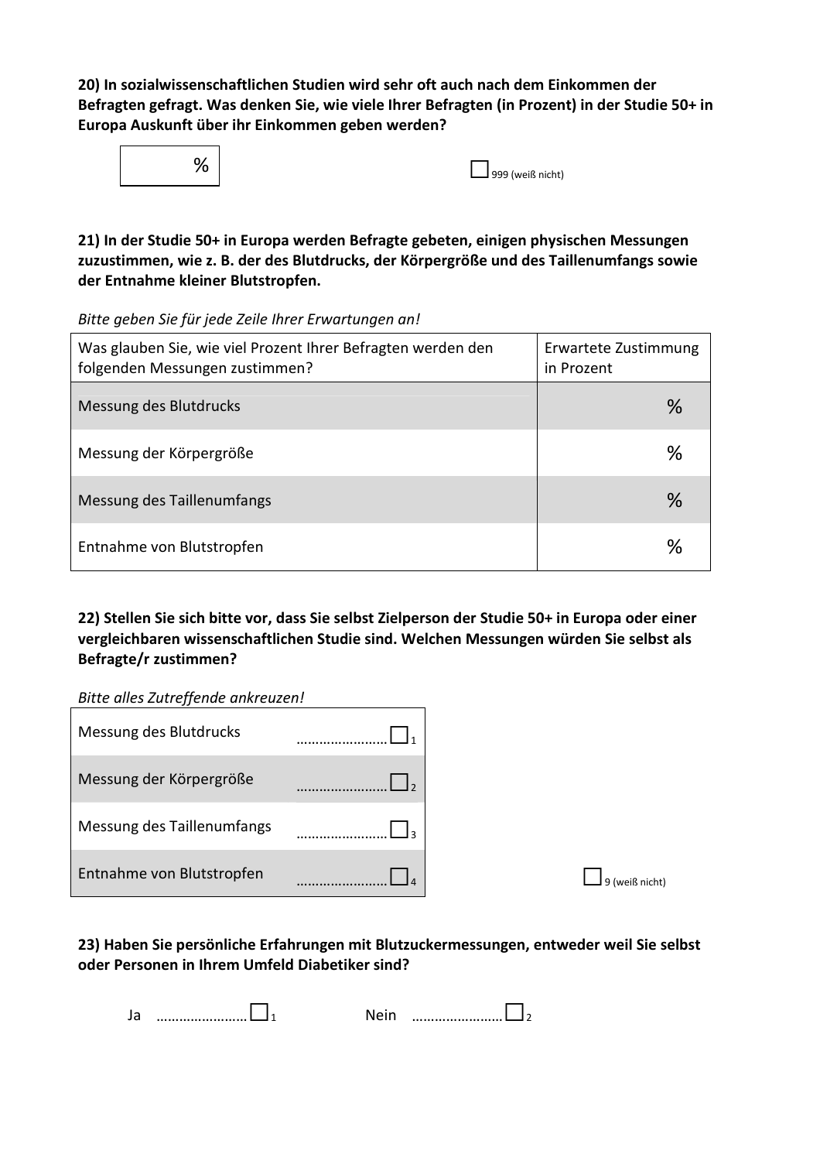**20) In sozialwissenschaftlichen Studien wird sehr oft auch nach dem Einkommen der Befragten gefragt. Was denken Sie, wie viele Ihrer Befragten (in Prozent) in der Studie 50+ in Europa Auskunft über ihr Einkommen geben werden?** 



| 1999 (weiß nicht) |  |
|-------------------|--|

**21) In der Studie 50+ in Europa werden Befragte gebeten, einigen physischen Messungen zuzustimmen, wie z. B. der des Blutdrucks, der Körpergröße und des Taillenumfangs sowie der Entnahme kleiner Blutstropfen.** 

*Bitte geben Sie für jede Zeile Ihrer Erwartungen an!*

| Was glauben Sie, wie viel Prozent Ihrer Befragten werden den<br>folgenden Messungen zustimmen? | Erwartete Zustimmung<br>in Prozent |  |  |
|------------------------------------------------------------------------------------------------|------------------------------------|--|--|
| Messung des Blutdrucks                                                                         | $\%$                               |  |  |
| Messung der Körpergröße                                                                        | ℅                                  |  |  |
| Messung des Taillenumfangs                                                                     | $\%$                               |  |  |
| Entnahme von Blutstropfen                                                                      | ℅                                  |  |  |

**22) Stellen Sie sich bitte vor, dass Sie selbst Zielperson der Studie 50+ in Europa oder einer vergleichbaren wissenschaftlichen Studie sind. Welchen Messungen würden Sie selbst als Befragte/r zustimmen?** 

*Bitte alles Zutreffende ankreuzen!* 

| . .                        |  |
|----------------------------|--|
| Messung des Blutdrucks     |  |
| Messung der Körpergröße    |  |
| Messung des Taillenumfangs |  |
| Entnahme von Blutstropfen  |  |

### **23) Haben Sie persönliche Erfahrungen mit Blutzuckermessungen, entweder weil Sie selbst oder Personen in Ihrem Umfeld Diabetiker sind?**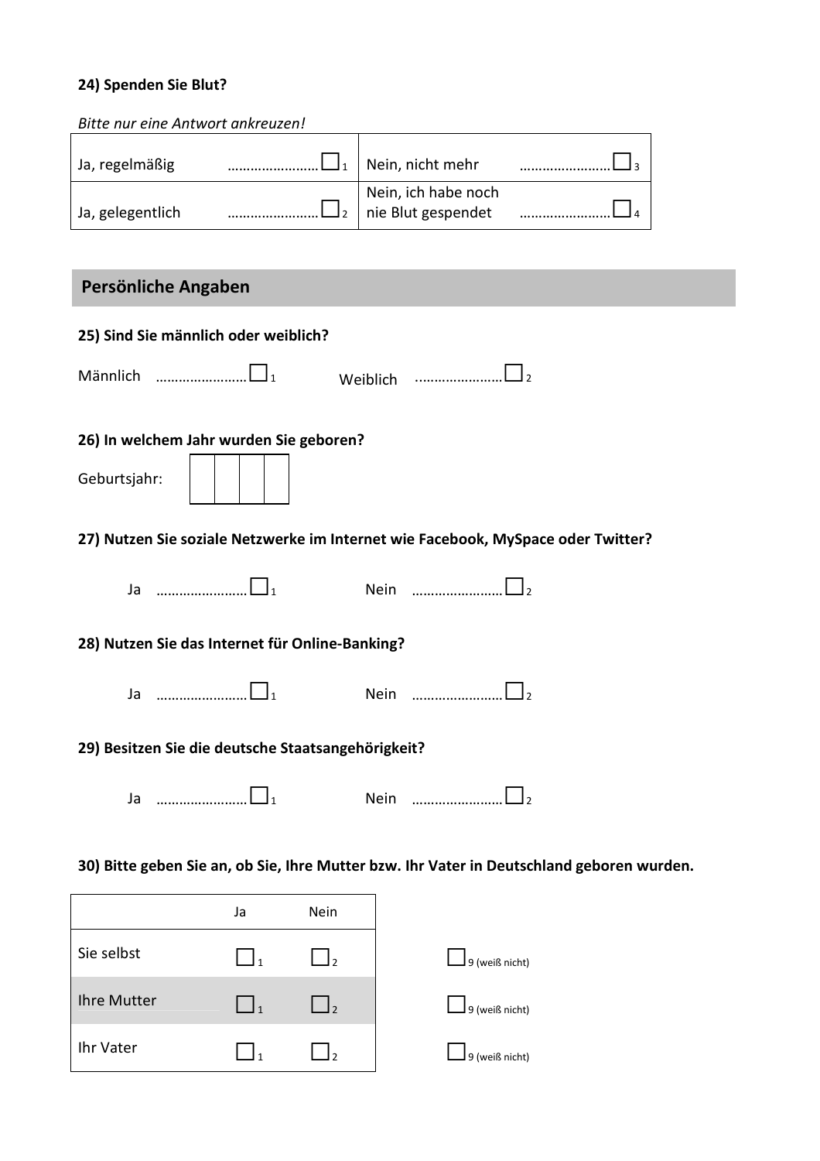## **24) Spenden Sie Blut?**

| Bitte nur eine Antwort ankreuzen! |                                                      |  |
|-----------------------------------|------------------------------------------------------|--|
| Ja, regelmäßig                    | Nein, nicht mehr                                     |  |
| Ja, gelegentlich                  | Nein, ich habe noch<br>$\Gamma_2$ nie Blut gespendet |  |

## **Persönliche Angaben**

| 25) Sind Sie männlich oder weiblich?                                                      |
|-------------------------------------------------------------------------------------------|
| Weiblich<br><u>   </u> 2                                                                  |
| 26) In welchem Jahr wurden Sie geboren?<br>Geburtsjahr:                                   |
| 27) Nutzen Sie soziale Netzwerke im Internet wie Facebook, MySpace oder Twitter?          |
| Nein $\begin{array}{ccc} & \dots & \dots & \dots & \dots & \dots \end{array}$             |
| 28) Nutzen Sie das Internet für Online-Banking?                                           |
| Nein $\begin{array}{ccc}\n&\n&\n&\n\end{array}$<br>Ja $\square$                           |
| 29) Besitzen Sie die deutsche Staatsangehörigkeit?                                        |
| Ja $\square$<br>Nein                                                                      |
| 30) Bitte geben Sie an, ob Sie, Ihre Mutter bzw. Ihr Vater in Deutschland geboren wurden. |
| Ja<br>Nein                                                                                |
| Sie selbst                                                                                |

| Sie selbst  |                          | 9 (weiß nicht) |
|-------------|--------------------------|----------------|
| Ihre Mutter | $\overline{\phantom{a}}$ | 9 (weiß nicht) |
| Ihr Vater   |                          | 9 (weiß nicht) |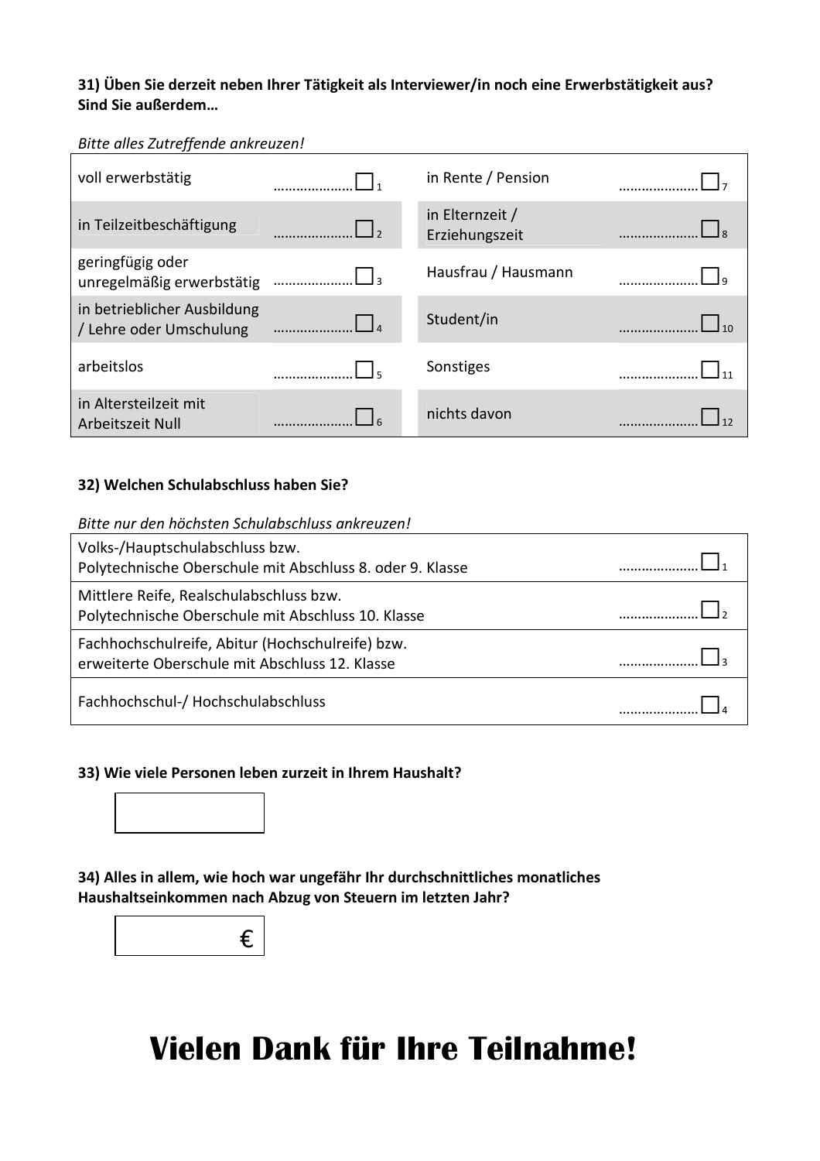#### **31) Üben Sie derzeit neben Ihrer Tätigkeit als Interviewer/in noch eine Erwerbstätigkeit aus? Sind Sie außerdem…**

#### *Bitte alles Zutreffende ankreuzen!*

| voll erwerbstätig                                      |     | in Rente / Pension                |  |
|--------------------------------------------------------|-----|-----------------------------------|--|
| in Teilzeitbeschäftigung                               |     | in Elternzeit /<br>Erziehungszeit |  |
| geringfügig oder<br>unregelmäßig erwerbstätig          | 3 ב | Hausfrau / Hausmann               |  |
| in betrieblicher Ausbildung<br>/ Lehre oder Umschulung |     | Student/in                        |  |
| arbeitslos                                             |     | Sonstiges                         |  |
| in Altersteilzeit mit<br>Arbeitszeit Null              |     | nichts davon                      |  |

#### **32) Welchen Schulabschluss haben Sie?**

#### *Bitte nur den höchsten Schulabschluss ankreuzen!*

| Volks-/Hauptschulabschluss bzw.<br>Polytechnische Oberschule mit Abschluss 8. oder 9. Klasse       |  |
|----------------------------------------------------------------------------------------------------|--|
| Mittlere Reife, Realschulabschluss bzw.<br>Polytechnische Oberschule mit Abschluss 10. Klasse      |  |
| Fachhochschulreife, Abitur (Hochschulreife) bzw.<br>erweiterte Oberschule mit Abschluss 12. Klasse |  |
| Fachhochschul-/ Hochschulabschluss                                                                 |  |

#### **33) Wie viele Personen leben zurzeit in Ihrem Haushalt?**



**34) Alles in allem, wie hoch war ungefähr Ihr durchschnittliches monatliches Haushaltseinkommen nach Abzug von Steuern im letzten Jahr?** 



## **Vielen Dank für Ihre Teilnahme!**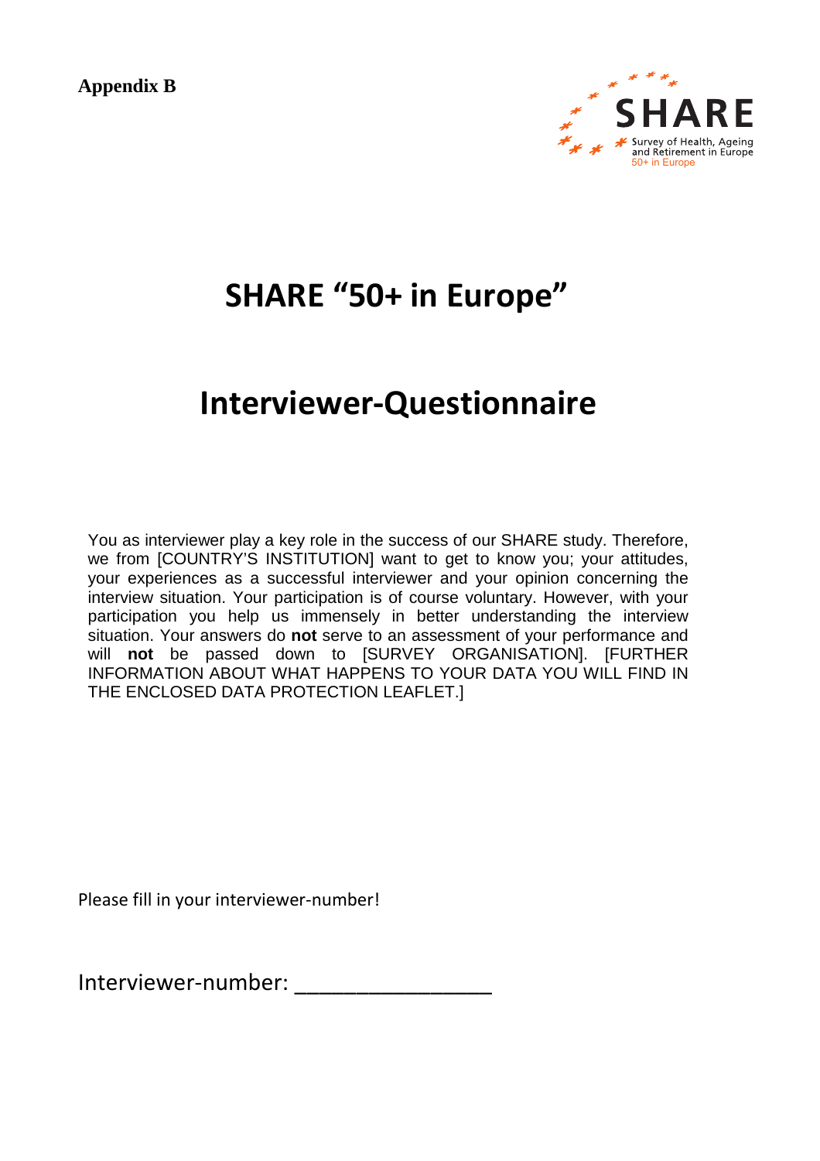**Appendix B** 



## **SHARE "50+ in Europe"**

## **Interviewer-Questionnaire**

You as interviewer play a key role in the success of our SHARE study. Therefore, we from [COUNTRY'S INSTITUTION] want to get to know you; your attitudes, your experiences as a successful interviewer and your opinion concerning the interview situation. Your participation is of course voluntary. However, with your participation you help us immensely in better understanding the interview situation. Your answers do **not** serve to an assessment of your performance and will **not** be passed down to [SURVEY ORGANISATION]. [FURTHER INFORMATION ABOUT WHAT HAPPENS TO YOUR DATA YOU WILL FIND IN THE ENCLOSED DATA PROTECTION LEAFLET.]

Please fill in your interviewer-number!

Interviewer-number: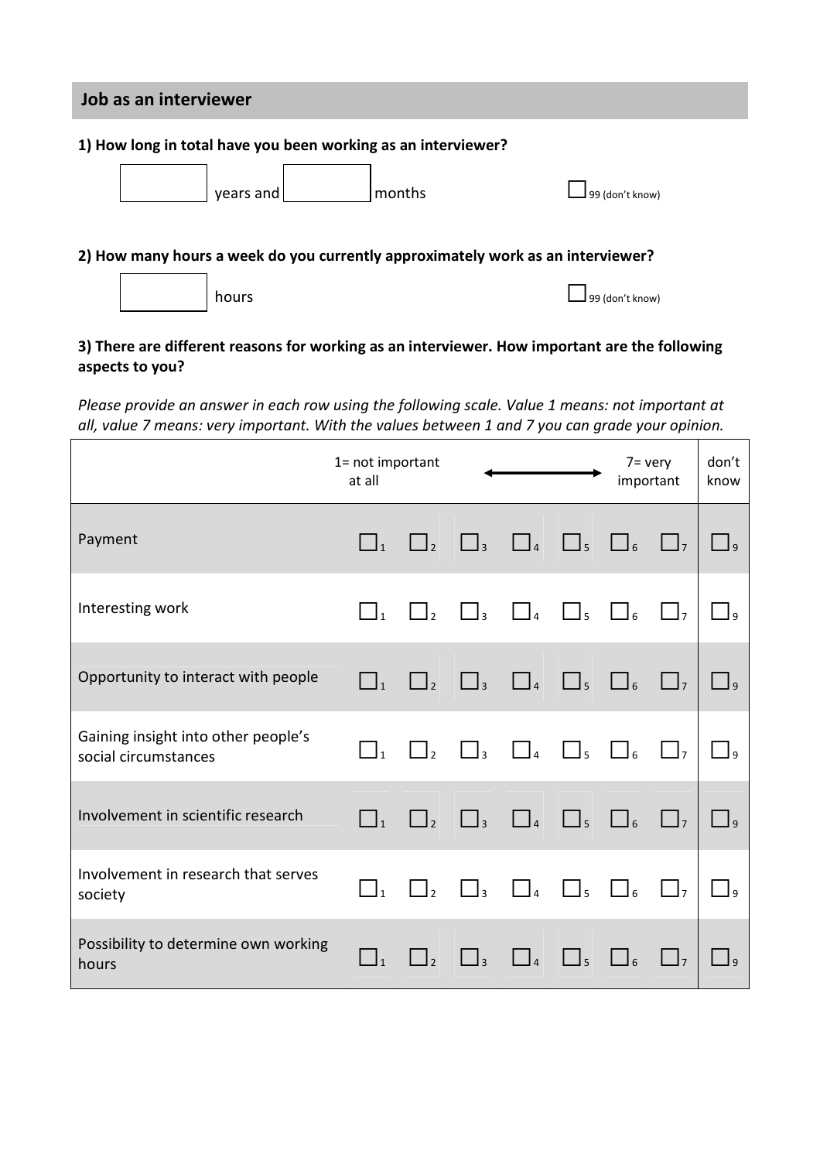### **Job as an interviewer**

#### **1) How long in total have you been working as an interviewer?**

| years and | <b>I</b> months | $\Box$ 99 (don't know) |
|-----------|-----------------|------------------------|
|           |                 |                        |

#### **2) How many hours a week do you currently approximately work as an interviewer?**



hours □99 (don't know)

#### **3) There are different reasons for working as an interviewer. How important are the following aspects to you?**

*Please provide an answer in each row using the following scale. Value 1 means: not important at all, value 7 means: very important. With the values between 1 and 7 you can grade your opinion.*

|                                                             | 1= not important<br>at all          |                     |                     | $7 = v$ ery<br>important |                     | don't<br>know |                   |                |
|-------------------------------------------------------------|-------------------------------------|---------------------|---------------------|--------------------------|---------------------|---------------|-------------------|----------------|
| Payment                                                     | $\Box_1$                            | $\Box$ <sub>2</sub> | $\Box$ <sub>3</sub> | $\Box$                   | $\Box$ <sub>5</sub> | $\Box$        | $\Box$            | $\Box$         |
| Interesting work                                            | $\Box_1$                            | $\Box$              | $\Box$ 3            | $\Box$                   | $\Box$ <sub>5</sub> | $\Box$        | $\Box$            | وك             |
| Opportunity to interact with people                         | $\Box_1$                            | $\Box$ <sub>2</sub> | $\Box$ <sub>3</sub> | $\Box$                   | $\bigsqcup_5$       | $\Box$        | $\Box$            | $\Box$ 9       |
| Gaining insight into other people's<br>social circumstances | $\prod_{1}$                         | $\Box$ <sub>2</sub> | $\Box$ <sub>3</sub> | $\Box$                   | $\Box$ <sub>5</sub> | $\Box$        | $\Box$            | $\overline{a}$ |
| Involvement in scientific research                          | $\vert \ \vert_1$                   | $\Box$ <sub>2</sub> | $\Box$              |                          | $\Box$              | $\Box$        | $\vert$ $\vert$ 7 | $\Box$         |
| Involvement in research that serves<br>society              | $\overline{\Box}$ $\overline{\Box}$ | $\vert \vert_2$     | $\Box$ <sub>3</sub> | $\Box$                   | $\Box$ <sub>5</sub> | $\Box$        | $\Box$            | I۹             |
| Possibility to determine own working<br>hours               | $\Box_1$                            | $\Box$ <sub>2</sub> | $\Box$ <sub>3</sub> | $\Box$                   | $\Box$ <sub>5</sub> | $\Box$        | $\Box$            | J۹             |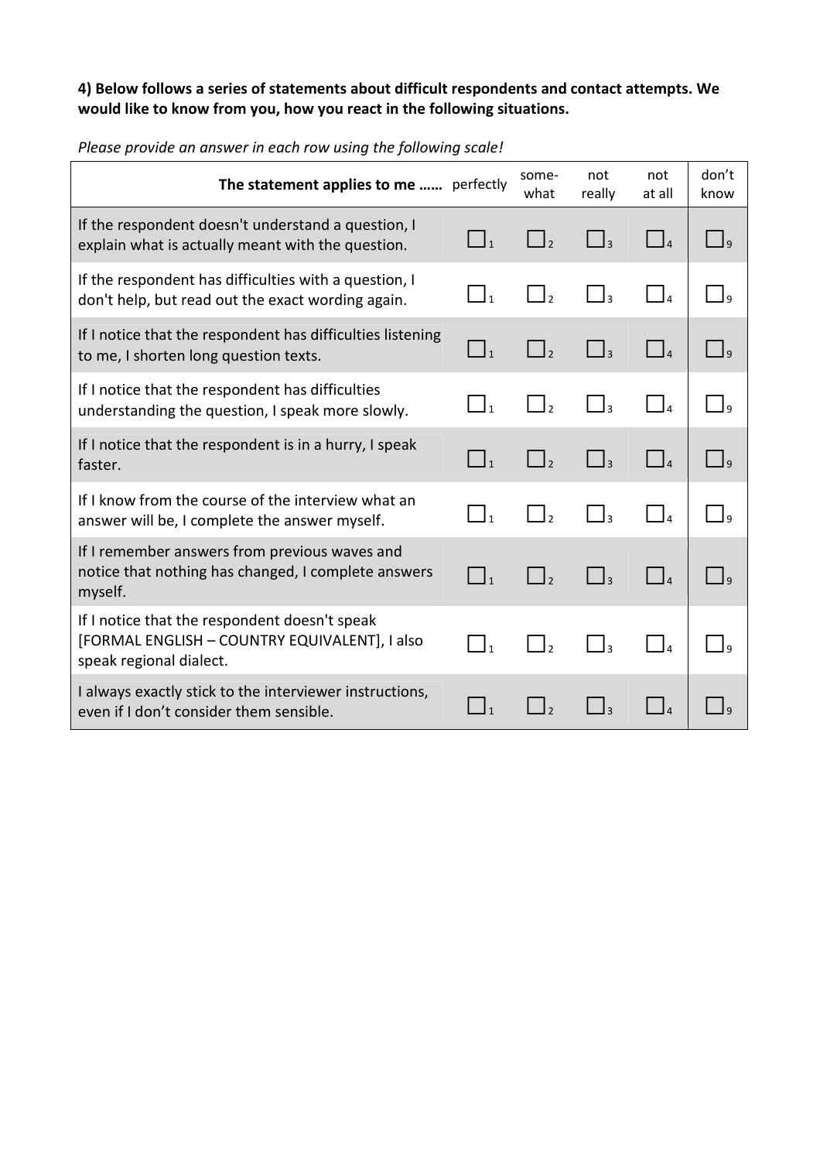## **4) Below follows a series of statements about difficult respondents and contact attempts. We would like to know from you, how you react in the following situations.**

| The statement applies to me  perfectly                                                                                    |                     | some-<br>what                          | not<br>really       | not<br>at all                         | don't<br>know             |
|---------------------------------------------------------------------------------------------------------------------------|---------------------|----------------------------------------|---------------------|---------------------------------------|---------------------------|
| If the respondent doesn't understand a question, I<br>explain what is actually meant with the question.                   | $\Box_1$            |                                        |                     | $\Box$                                | $\Box$                    |
| If the respondent has difficulties with a question, I<br>don't help, but read out the exact wording again.                | $\Box_1$            | $\Gamma_{1_2}$                         | $\Box$ <sub>3</sub> | $\Box$                                | $\mathsf{I}_9$            |
| If I notice that the respondent has difficulties listening<br>to me, I shorten long question texts.                       | $\Box_1$            | $\vert \vert$                          | $\Box_3$            | $\Box$                                | $\Box$                    |
| If I notice that the respondent has difficulties<br>understanding the question, I speak more slowly.                      | $\bar{1}_1$         | $\bar{1}_2$                            | J٩                  | $\vert$ $\vert$ 4                     | $\overline{\phantom{a}}$  |
| If I notice that the respondent is in a hurry, I speak<br>faster.                                                         | $\Box_1$            | $\begin{bmatrix} 1 \\ 2 \end{bmatrix}$ | $\Box$ 3            | $\begin{array}{c} \end{array}$        | $\Box$ 9                  |
| If I know from the course of the interview what an<br>answer will be, I complete the answer myself.                       | $\Box$ <sub>1</sub> |                                        | $\mathbf{I}_3$      | $\vert$ <sub>4</sub>                  | $\mathsf{I}_{9}$          |
| If I remember answers from previous waves and<br>notice that nothing has changed, I complete answers<br>myself.           | $\Box$ <sub>1</sub> | $\Box$ <sub>2</sub>                    | $\mathsf{I}$        | $\Box$                                | $\overline{a}$            |
| If I notice that the respondent doesn't speak<br>[FORMAL ENGLISH - COUNTRY EQUIVALENT], I also<br>speak regional dialect. | $\Box$ <sub>1</sub> | $\mathbf{l}_2$                         | l٩                  | $\begin{bmatrix} 1 & 1 \end{bmatrix}$ | $\mathsf{I}_{\mathsf{Q}}$ |
| I always exactly stick to the interviewer instructions,<br>even if I don't consider them sensible.                        | $\vert$ 1           |                                        |                     | $\vert$ $\vert$                       | I۹                        |

*Please provide an answer in each row using the following scale!*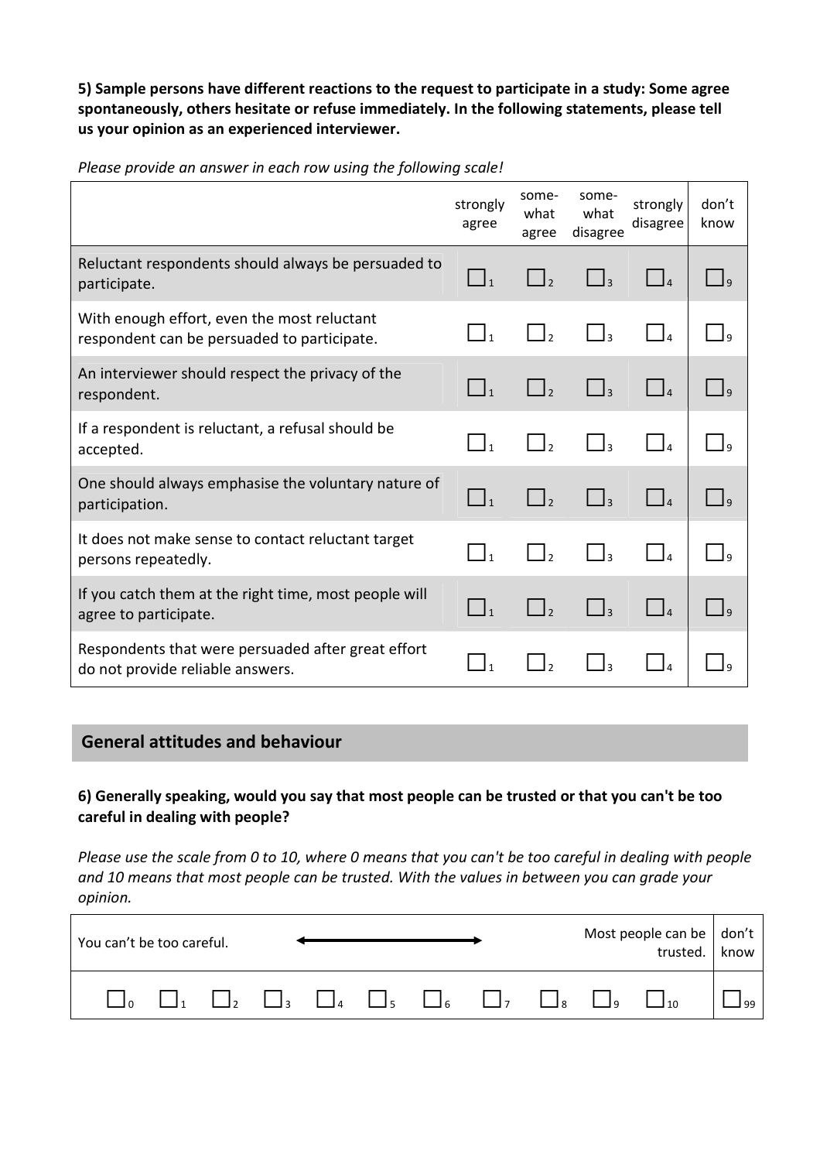**5) Sample persons have different reactions to the request to participate in a study: Some agree spontaneously, others hesitate or refuse immediately. In the following statements, please tell us your opinion as an experienced interviewer.** 

*Please provide an answer in each row using the following scale!* 

|                                                                                            | strongly<br>agree | some-<br>what<br>agree | some-<br>what<br>disagree | strongly<br>disagree              | don't<br>know    |
|--------------------------------------------------------------------------------------------|-------------------|------------------------|---------------------------|-----------------------------------|------------------|
| Reluctant respondents should always be persuaded to<br>participate.                        |                   |                        | $\mathsf{I}$              | $\begin{bmatrix} 1 \end{bmatrix}$ | I٩               |
| With enough effort, even the most reluctant<br>respondent can be persuaded to participate. | $\overline{1}$    |                        | $\overline{\mathbf{a}}$   | 4                                 | I۹               |
| An interviewer should respect the privacy of the<br>respondent.                            |                   |                        |                           |                                   |                  |
| If a respondent is reluctant, a refusal should be<br>accepted.                             |                   |                        |                           |                                   |                  |
| One should always emphasise the voluntary nature of<br>participation.                      |                   |                        |                           |                                   | $\overline{a}$   |
| It does not make sense to contact reluctant target<br>persons repeatedly.                  |                   |                        |                           |                                   | $\mathsf{I}_{9}$ |
| If you catch them at the right time, most people will<br>agree to participate.             |                   |                        |                           | $\vert$ $\vert$ $\vert$           | $\mathsf{I}$     |
| Respondents that were persuaded after great effort<br>do not provide reliable answers.     |                   |                        |                           | I۵                                |                  |

## **General attitudes and behaviour**

**6) Generally speaking, would you say that most people can be trusted or that you can't be too careful in dealing with people?**

*Please use the scale from 0 to 10, where 0 means that you can't be too careful in dealing with people and 10 means that most people can be trusted. With the values in between you can grade your opinion.* 

| You can't be too careful. |  |  |  |                                                                                              |  | Most people can be   don't  <br>trusted. | know           |
|---------------------------|--|--|--|----------------------------------------------------------------------------------------------|--|------------------------------------------|----------------|
|                           |  |  |  | $\Box_1$ $\Box_2$ $\Box_3$ $\Box_4$ $\Box_5$ $\Box_6$ $\Box_7$ $\Box_8$ $\Box_9$ $\Box_{10}$ |  |                                          | $\overline{q}$ |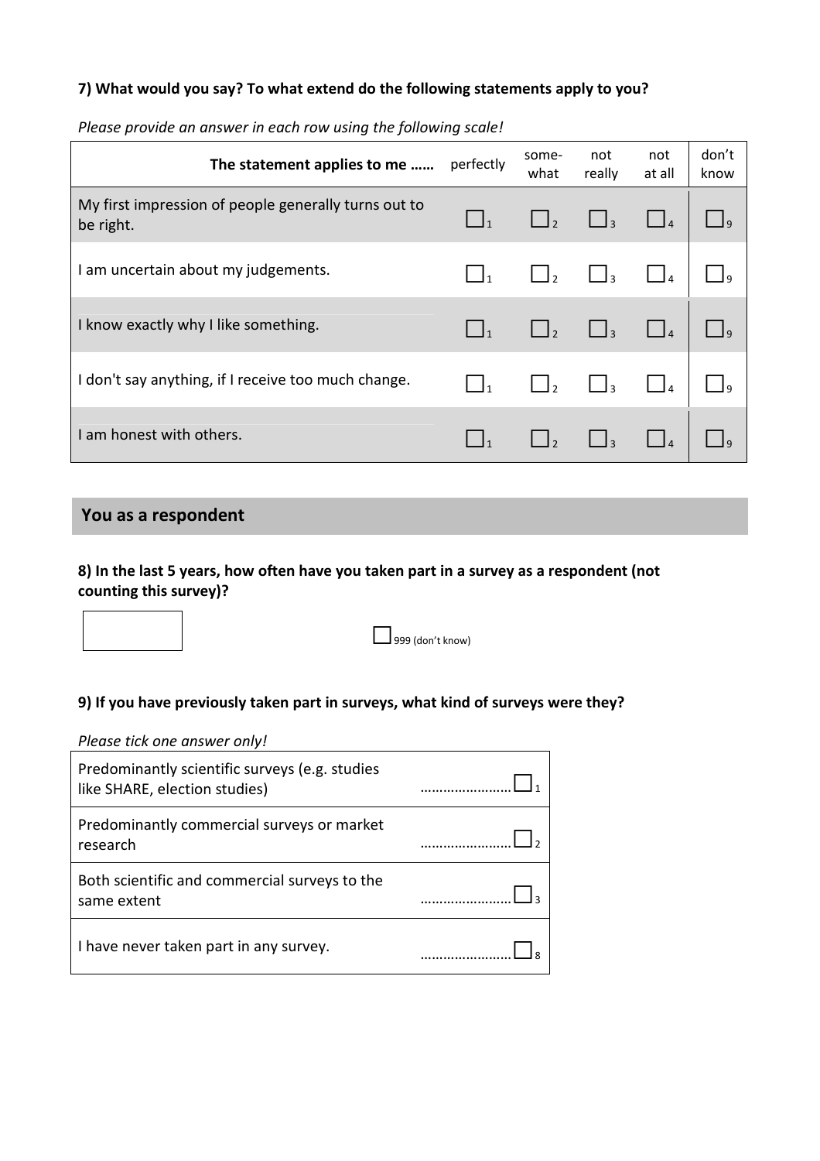#### **7) What would you say? To what extend do the following statements apply to you?**

| The statement applies to me                                       | perfectly | some-<br>what | not<br>really                         | not<br>at all | don't<br>know |
|-------------------------------------------------------------------|-----------|---------------|---------------------------------------|---------------|---------------|
| My first impression of people generally turns out to<br>be right. |           |               |                                       |               | 1q            |
| I am uncertain about my judgements.                               |           |               | $\begin{bmatrix} 1 & 3 \end{bmatrix}$ |               |               |
| I know exactly why I like something.                              |           |               | $\Box$ <sub>3</sub>                   |               |               |
| I don't say anything, if I receive too much change.               |           |               | $\vert$ $\vert$ <sub>3</sub>          |               |               |
| I am honest with others.                                          |           |               |                                       |               |               |

*Please provide an answer in each row using the following scale!*

## **You as a respondent**

**8) In the last 5 years, how often have you taken part in a survey as a respondent (not counting this survey)?** 

 $\Box$ 999 (don't know)

## **9) If you have previously taken part in surveys, what kind of surveys were they?**

*Please tick one answer only!* 

| Predominantly scientific surveys (e.g. studies<br>like SHARE, election studies) |  |
|---------------------------------------------------------------------------------|--|
| Predominantly commercial surveys or market<br>research                          |  |
| Both scientific and commercial surveys to the<br>same extent                    |  |
| I have never taken part in any survey.                                          |  |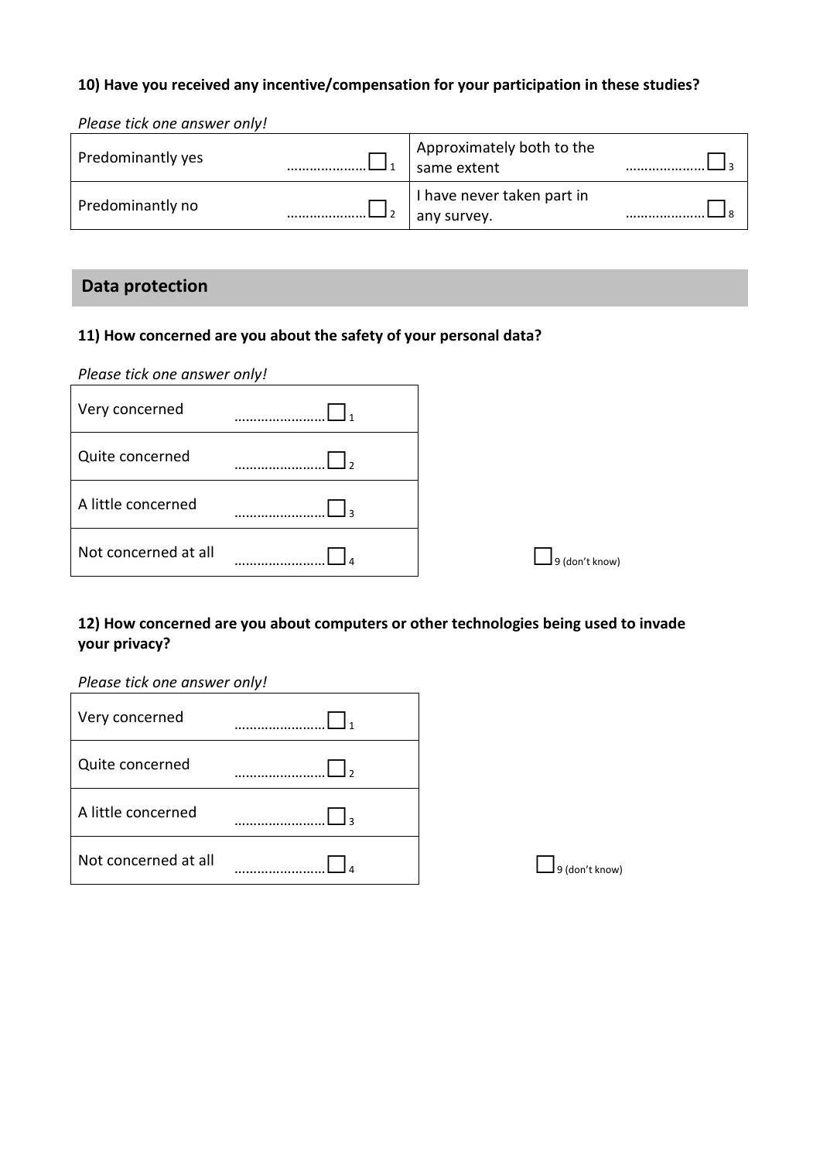### **10) Have you received any incentive/compensation for your participation in these studies?**

*Please tick one answer only!* 

| Predominantly yes | Approximately both to the<br>same extent  |  |
|-------------------|-------------------------------------------|--|
| Predominantly no  | I have never taken part in<br>any survey. |  |

## **Data protection**

#### **11) How concerned are you about the safety of your personal data?**

| Please tick one answer only! |                |
|------------------------------|----------------|
| Very concerned               |                |
| Quite concerned              |                |
| A little concerned           |                |
| Not concerned at all         | 9 (don't know) |

## **12) How concerned are you about computers or other technologies being used to invade your privacy?**

*Please tick one answer only!* 

| Very concerned       |  |
|----------------------|--|
| Quite concerned      |  |
| A little concerned   |  |
| Not concerned at all |  |

 $\Box$  9 (don't know)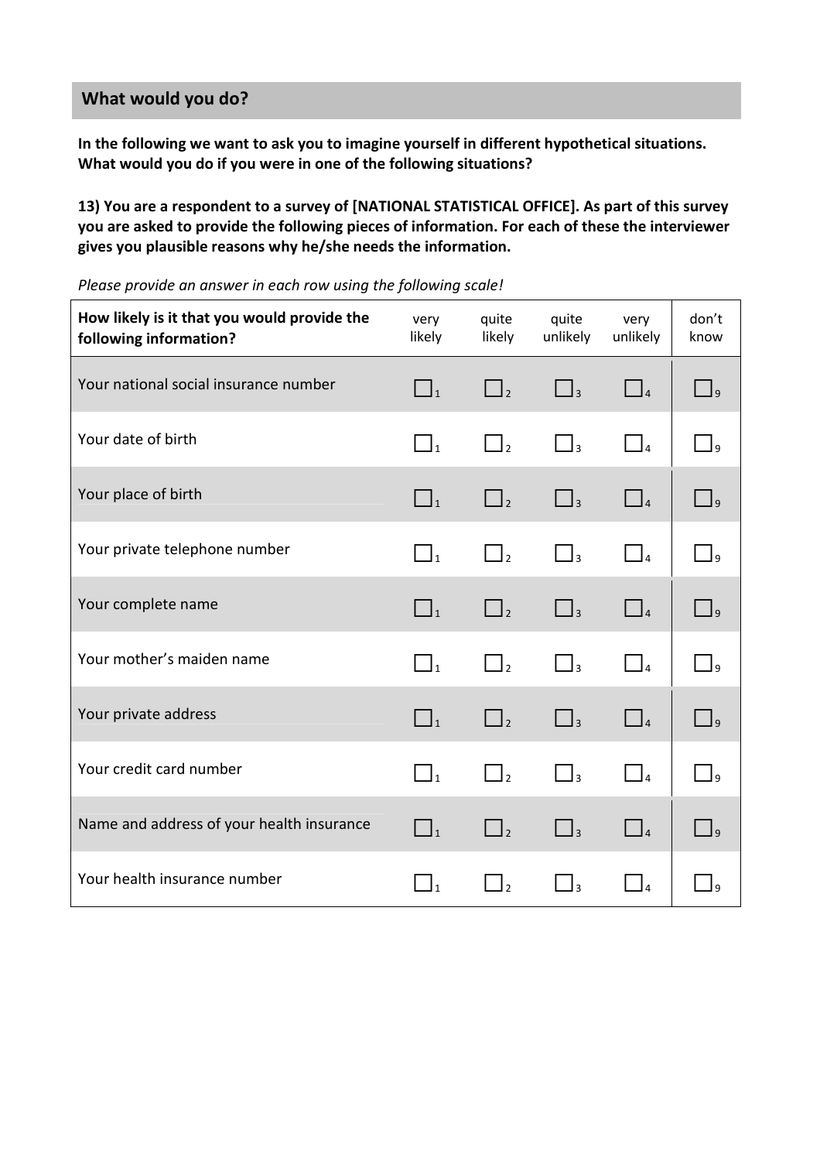## **What would you do?**

**In the following we want to ask you to imagine yourself in different hypothetical situations. What would you do if you were in one of the following situations?** 

**13) You are a respondent to a survey of [NATIONAL STATISTICAL OFFICE]. As part of this survey you are asked to provide the following pieces of information. For each of these the interviewer gives you plausible reasons why he/she needs the information.** 

| How likely is it that you would provide the<br>following information? | very<br>likely | quite<br>likely     | quite<br>unlikely   | very<br>unlikely    | don't<br>know                                     |
|-----------------------------------------------------------------------|----------------|---------------------|---------------------|---------------------|---------------------------------------------------|
| Your national social insurance number                                 | $\Box$         | $\Box$ <sub>2</sub> | $\Box$ <sub>3</sub> | $\Box$ 4            | $\vert$ 9                                         |
| Your date of birth                                                    | $\Box_1$       | $\Box$ <sub>2</sub> | $\Box$ <sub>3</sub> | $\Box$ <sub>4</sub> | $\Box$                                            |
| Your place of birth                                                   | $\Box_1$       | $\Box$ <sub>2</sub> | $\Box$ <sub>3</sub> | $\Box$              | $\Box$                                            |
| Your private telephone number                                         | $\Box_1$       | $\Box$              | $\Box$              | $\Box$              | $\Box$                                            |
| Your complete name                                                    | $\Box_1$       | $\Box$ <sub>2</sub> | $\Box$ <sub>3</sub> | $\Box$ <sub>4</sub> | $\begin{array}{c} \square \\ \square \end{array}$ |
| Your mother's maiden name                                             | $\Box_1$       | $\Box$ <sub>2</sub> | $\Box$ <sub>3</sub> | $\Box$              | $\vert$ $\vert$ q                                 |
| Your private address                                                  | $\Box_1$       | $\Box$ <sub>2</sub> | $\Box$ <sub>3</sub> | $\Box$ <sub>4</sub> | $\Box$ <sup>9</sup>                               |
| Your credit card number                                               | $\Box_1$       | $\Box$ <sub>2</sub> | $\Box$ <sub>3</sub> | $\Box$              | $\vert$ $\vert$ $\vert$                           |
| Name and address of your health insurance                             | $\Box_1$       | $\Box$ <sub>2</sub> | $\Box$ <sub>3</sub> | $\Box$              | $\Box$                                            |
| Your health insurance number                                          | $\Box_1$       | $\Box$ <sub>2</sub> | $\Box$ <sub>3</sub> | $\Box$              | $\Box$                                            |

*Please provide an answer in each row using the following scale!*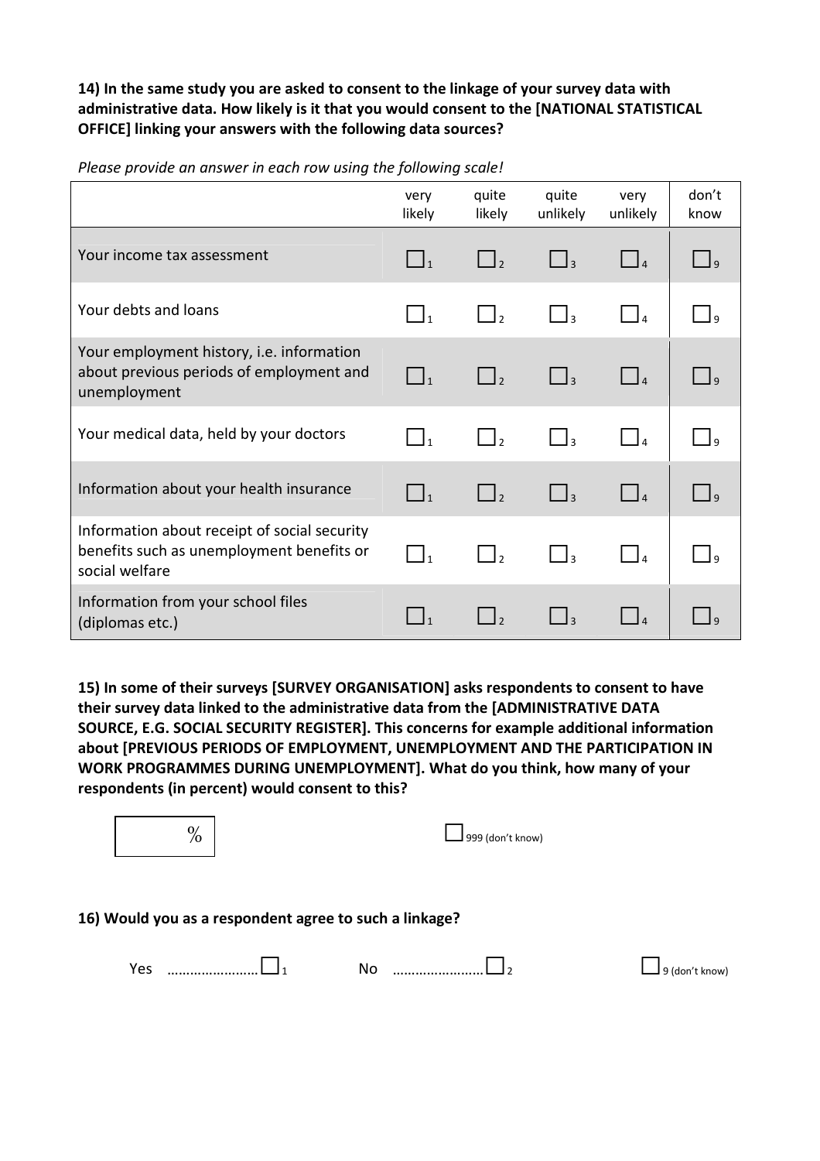### **14) In the same study you are asked to consent to the linkage of your survey data with administrative data. How likely is it that you would consent to the [NATIONAL STATISTICAL OFFICE] linking your answers with the following data sources?**

|                                                                                                             | very<br>likely      | quite<br>likely     | quite<br>unlikely   | very<br>unlikely                                            | don't<br>know           |
|-------------------------------------------------------------------------------------------------------------|---------------------|---------------------|---------------------|-------------------------------------------------------------|-------------------------|
| Your income tax assessment                                                                                  | $\Box_1$            | $\Box$              | $\Box$ <sub>3</sub> | $\begin{array}{c} \begin{array}{c} \end{array} \end{array}$ | وك                      |
| Your debts and loans                                                                                        | $\Box_1$            | $\Box$ <sub>2</sub> | $\Box$ <sub>3</sub> | $\Box$                                                      | وك                      |
| Your employment history, i.e. information<br>about previous periods of employment and<br>unemployment       | $\Box_1$            | $\Box$ <sub>2</sub> | $\Box$ <sub>3</sub> | $\Box$                                                      | $\bigcup$ q             |
| Your medical data, held by your doctors                                                                     | $\Box$ <sub>1</sub> | $\Box$              | $\Box$ 3            |                                                             | $\vert$ $\vert$ $\vert$ |
| Information about your health insurance                                                                     | $\Box_1$            | $\Box_2$            | $\Box_3$            | $\Box$                                                      | وك                      |
| Information about receipt of social security<br>benefits such as unemployment benefits or<br>social welfare |                     | $\vert$ $\vert_2$   | l٩                  |                                                             |                         |
| Information from your school files<br>(diplomas etc.)                                                       | $\mathbf{1}$        |                     | $\overline{3}$      |                                                             |                         |

*Please provide an answer in each row using the following scale!*

**15) In some of their surveys [SURVEY ORGANISATION] asks respondents to consent to have their survey data linked to the administrative data from the [ADMINISTRATIVE DATA SOURCE, E.G. SOCIAL SECURITY REGISTER]. This concerns for example additional information about [PREVIOUS PERIODS OF EMPLOYMENT, UNEMPLOYMENT AND THE PARTICIPATION IN WORK PROGRAMMES DURING UNEMPLOYMENT]. What do you think, how many of your respondents (in percent) would consent to this?** 

| $\%$                                                   | 999 (don't know) |                                      |
|--------------------------------------------------------|------------------|--------------------------------------|
| 16) Would you as a respondent agree to such a linkage? |                  |                                      |
| Yes                                                    | No               | $\textsf{\textbf{I}}$ 9 (don't know) |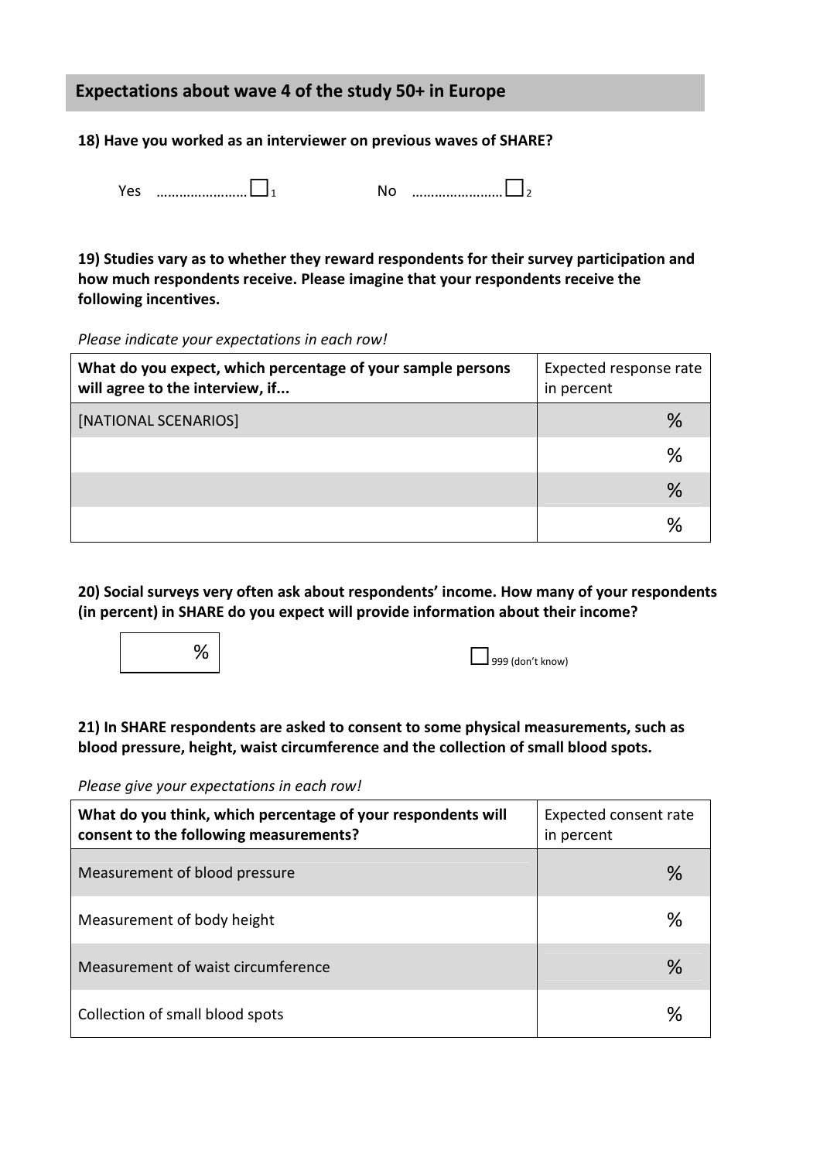## **Expectations about wave 4 of the study 50+ in Europe**

**18) Have you worked as an interviewer on previous waves of SHARE?** 

| င၁ |  |  |
|----|--|--|

| No |  |
|----|--|
|    |  |

**19) Studies vary as to whether they reward respondents for their survey participation and how much respondents receive. Please imagine that your respondents receive the following incentives.** 

*Please indicate your expectations in each row!* 

| What do you expect, which percentage of your sample persons<br>will agree to the interview, if | Expected response rate<br>in percent |  |
|------------------------------------------------------------------------------------------------|--------------------------------------|--|
| [NATIONAL SCENARIOS]                                                                           | %                                    |  |
|                                                                                                | %                                    |  |
|                                                                                                | %                                    |  |
|                                                                                                | %                                    |  |

**20) Social surveys very often ask about respondents' income. How many of your respondents (in percent) in SHARE do you expect will provide information about their income?** 



**21) In SHARE respondents are asked to consent to some physical measurements, such as blood pressure, height, waist circumference and the collection of small blood spots.** 

*Please give your expectations in each row!*

| What do you think, which percentage of your respondents will<br>consent to the following measurements? | Expected consent rate<br>in percent |
|--------------------------------------------------------------------------------------------------------|-------------------------------------|
| Measurement of blood pressure                                                                          | $\%$                                |
| Measurement of body height                                                                             | $\%$                                |
| Measurement of waist circumference                                                                     | $\%$                                |
| Collection of small blood spots                                                                        | %                                   |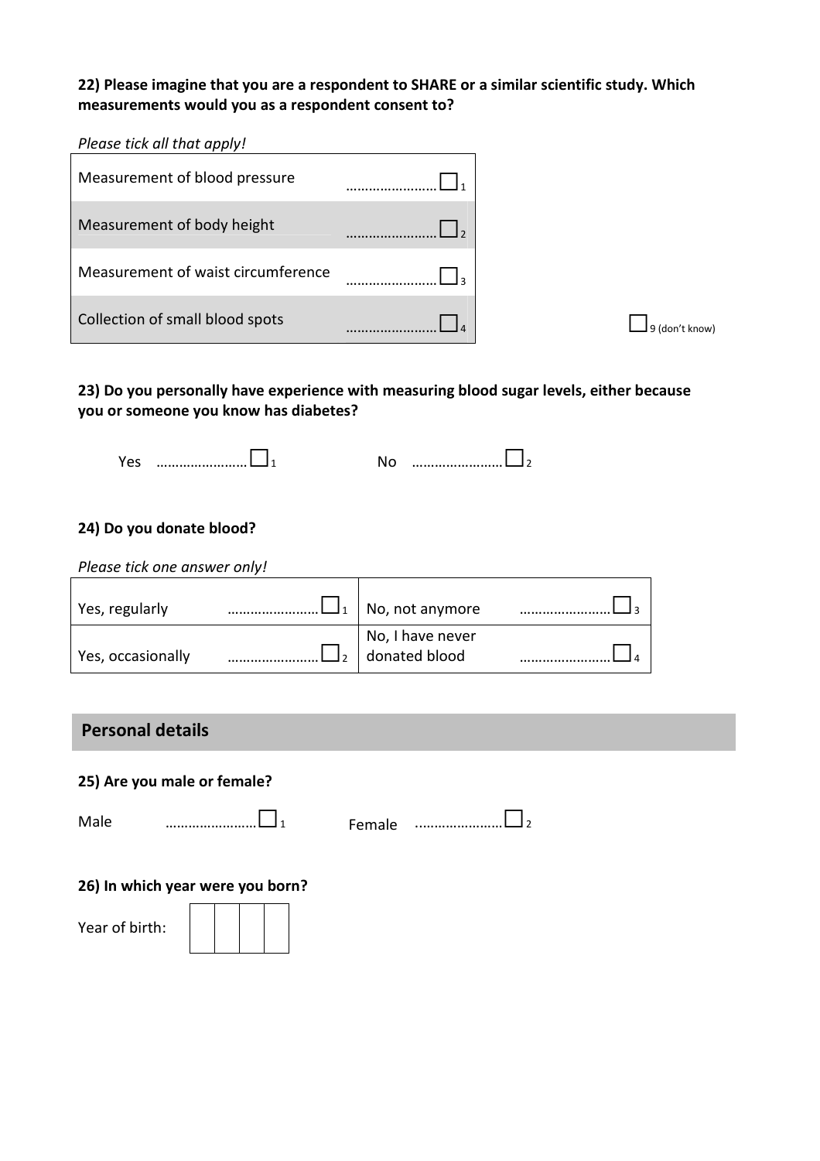## **22) Please imagine that you are a respondent to SHARE or a similar scientific study. Which measurements would you as a respondent consent to?**

*Please tick all that apply!* 

| Measurement of blood pressure      |  |
|------------------------------------|--|
| Measurement of body height         |  |
| Measurement of waist circumference |  |
| Collection of small blood spots    |  |

## **23) Do you personally have experience with measuring blood sugar levels, either because you or someone you know has diabetes?**

| 'es |  |  |
|-----|--|--|

### **24) Do you donate blood?**

| Please tick one answer only! |                                   |  |
|------------------------------|-----------------------------------|--|
| Yes, regularly               | No, not anymore                   |  |
| Yes, occasionally            | No, I have never<br>donated blood |  |

## **Personal details**

**25) Are you male or female?** 

Male ……………………□<sup>1</sup> Female ..…………………□<sup>2</sup>

**26) In which year were you born?** 

Year of birth: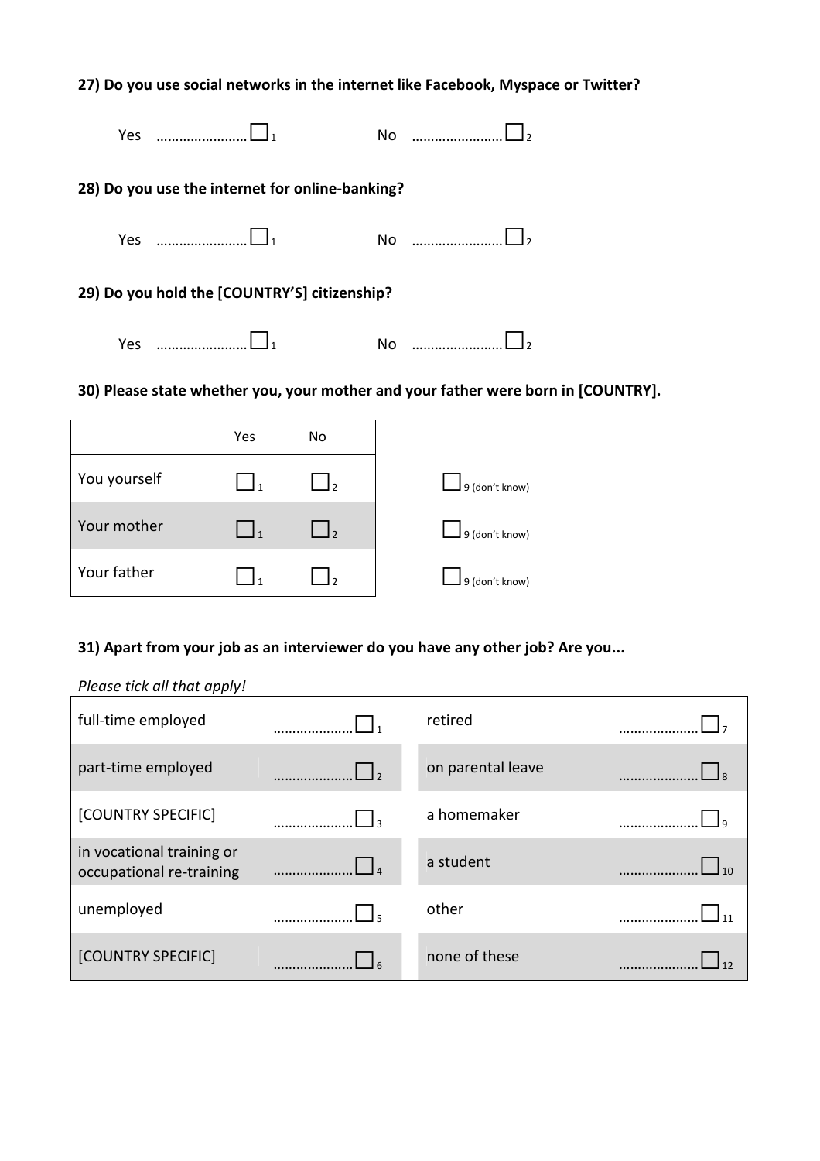| 27) Do you use social networks in the internet like Facebook, Myspace or Twitter? |                                                   |  |  |
|-----------------------------------------------------------------------------------|---------------------------------------------------|--|--|
| Yes                                                                               | No                                                |  |  |
| 28) Do you use the internet for online-banking?                                   |                                                   |  |  |
| Yes                                                                               | $\overline{\text{No}}$ and $\overline{\text{No}}$ |  |  |
| 29) Do you hold the [COUNTRY'S] citizenship?                                      |                                                   |  |  |
|                                                                                   | No                                                |  |  |

## **30) Please state whether you, your mother and your father were born in [COUNTRY].**

|              | Yes | No  |                |
|--------------|-----|-----|----------------|
| You yourself |     | I۰  | 9 (don't know) |
| Your mother  |     | l ر | 9 (don't know) |
| Your father  |     |     | 9 (don't know) |

## **31) Apart from your job as an interviewer do you have any other job? Are you...**

#### *Please tick all that apply!*

| full-time employed                                    |              | retired           |  |
|-------------------------------------------------------|--------------|-------------------|--|
| part-time employed                                    | $\mathsf{L}$ | on parental leave |  |
| [COUNTRY SPECIFIC]                                    |              | a homemaker       |  |
| in vocational training or<br>occupational re-training |              | a student         |  |
| unemployed                                            |              | other             |  |
| [COUNTRY SPECIFIC]                                    |              | none of these     |  |